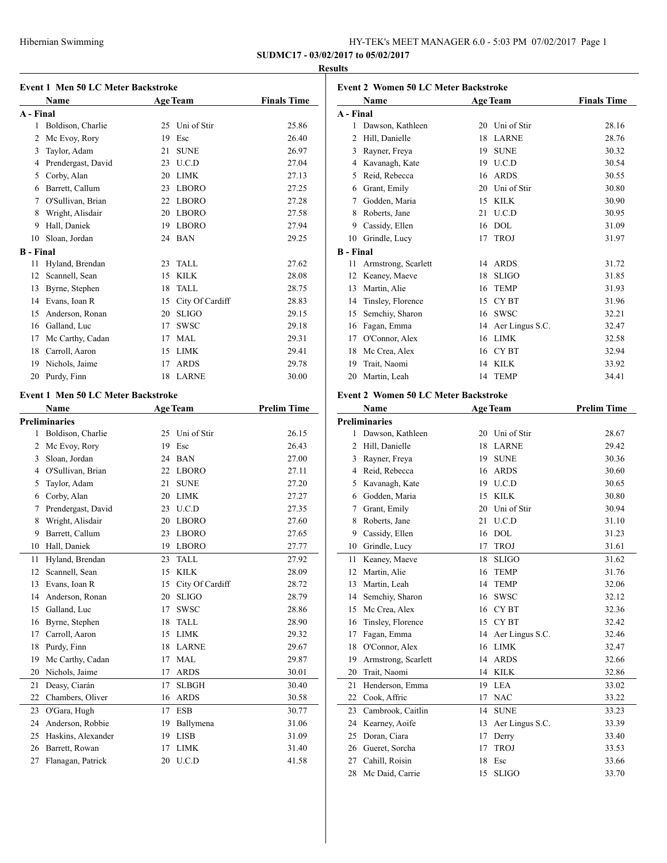## **Results**

|                  | <b>Name</b>                               |          | <b>Event 1 Men 50 LC Meter Backstroke</b><br><b>Age Team</b> | <b>Finals Time</b>                                          |
|------------------|-------------------------------------------|----------|--------------------------------------------------------------|-------------------------------------------------------------|
| A - Final        |                                           |          |                                                              |                                                             |
|                  | 1 Boldison, Charlie                       |          | 25 Uni of Stir                                               | 25.86                                                       |
|                  | 2 Mc Evoy, Rory                           | 19       | Esc                                                          | 26.40                                                       |
|                  | 3 Taylor, Adam                            | 21       | <b>SUNE</b>                                                  | 26.97                                                       |
|                  |                                           |          | 23 U.C.D                                                     | 27.04                                                       |
|                  | 4 Prendergast, David<br>5 Corby, Alan     |          | 20 LIMK                                                      | 27.13                                                       |
|                  | 6 Barrett, Callum                         |          | 23 LBORO                                                     | 27.25                                                       |
|                  | 7 O'Sullivan, Brian                       |          | 22 LBORO                                                     |                                                             |
|                  |                                           |          | 20 LBORO                                                     | 27.28<br>27.58                                              |
| 8                | Wright, Alisdair                          |          |                                                              |                                                             |
|                  | 9 Hall, Daniek                            |          | 19 LBORO                                                     | 27.94                                                       |
| 10               | Sloan, Jordan                             |          | 24 BAN                                                       | 29.25                                                       |
| <b>B</b> - Final |                                           |          |                                                              |                                                             |
| 11               | Hyland, Brendan                           | 23       | TALL                                                         | 27.62                                                       |
|                  | 12 Scannell, Sean                         | 15       | <b>KILK</b>                                                  | 28.08                                                       |
|                  | 13 Byrne, Stephen                         | 18       | <b>TALL</b>                                                  | 28.75                                                       |
|                  | 14 Evans, Ioan R                          |          | 15 City Of Cardiff                                           | 28.83                                                       |
|                  | 15 Anderson, Ronan                        |          | 20 SLIGO                                                     | 29.15                                                       |
|                  | 16 Galland, Luc                           |          | 17 SWSC                                                      | 29.18                                                       |
|                  | 17 Mc Carthy, Cadan                       |          | 17 MAL                                                       | 29.31                                                       |
|                  | 18 Carroll, Aaron                         |          | 15 LIMK                                                      | 29.41                                                       |
|                  | 19 Nichols, Jaime                         |          | 17 ARDS                                                      | 29.78                                                       |
| 20               | Purdy, Finn                               | 18       | <b>LARNE</b>                                                 | 30.00                                                       |
|                  | <b>Event 1 Men 50 LC Meter Backstroke</b> |          |                                                              |                                                             |
|                  | Name                                      |          | <b>Age Team</b>                                              | <b>Prelim Time</b>                                          |
|                  | <b>Preliminaries</b>                      |          |                                                              |                                                             |
|                  | 1 Boldison, Charlie                       | 25       | Uni of Stir                                                  | 26.15                                                       |
|                  | 2 Mc Evoy, Rory                           |          | 19 Esc                                                       | 26.43                                                       |
|                  | 3 Sloan, Jordan                           |          | 24 BAN                                                       | 27.00                                                       |
|                  |                                           |          |                                                              |                                                             |
|                  | 4 O'Sullivan, Brian                       |          | 22 LBORO                                                     | 27.11                                                       |
|                  | 5 Taylor, Adam                            | 21       | <b>SUNE</b>                                                  | 27.20                                                       |
|                  | 6 Corby, Alan                             |          | 20 LIMK                                                      | 27.27                                                       |
|                  | 7 Prendergast, David                      |          | 23 U.C.D                                                     | 27.35                                                       |
| 8                | Wright, Alisdair                          |          | 20 LBORO                                                     | 27.60                                                       |
| 9                | Barrett, Callum                           |          | 23 LBORO                                                     | 27.65                                                       |
|                  | 10 Hall, Daniek                           |          | 19 LBORO                                                     | 27.77                                                       |
| 11               | Hyland, Brendan                           | 23       | TALL                                                         | 27.92                                                       |
| 12               | Scannell, Sean                            | 15       | KILK                                                         |                                                             |
| 13               |                                           | 15       |                                                              | 28.09                                                       |
| 14               | Evans, Ioan R                             | 20       | City Of Cardiff                                              | 28.72                                                       |
|                  | Anderson, Ronan                           |          | <b>SLIGO</b>                                                 |                                                             |
| 15               | Galland, Luc                              | 17       | <b>SWSC</b>                                                  |                                                             |
| 16               | Byrne, Stephen                            | 18       | <b>TALL</b>                                                  |                                                             |
| 17               | Carroll, Aaron                            | 15       | LIMK                                                         |                                                             |
| 18               | Purdy, Finn                               | 18       | LARNE                                                        |                                                             |
| 19               | Mc Carthy, Cadan                          | 17       | MAL                                                          |                                                             |
| 20               | Nichols, Jaime                            | 17       | ARDS                                                         | 30.01                                                       |
| 21               | Deasy, Ciarán                             | 17       | <b>SLBGH</b>                                                 |                                                             |
| 22               | Chambers, Oliver                          | 16       | <b>ARDS</b>                                                  |                                                             |
| 23               | O'Gara, Hugh                              | 17       | <b>ESB</b>                                                   | 29.32<br>29.67<br>29.87<br>30.58                            |
| 24               | Anderson, Robbie                          | 19       | Ballymena                                                    |                                                             |
| 25               | Haskins, Alexander                        | 19       | <b>LISB</b>                                                  | 28.79<br>28.86<br>28.90<br>30.40<br>30.77<br>31.06<br>31.09 |
| 26<br>27         | Barrett, Rowan<br>Flanagan, Patrick       | 17<br>20 | LIMK<br>U.C.D                                                | 31.40<br>41.58                                              |

|                  | <b>Event 2 Women 50 LC Meter Backstroke</b> |    |                               |                    |
|------------------|---------------------------------------------|----|-------------------------------|--------------------|
|                  | Name                                        |    | <b>Age Team</b>               | <b>Finals Time</b> |
| A - Final<br>1   | Dawson, Kathleen                            | 20 | Uni of Stir                   | 28.16              |
| $\overline{2}$   | Hill, Danielle                              | 18 | LARNE                         | 28.76              |
|                  |                                             | 19 | <b>SUNE</b>                   |                    |
| 3                | Rayner, Freya                               |    |                               | 30.32              |
|                  | 4 Kavanagh, Kate<br>5 Reid, Rebecca         |    | 19 U.C.D<br>16 ARDS           | 30.54              |
|                  |                                             |    |                               | 30.55              |
|                  | 6 Grant, Emily                              |    | 20 Uni of Stir<br><b>KILK</b> | 30.80              |
|                  | 7 Godden, Maria                             | 15 | U.C.D                         | 30.90              |
| 8                | Roberts, Jane                               | 21 |                               | 30.95              |
|                  | 9 Cassidy, Ellen                            | 16 | DOL                           | 31.09              |
|                  | 10 Grindle, Lucy                            | 17 | <b>TROJ</b>                   | 31.97              |
| <b>B</b> - Final |                                             |    |                               |                    |
| 11               | Armstrong, Scarlett                         | 14 | <b>ARDS</b>                   | 31.72              |
|                  | 12 Keaney, Maeve                            | 18 | <b>SLIGO</b>                  | 31.85              |
| 13               | Martin, Alie                                | 16 | <b>TEMP</b>                   | 31.93              |
|                  | 14 Tinsley, Florence                        | 15 | <b>CYBT</b>                   | 31.96              |
|                  | 15 Semchiy, Sharon                          | 16 | <b>SWSC</b>                   | 32.21              |
|                  | 16 Fagan, Emma                              |    | 14 Aer Lingus S.C.            | 32.47              |
|                  | 17 O'Connor, Alex                           | 16 | LIMK                          | 32.58              |
| 18               | Mc Crea, Alex                               | 16 | CY BT                         | 32.94              |
| 19               | Trait, Naomi                                | 14 | <b>KILK</b>                   | 33.92              |
| 20               | Martin, Leah                                | 14 | <b>TEMP</b>                   | 34.41              |
|                  | <b>Event 2 Women 50 LC Meter Backstroke</b> |    |                               |                    |
|                  | Name                                        |    | <b>Age Team</b>               | <b>Prelim Time</b> |
|                  | <b>Preliminaries</b>                        |    |                               |                    |
| $\mathbf{1}$     | Dawson, Kathleen                            | 20 | Uni of Stir                   | 28.67              |
|                  | 2 Hill, Danielle                            | 18 | LARNE                         | 29.42              |
| 3                | Rayner, Freya                               | 19 | <b>SUNE</b>                   | 30.36              |
| 4                | Reid, Rebecca                               | 16 | <b>ARDS</b>                   | 30.60              |
| 5                | Kavanagh, Kate                              | 19 | U.C.D                         | 30.65              |
|                  | 6 Godden, Maria                             | 15 | <b>KILK</b>                   | 30.80              |
| 7                | Grant, Emily                                | 20 | Uni of Stir                   | 30.94              |
|                  | Roberts, Jane                               | 21 | U.C.D                         |                    |
| 8                | 9 Cassidy, Ellen                            |    | DOL                           | 31.10<br>31.23     |
|                  |                                             | 16 |                               |                    |
| 10               | Grindle, Lucy                               | 17 | <b>TROJ</b>                   | 31.61              |
| 11               | Keaney, Maeve                               | 18 | <b>SLIGO</b>                  | 31.62              |
|                  | 12 Martin, Alie                             |    | 16 TEMP                       | 31.76              |
| 13               | Martin, Leah                                | 14 | <b>TEMP</b>                   | 32.06              |
| 14               | Semchiy, Sharon                             | 16 | SWSC                          | 32.12              |
| 15               | Mc Crea, Alex                               | 16 | CY BT                         | 32.36              |
| 16               | Tinsley, Florence                           | 15 | CY <sub>BT</sub>              | 32.42              |
| 17               | Fagan, Emma                                 | 14 | Aer Lingus S.C.               | 32.46              |
| 18               | O'Connor, Alex                              | 16 | <b>LIMK</b>                   | 32.47              |
| 19               | Armstrong, Scarlett                         | 14 | <b>ARDS</b>                   | 32.66              |
| 20               | Trait, Naomi                                | 14 | KILK                          | 32.86              |
| 21               | Henderson, Emma                             | 19 | LEA                           | 33.02              |
| 22               | Cook, Affric                                | 17 | <b>NAC</b>                    | 33.22              |
| 23               | Cambrook, Caitlin                           | 14 | <b>SUNE</b>                   | 33.23              |
| 24               | Kearney, Aoife                              | 13 | Aer Lingus S.C.               | 33.39              |
| 25               | Doran, Ciara                                | 17 | Derry                         | 33.40              |
| 26               | Gueret, Sorcha                              | 17 | <b>TROJ</b>                   | 33.53              |
| 27               | Cahill, Roisin                              | 18 | Esc                           | 33.66              |
| 28               | Mc Daid, Carrie                             | 15 | <b>SLIGO</b>                  | 33.70              |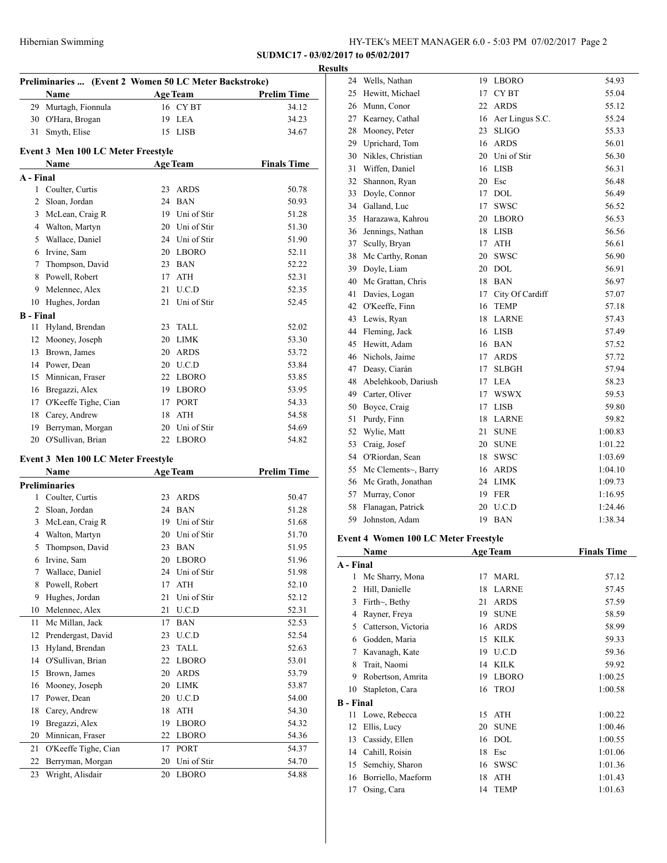## **Results**

| Preliminaries  (Event 2 Women 50 LC Meter Backstroke) |                                    |                    |                    |  |  |
|-------------------------------------------------------|------------------------------------|--------------------|--------------------|--|--|
|                                                       | Name                               | <b>Age Team</b>    | <b>Prelim Time</b> |  |  |
|                                                       | 29 Murtagh, Fionnula               | 16 CY BT           | 34.12              |  |  |
|                                                       | 30 O'Hara, Brogan                  | 19 LEA             | 34.23              |  |  |
| 31                                                    | Smyth, Elise                       | 15 LISB            | 34.67              |  |  |
|                                                       | Event 3 Men 100 LC Meter Freestyle |                    |                    |  |  |
|                                                       | Name                               | <b>Age Team</b>    | <b>Finals Time</b> |  |  |
| A - Final                                             |                                    |                    |                    |  |  |
|                                                       | 1 Coulter, Curtis                  | 23<br><b>ARDS</b>  | 50.78              |  |  |
|                                                       | 2 Sloan, Jordan                    | 24 BAN             | 50.93              |  |  |
| 3                                                     | McLean, Craig R                    | 19 Uni of Stir     | 51.28              |  |  |
|                                                       | 4 Walton, Martyn                   | 20 Uni of Stir     | 51.30              |  |  |
|                                                       | 5 Wallace, Daniel                  | 24 Uni of Stir     | 51.90              |  |  |
|                                                       | 6 Irvine, Sam                      | 20 LBORO           | 52.11              |  |  |
|                                                       | 7 Thompson, David                  | 23 BAN             | 52.22              |  |  |
|                                                       | 8 Powell, Robert                   | <b>ATH</b><br>17   | 52.31              |  |  |
|                                                       | 9 Melennec, Alex                   | 21 U.C.D           | 52.35              |  |  |
|                                                       | 10 Hughes, Jordan                  | Uni of Stir<br>21  | 52.45              |  |  |
| <b>B</b> - Final                                      |                                    |                    |                    |  |  |
| 11                                                    | Hyland, Brendan                    | 23<br>TALL         | 52.02              |  |  |
|                                                       | 12 Mooney, Joseph                  | 20 LIMK            | 53.30              |  |  |
|                                                       | 13 Brown, James                    | 20 ARDS            | 53.72              |  |  |
|                                                       | 14 Power, Dean                     | 20 U.C.D           | 53.84              |  |  |
|                                                       | 15 Minnican, Fraser                | 22 LBORO           | 53.85              |  |  |
|                                                       | 16 Bregazzi, Alex                  | <b>LBORO</b><br>19 | 53.95              |  |  |
|                                                       | 17 O'Keeffe Tighe, Cian            | <b>PORT</b><br>17  | 54.33              |  |  |
|                                                       | 18 Carey, Andrew                   | 18<br>ATH          | 54.58              |  |  |
| 19                                                    | Berryman, Morgan                   | Uni of Stir<br>20  | 54.69              |  |  |
|                                                       | 20 O'Sullivan, Brian               | 22 LBORO           | 54.82              |  |  |
|                                                       |                                    |                    |                    |  |  |
|                                                       | Event 3 Men 100 LC Meter Freestyle |                    |                    |  |  |
|                                                       | Name                               | <b>Age Team</b>    | <b>Prelim Time</b> |  |  |
|                                                       | <b>Preliminaries</b>               |                    |                    |  |  |
|                                                       | 1 Coulter, Curtis                  | 23<br><b>ARDS</b>  | 50.47              |  |  |
|                                                       | 2 Sloan, Jordan                    | 24 BAN             | 51.28              |  |  |
| 3                                                     | McLean, Craig R                    | 19 Uni of Stir     | 51.68              |  |  |
| 4                                                     | Walton, Martyn                     | 20 Uni of Stir     | 51.70              |  |  |
| 5                                                     | Thompson, David                    | 23 BAN             | 51.95              |  |  |
| 6                                                     | Irvine, Sam                        | 20<br>LBORO        | 51.96              |  |  |
| 7                                                     | Wallace, Daniel                    | 24<br>Uni of Stir  | 51.98              |  |  |
| 8                                                     | Powell, Robert                     | 17<br>ATH          | 52.10              |  |  |
| 9                                                     | Hughes, Jordan                     | 21<br>Uni of Stir  | 52.12              |  |  |
| 10                                                    | Melennec, Alex                     | 21<br>U.C.D        | 52.31              |  |  |
| 11                                                    | Mc Millan, Jack                    | 17<br><b>BAN</b>   | 52.53              |  |  |
| 12                                                    | Prendergast, David                 | 23<br>U.C.D        | 52.54              |  |  |
| 13                                                    | Hyland, Brendan                    | 23<br><b>TALL</b>  | 52.63              |  |  |
| 14                                                    | O'Sullivan, Brian                  | <b>LBORO</b><br>22 | 53.01              |  |  |
| 15                                                    | Brown, James                       | 20 ARDS            | 53.79              |  |  |

16 Mooney, Joseph 20 LIMK 53.87 17 Power, Dean 20 U.C.D 54.00 Carey, Andrew 18 ATH 54.30 Bregazzi, Alex 19 LBORO 54.32 Minnican, Fraser 22 LBORO 54.36 21 O'Keeffe Tighe, Cian 17 PORT 54.37 Berryman, Morgan 20 Uni of Stir 54.70 Wright, Alisdair 20 LBORO 54.88

| 24             | Wells, Nathan                               | 19 | LBORO              | 54.93              |
|----------------|---------------------------------------------|----|--------------------|--------------------|
| 25             | Hewitt, Michael                             | 17 | CY BT              | 55.04              |
| 26             | Munn, Conor                                 | 22 | <b>ARDS</b>        | 55.12              |
|                | 27 Kearney, Cathal                          |    | 16 Aer Lingus S.C. | 55.24              |
| 28             | Mooney, Peter                               | 23 | <b>SLIGO</b>       | 55.33              |
|                | 29 Uprichard, Tom                           | 16 | <b>ARDS</b>        | 56.01              |
|                | 30 Nikles, Christian                        |    | 20 Uni of Stir     | 56.30              |
| 31             | Wiffen, Daniel                              |    | 16 LISB            | 56.31              |
| 32             | Shannon, Ryan                               | 20 | Esc                | 56.48              |
| 33             | Doyle, Connor                               | 17 | <b>DOL</b>         | 56.49              |
|                | 34 Galland, Luc                             | 17 | <b>SWSC</b>        | 56.52              |
| 35             | Harazawa, Kahrou                            |    | 20 LBORO           | 56.53              |
| 36             | Jennings, Nathan                            |    | 18 LISB            | 56.56              |
| 37             | Scully, Bryan                               | 17 | <b>ATH</b>         | 56.61              |
| 38             | Mc Carthy, Ronan                            | 20 | <b>SWSC</b>        | 56.90              |
|                | 39 Doyle, Liam                              |    | 20 DOL             | 56.91              |
|                | 40 Mc Grattan, Chris                        | 18 | <b>BAN</b>         | 56.97              |
| 41             | Davies, Logan                               | 17 | City Of Cardiff    | 57.07              |
|                | 42 O'Keeffe, Finn                           | 16 | <b>TEMP</b>        | 57.18              |
|                | 43 Lewis, Ryan                              | 18 | <b>LARNE</b>       | 57.43              |
|                | 44 Fleming, Jack                            |    | 16 LISB            | 57.49              |
| 45             | Hewitt, Adam                                |    | 16 BAN             | 57.52              |
|                | 46 Nichols, Jaime                           | 17 | <b>ARDS</b>        | 57.72              |
| 47             | Deasy, Ciarán                               | 17 | <b>SLBGH</b>       | 57.94              |
| 48             | Abelehkoob, Dariush                         |    | 17 LEA             | 58.23              |
|                | 49 Carter, Oliver                           | 17 | <b>WSWX</b>        | 59.53              |
| 50             | Boyce, Craig                                | 17 | <b>LISB</b>        | 59.80              |
| 51             | Purdy, Finn                                 | 18 | <b>LARNE</b>       | 59.82              |
| 52             | Wylie, Matt                                 | 21 | <b>SUNE</b>        | 1:00.83            |
| 53             | Craig, Josef                                | 20 | <b>SUNE</b>        | 1:01.22            |
| 54             | O'Riordan, Sean                             | 18 | <b>SWSC</b>        | 1:03.69            |
|                | 55 Mc Clements~, Barry                      | 16 | <b>ARDS</b>        | 1:04.10            |
|                | 56 Mc Grath, Jonathan                       |    | 24 LIMK            | 1:09.73            |
|                | 57 Murray, Conor                            |    | 19 FER             | 1:16.95            |
| 58             | Flanagan, Patrick                           |    | 20 U.C.D           | 1:24.46            |
| 59             | Johnston, Adam                              |    | 19 BAN             | 1:38.34            |
|                | <b>Event 4 Women 100 LC Meter Freestyle</b> |    |                    |                    |
|                | Name                                        |    | <b>Age Team</b>    | <b>Finals Time</b> |
| A - Final      |                                             |    |                    |                    |
| 1              | Mc Sharry, Mona                             | 17 | MARL               | 57.12              |
| $\overline{c}$ | Hill, Danielle                              | 18 | <b>LARNE</b>       | 57.45              |
|                |                                             |    |                    |                    |

|                  | <b><i>IVIC SHALLY, IVIOHA</i></b> |    | <b>IVIAINL</b> | 21.14   |
|------------------|-----------------------------------|----|----------------|---------|
| 2                | Hill, Danielle                    | 18 | <b>LARNE</b>   | 57.45   |
| 3                | Firth $\sim$ , Bethy              | 21 | <b>ARDS</b>    | 57.59   |
| 4                | Rayner, Freya                     | 19 | <b>SUNE</b>    | 58.59   |
| 5                | Catterson, Victoria               | 16 | ARDS           | 58.99   |
| 6                | Godden, Maria                     | 15 | <b>KILK</b>    | 59.33   |
| 7                | Kavanagh, Kate                    | 19 | U.C.D          | 59.36   |
| 8                | Trait, Naomi                      | 14 | KILK           | 59.92   |
| 9                | Robertson, Amrita                 | 19 | <b>LBORO</b>   | 1:00.25 |
| 10               | Stapleton, Cara                   |    | 16 TROJ        | 1:00.58 |
| <b>B</b> - Final |                                   |    |                |         |
| 11-              | Lowe, Rebecca                     | 15 | <b>ATH</b>     | 1:00.22 |
| 12               | Ellis, Lucy                       | 20 | <b>SUNE</b>    | 1:00.46 |
| 13               | Cassidy, Ellen                    | 16 | <b>DOL</b>     | 1:00.55 |
| 14               | Cahill, Roisin                    | 18 | Esc            | 1:01.06 |
| 15               | Semchiy, Sharon                   | 16 | <b>SWSC</b>    | 1:01.36 |
| 16               | Borriello, Maeform                | 18 | <b>ATH</b>     | 1:01.43 |
| 17               | Osing, Cara                       |    | 14 TEMP        | 1:01.63 |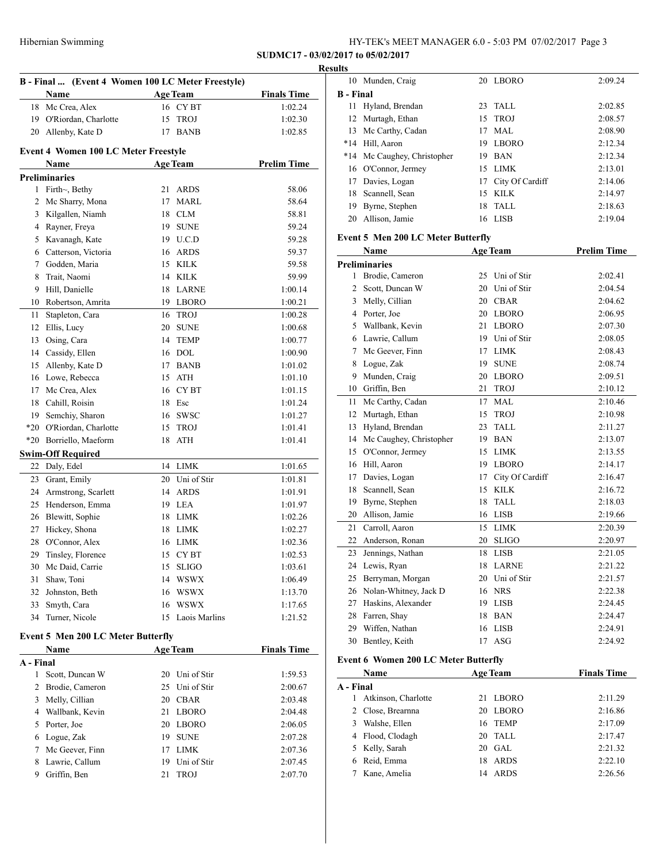| HY-TEK's MEET MANAGER 6.0 - 5:03 PM 07/02/2017 Page 3 |  |  |  |  |
|-------------------------------------------------------|--|--|--|--|
|-------------------------------------------------------|--|--|--|--|

|                | B - Final  (Event 4 Women 100 LC Meter Freestyle)<br>Name |    | <b>Age Team</b> | <b>Finals Time</b> |
|----------------|-----------------------------------------------------------|----|-----------------|--------------------|
|                | 18 Mc Crea, Alex                                          |    | 16 CYBT         | 1:02.24            |
|                | 19 O'Riordan, Charlotte                                   | 15 | <b>TROJ</b>     | 1:02.30            |
|                | 20 Allenby, Kate D                                        | 17 | <b>BANB</b>     | 1:02.85            |
|                | <b>Event 4 Women 100 LC Meter Freestyle</b>               |    |                 |                    |
|                | Name                                                      |    | <b>Age Team</b> | <b>Prelim Time</b> |
|                | <b>Preliminaries</b>                                      |    |                 |                    |
|                | 1 Firth~, Bethy                                           | 21 | <b>ARDS</b>     | 58.06              |
| 2              | Mc Sharry, Mona                                           | 17 | <b>MARL</b>     | 58.64              |
|                | 3 Kilgallen, Niamh                                        |    | 18 CLM          | 58.81              |
|                | 4 Rayner, Freya                                           |    | 19 SUNE         | 59.24              |
|                | 5 Kavanagh, Kate                                          |    | 19 U.C.D        | 59.28              |
|                | 6 Catterson, Victoria                                     |    | 16 ARDS         | 59.37              |
|                | 7 Godden, Maria                                           |    | 15 KILK         | 59.58              |
| 8              | Trait, Naomi                                              |    | 14 KILK         | 59.99              |
| 9              | Hill, Danielle                                            |    | 18 LARNE        | 1:00.14            |
|                | 10 Robertson, Amrita                                      |    | 19 LBORO        | 1:00.21            |
| 11             | Stapleton, Cara                                           |    | 16 TROJ         | 1:00.28            |
| 12             | Ellis, Lucy                                               |    | 20 SUNE         | 1:00.68            |
| 13             | Osing, Cara                                               |    | 14 TEMP         | 1:00.77            |
|                | 14 Cassidy, Ellen                                         |    | 16 DOL          | 1:00.90            |
|                | 15 Allenby, Kate D                                        |    | 17 BANB         | 1:01.02            |
|                | 16 Lowe, Rebecca                                          | 15 | ATH             | 1:01.10            |
|                | 17 Mc Crea, Alex                                          |    | 16 CYBT         | 1:01.15            |
|                | 18 Cahill, Roisin                                         | 18 | Esc             | 1:01.24            |
|                | 19 Semchiy, Sharon                                        |    | 16 SWSC         | 1:01.27            |
|                | *20 O'Riordan, Charlotte                                  |    | 15 TROJ         | 1:01.41            |
|                | *20 Borriello, Maeform                                    | 18 | ATH             | 1:01.41            |
|                | <b>Swim-Off Required</b>                                  |    |                 |                    |
|                | 22 Daly, Edel                                             |    | 14 LIMK         | 1:01.65            |
|                | 23 Grant, Emily                                           |    | 20 Uni of Stir  | 1:01.81            |
|                | 24 Armstrong, Scarlett                                    |    | 14 ARDS         | 1:01.91            |
|                | 25 Henderson, Emma                                        |    | 19 LEA          | 1:01.97            |
|                | 26 Blewitt, Sophie                                        | 18 | LIMK            | 1:02.26            |
| 27             | Hickey, Shona                                             | 18 | LIMK            | 1:02.27            |
| 28             | O'Connor, Alex                                            | 16 | <b>LIMK</b>     | 1:02.36            |
| 29             | Tinsley, Florence                                         | 15 | CY BT           | 1:02.53            |
| 30             | Mc Daid, Carrie                                           | 15 | $\rm SLIGO$     | 1:03.61            |
| 31             | Shaw, Toni                                                | 14 | WSWX            | 1:06.49            |
| 32             | Johnston, Beth                                            |    | 16 WSWX         | 1:13.70            |
| 33             | Smyth, Cara                                               |    | 16 WSWX         | 1:17.65            |
| 34             | Turner, Nicole                                            | 15 | Laois Marlins   | 1:21.52            |
|                | <b>Event 5 Men 200 LC Meter Butterfly</b>                 |    |                 |                    |
|                | Name                                                      |    | <b>Age Team</b> | <b>Finals Time</b> |
| A - Final      |                                                           |    |                 |                    |
| 1              | Scott, Duncan W                                           | 20 | Uni of Stir     | 1:59.53            |
| $\overline{2}$ | Brodie, Cameron                                           | 25 | Uni of Stir     | 2:00.67            |
| 3              | Melly, Cillian                                            |    | 20 CBAR         | 2:03.48            |
|                | 4 Wallbank, Kevin                                         | 21 | LBORO           | 2:04.48            |
|                | 5 Porter, Joe                                             |    | 20 LBORO        | 2:06.05            |
|                | 6 Logue, Zak                                              |    | 19 SUNE         | 2:07.28            |
| 7              | Mc Geever, Finn                                           | 17 | LIMK            | 2:07.36            |
| 8              | Lawrie, Callum                                            | 19 | Uni of Stir     | 2:07.45            |
| 9              | Griffin, Ben                                              | 21 | <b>TROJ</b>     | 2:07.70            |

| esults           |                             |    |                 |         |
|------------------|-----------------------------|----|-----------------|---------|
|                  | 10 Munden, Craig            |    | 20 LBORO        | 2:09.24 |
| <b>B</b> - Final |                             |    |                 |         |
|                  | 11 Hyland, Brendan          |    | $23$ TALL       | 2:02.85 |
|                  | 12 Murtagh, Ethan           |    | 15 TROJ         | 2:08.57 |
|                  | 13 Mc Carthy, Cadan         | 17 | MAL.            | 2:08.90 |
|                  | *14 Hill, Aaron             | 19 | LBORO           | 2:12.34 |
|                  | *14 Mc Caughey, Christopher | 19 | <b>BAN</b>      | 2:12.34 |
|                  | 16 O'Connor, Jermey         |    | 15 LIMK         | 2:13.01 |
|                  | 17 Davies, Logan            | 17 | City Of Cardiff | 2:14.06 |
|                  | 18 Scannell, Sean           |    | 15 KILK         | 2:14.97 |
| 19               | Byrne, Stephen              |    | 18 TALL         | 2:18.63 |
| 20               | Allison, Jamie              |    | 16 LISB         | 2:19.04 |
|                  |                             |    |                 |         |

# **Event 5 Men 200 LC Meter Butterfly**

|    | Name                    | <b>Age Team</b> |                 | <b>Prelim Time</b> |
|----|-------------------------|-----------------|-----------------|--------------------|
|    | <b>Preliminaries</b>    |                 |                 |                    |
| 1  | Brodie, Cameron         | 25              | Uni of Stir     | 2:02.41            |
| 2  | Scott, Duncan W         | 20              | Uni of Stir     | 2:04.54            |
| 3  | Melly, Cillian          | 20              | <b>CBAR</b>     | 2:04.62            |
| 4  | Porter, Joe             | 20              | <b>LBORO</b>    | 2:06.95            |
| 5  | Wallbank, Kevin         | 21              | <b>LBORO</b>    | 2:07.30            |
| 6  | Lawrie, Callum          | 19              | Uni of Stir     | 2:08.05            |
| 7  | Mc Geever, Finn         | 17              | <b>LIMK</b>     | 2:08.43            |
| 8  | Logue, Zak              | 19              | <b>SUNE</b>     | 2:08.74            |
| 9  | Munden, Craig           | 20              | <b>LBORO</b>    | 2:09.51            |
| 10 | Griffin, Ben            | 21              | <b>TROJ</b>     | 2:10.12            |
| 11 | Mc Carthy, Cadan        | 17              | MAL             | 2:10.46            |
| 12 | Murtagh, Ethan          | 15              | <b>TROJ</b>     | 2:10.98            |
| 13 | Hyland, Brendan         | 23              | <b>TALL</b>     | 2:11.27            |
| 14 | Mc Caughey, Christopher | 19              | <b>BAN</b>      | 2:13.07            |
| 15 | O'Connor, Jermey        | 15              | <b>LIMK</b>     | 2:13.55            |
| 16 | Hill, Aaron             | 19              | <b>LBORO</b>    | 2:14.17            |
| 17 | Davies, Logan           | 17              | City Of Cardiff | 2:16.47            |
| 18 | Scannell, Sean          | 15              | <b>KILK</b>     | 2:16.72            |
| 19 | Byrne, Stephen          | 18              | <b>TALL</b>     | 2:18.03            |
| 20 | Allison, Jamie          | 16              | <b>LISB</b>     | 2:19.66            |
| 21 | Carroll, Aaron          | 15              | <b>LIMK</b>     | 2:20.39            |
| 22 | Anderson, Ronan         | 20              | <b>SLIGO</b>    | 2:20.97            |
| 23 | Jennings, Nathan        | 18              | <b>LISB</b>     | 2:21.05            |
| 24 | Lewis, Ryan             | 18              | <b>LARNE</b>    | 2:21.22            |
| 25 | Berryman, Morgan        | 20              | Uni of Stir     | 2:21.57            |
| 26 | Nolan-Whitney, Jack D   | 16              | <b>NRS</b>      | 2:22.38            |
| 27 | Haskins, Alexander      | 19              | <b>LISB</b>     | 2:24.45            |
| 28 | Farren, Shay            | 18              | <b>BAN</b>      | 2:24.47            |
| 29 | Wiffen, Nathan          | 16              | <b>LISB</b>     | 2:24.91            |
| 30 | Bentley, Keith          | 17              | <b>ASG</b>      | 2:24.92            |

# **Event 6 Women 200 LC Meter Butterfly**

|           | <b>Age Team</b><br>Name |             | <b>Finals Time</b> |
|-----------|-------------------------|-------------|--------------------|
| A - Final |                         |             |                    |
|           | Atkinson, Charlotte     | LBORO<br>21 | 2:11.29            |
|           | 2 Close, Brearnna       | 20 LBORO    | 2:16.86            |
| 3         | Walshe, Ellen           | 16 TEMP     | 2:17.09            |
|           | 4 Flood, Clodagh        | 20 TALL     | 2:17.47            |
|           | 5 Kelly, Sarah          | 20 GAL      | 2:21.32            |
|           | 6 Reid, Emma            | ARDS<br>18  | 2:22.10            |
|           | Kane, Amelia            | ARDS<br>14  | 2:26.56            |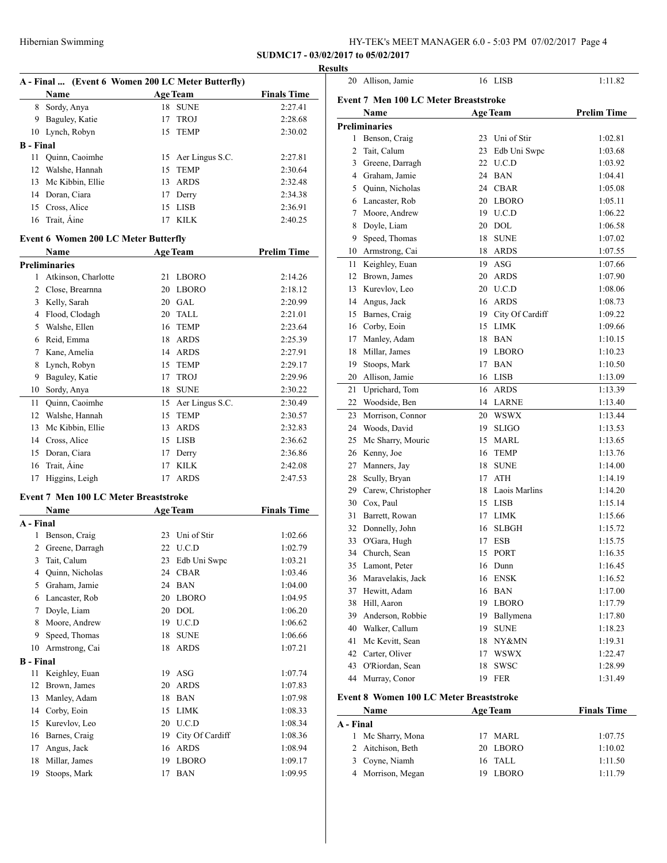## Hibernian Swimming HY-TEK's MEET MANAGER 6.0 - 5:03 PM 07/02/2017 Page 4

**SUDMC17 - 03/02/2017 to 05/02/2017**

|                          |                                                                                                                                                                                                                                                                                                                                                                                                                                                                                                                                                                                                                                                                                                                                                                                                                                                                                                                                                |                                                                         | <b>Results</b>                                                                                                                                                                                                                                                                                                                                                                                                                                                                                                                                                                                                                                                                                                                                                                                                                                  |
|--------------------------|------------------------------------------------------------------------------------------------------------------------------------------------------------------------------------------------------------------------------------------------------------------------------------------------------------------------------------------------------------------------------------------------------------------------------------------------------------------------------------------------------------------------------------------------------------------------------------------------------------------------------------------------------------------------------------------------------------------------------------------------------------------------------------------------------------------------------------------------------------------------------------------------------------------------------------------------|-------------------------------------------------------------------------|-------------------------------------------------------------------------------------------------------------------------------------------------------------------------------------------------------------------------------------------------------------------------------------------------------------------------------------------------------------------------------------------------------------------------------------------------------------------------------------------------------------------------------------------------------------------------------------------------------------------------------------------------------------------------------------------------------------------------------------------------------------------------------------------------------------------------------------------------|
|                          |                                                                                                                                                                                                                                                                                                                                                                                                                                                                                                                                                                                                                                                                                                                                                                                                                                                                                                                                                |                                                                         |                                                                                                                                                                                                                                                                                                                                                                                                                                                                                                                                                                                                                                                                                                                                                                                                                                                 |
|                          |                                                                                                                                                                                                                                                                                                                                                                                                                                                                                                                                                                                                                                                                                                                                                                                                                                                                                                                                                |                                                                         | <b>Finals Time</b>                                                                                                                                                                                                                                                                                                                                                                                                                                                                                                                                                                                                                                                                                                                                                                                                                              |
|                          |                                                                                                                                                                                                                                                                                                                                                                                                                                                                                                                                                                                                                                                                                                                                                                                                                                                                                                                                                |                                                                         | 2:27.41<br>2:28.68                                                                                                                                                                                                                                                                                                                                                                                                                                                                                                                                                                                                                                                                                                                                                                                                                              |
|                          |                                                                                                                                                                                                                                                                                                                                                                                                                                                                                                                                                                                                                                                                                                                                                                                                                                                                                                                                                |                                                                         | 2:30.02                                                                                                                                                                                                                                                                                                                                                                                                                                                                                                                                                                                                                                                                                                                                                                                                                                         |
|                          |                                                                                                                                                                                                                                                                                                                                                                                                                                                                                                                                                                                                                                                                                                                                                                                                                                                                                                                                                |                                                                         |                                                                                                                                                                                                                                                                                                                                                                                                                                                                                                                                                                                                                                                                                                                                                                                                                                                 |
|                          |                                                                                                                                                                                                                                                                                                                                                                                                                                                                                                                                                                                                                                                                                                                                                                                                                                                                                                                                                |                                                                         | 2:27.81                                                                                                                                                                                                                                                                                                                                                                                                                                                                                                                                                                                                                                                                                                                                                                                                                                         |
|                          |                                                                                                                                                                                                                                                                                                                                                                                                                                                                                                                                                                                                                                                                                                                                                                                                                                                                                                                                                |                                                                         | 2:30.64                                                                                                                                                                                                                                                                                                                                                                                                                                                                                                                                                                                                                                                                                                                                                                                                                                         |
|                          |                                                                                                                                                                                                                                                                                                                                                                                                                                                                                                                                                                                                                                                                                                                                                                                                                                                                                                                                                |                                                                         | 2:32.48                                                                                                                                                                                                                                                                                                                                                                                                                                                                                                                                                                                                                                                                                                                                                                                                                                         |
|                          |                                                                                                                                                                                                                                                                                                                                                                                                                                                                                                                                                                                                                                                                                                                                                                                                                                                                                                                                                |                                                                         | 2:34.38                                                                                                                                                                                                                                                                                                                                                                                                                                                                                                                                                                                                                                                                                                                                                                                                                                         |
|                          |                                                                                                                                                                                                                                                                                                                                                                                                                                                                                                                                                                                                                                                                                                                                                                                                                                                                                                                                                |                                                                         | 2:36.91                                                                                                                                                                                                                                                                                                                                                                                                                                                                                                                                                                                                                                                                                                                                                                                                                                         |
|                          |                                                                                                                                                                                                                                                                                                                                                                                                                                                                                                                                                                                                                                                                                                                                                                                                                                                                                                                                                |                                                                         | 2:40.25                                                                                                                                                                                                                                                                                                                                                                                                                                                                                                                                                                                                                                                                                                                                                                                                                                         |
|                          |                                                                                                                                                                                                                                                                                                                                                                                                                                                                                                                                                                                                                                                                                                                                                                                                                                                                                                                                                |                                                                         |                                                                                                                                                                                                                                                                                                                                                                                                                                                                                                                                                                                                                                                                                                                                                                                                                                                 |
|                          |                                                                                                                                                                                                                                                                                                                                                                                                                                                                                                                                                                                                                                                                                                                                                                                                                                                                                                                                                |                                                                         |                                                                                                                                                                                                                                                                                                                                                                                                                                                                                                                                                                                                                                                                                                                                                                                                                                                 |
|                          |                                                                                                                                                                                                                                                                                                                                                                                                                                                                                                                                                                                                                                                                                                                                                                                                                                                                                                                                                |                                                                         | <b>Prelim Time</b>                                                                                                                                                                                                                                                                                                                                                                                                                                                                                                                                                                                                                                                                                                                                                                                                                              |
|                          |                                                                                                                                                                                                                                                                                                                                                                                                                                                                                                                                                                                                                                                                                                                                                                                                                                                                                                                                                |                                                                         | 2:14.26                                                                                                                                                                                                                                                                                                                                                                                                                                                                                                                                                                                                                                                                                                                                                                                                                                         |
|                          |                                                                                                                                                                                                                                                                                                                                                                                                                                                                                                                                                                                                                                                                                                                                                                                                                                                                                                                                                |                                                                         | 2:18.12                                                                                                                                                                                                                                                                                                                                                                                                                                                                                                                                                                                                                                                                                                                                                                                                                                         |
|                          |                                                                                                                                                                                                                                                                                                                                                                                                                                                                                                                                                                                                                                                                                                                                                                                                                                                                                                                                                |                                                                         | 2:20.99                                                                                                                                                                                                                                                                                                                                                                                                                                                                                                                                                                                                                                                                                                                                                                                                                                         |
|                          |                                                                                                                                                                                                                                                                                                                                                                                                                                                                                                                                                                                                                                                                                                                                                                                                                                                                                                                                                |                                                                         | 2:21.01                                                                                                                                                                                                                                                                                                                                                                                                                                                                                                                                                                                                                                                                                                                                                                                                                                         |
|                          |                                                                                                                                                                                                                                                                                                                                                                                                                                                                                                                                                                                                                                                                                                                                                                                                                                                                                                                                                |                                                                         | 2:23.64                                                                                                                                                                                                                                                                                                                                                                                                                                                                                                                                                                                                                                                                                                                                                                                                                                         |
|                          |                                                                                                                                                                                                                                                                                                                                                                                                                                                                                                                                                                                                                                                                                                                                                                                                                                                                                                                                                |                                                                         | 2:25.39                                                                                                                                                                                                                                                                                                                                                                                                                                                                                                                                                                                                                                                                                                                                                                                                                                         |
|                          |                                                                                                                                                                                                                                                                                                                                                                                                                                                                                                                                                                                                                                                                                                                                                                                                                                                                                                                                                |                                                                         | 2:27.91                                                                                                                                                                                                                                                                                                                                                                                                                                                                                                                                                                                                                                                                                                                                                                                                                                         |
|                          |                                                                                                                                                                                                                                                                                                                                                                                                                                                                                                                                                                                                                                                                                                                                                                                                                                                                                                                                                |                                                                         | 2:29.17                                                                                                                                                                                                                                                                                                                                                                                                                                                                                                                                                                                                                                                                                                                                                                                                                                         |
|                          |                                                                                                                                                                                                                                                                                                                                                                                                                                                                                                                                                                                                                                                                                                                                                                                                                                                                                                                                                |                                                                         | 2:29.96                                                                                                                                                                                                                                                                                                                                                                                                                                                                                                                                                                                                                                                                                                                                                                                                                                         |
|                          |                                                                                                                                                                                                                                                                                                                                                                                                                                                                                                                                                                                                                                                                                                                                                                                                                                                                                                                                                |                                                                         | 2:30.22                                                                                                                                                                                                                                                                                                                                                                                                                                                                                                                                                                                                                                                                                                                                                                                                                                         |
|                          |                                                                                                                                                                                                                                                                                                                                                                                                                                                                                                                                                                                                                                                                                                                                                                                                                                                                                                                                                |                                                                         | 2:30.49                                                                                                                                                                                                                                                                                                                                                                                                                                                                                                                                                                                                                                                                                                                                                                                                                                         |
|                          |                                                                                                                                                                                                                                                                                                                                                                                                                                                                                                                                                                                                                                                                                                                                                                                                                                                                                                                                                |                                                                         | 2:30.57                                                                                                                                                                                                                                                                                                                                                                                                                                                                                                                                                                                                                                                                                                                                                                                                                                         |
|                          |                                                                                                                                                                                                                                                                                                                                                                                                                                                                                                                                                                                                                                                                                                                                                                                                                                                                                                                                                |                                                                         | 2:32.83                                                                                                                                                                                                                                                                                                                                                                                                                                                                                                                                                                                                                                                                                                                                                                                                                                         |
|                          |                                                                                                                                                                                                                                                                                                                                                                                                                                                                                                                                                                                                                                                                                                                                                                                                                                                                                                                                                |                                                                         | 2:36.62                                                                                                                                                                                                                                                                                                                                                                                                                                                                                                                                                                                                                                                                                                                                                                                                                                         |
|                          |                                                                                                                                                                                                                                                                                                                                                                                                                                                                                                                                                                                                                                                                                                                                                                                                                                                                                                                                                |                                                                         | 2:36.86                                                                                                                                                                                                                                                                                                                                                                                                                                                                                                                                                                                                                                                                                                                                                                                                                                         |
|                          |                                                                                                                                                                                                                                                                                                                                                                                                                                                                                                                                                                                                                                                                                                                                                                                                                                                                                                                                                |                                                                         | 2:42.08                                                                                                                                                                                                                                                                                                                                                                                                                                                                                                                                                                                                                                                                                                                                                                                                                                         |
|                          |                                                                                                                                                                                                                                                                                                                                                                                                                                                                                                                                                                                                                                                                                                                                                                                                                                                                                                                                                |                                                                         | 2:47.53                                                                                                                                                                                                                                                                                                                                                                                                                                                                                                                                                                                                                                                                                                                                                                                                                                         |
|                          |                                                                                                                                                                                                                                                                                                                                                                                                                                                                                                                                                                                                                                                                                                                                                                                                                                                                                                                                                |                                                                         |                                                                                                                                                                                                                                                                                                                                                                                                                                                                                                                                                                                                                                                                                                                                                                                                                                                 |
|                          |                                                                                                                                                                                                                                                                                                                                                                                                                                                                                                                                                                                                                                                                                                                                                                                                                                                                                                                                                |                                                                         |                                                                                                                                                                                                                                                                                                                                                                                                                                                                                                                                                                                                                                                                                                                                                                                                                                                 |
|                          |                                                                                                                                                                                                                                                                                                                                                                                                                                                                                                                                                                                                                                                                                                                                                                                                                                                                                                                                                |                                                                         | <b>Finals Time</b>                                                                                                                                                                                                                                                                                                                                                                                                                                                                                                                                                                                                                                                                                                                                                                                                                              |
|                          |                                                                                                                                                                                                                                                                                                                                                                                                                                                                                                                                                                                                                                                                                                                                                                                                                                                                                                                                                |                                                                         | 1:02.66                                                                                                                                                                                                                                                                                                                                                                                                                                                                                                                                                                                                                                                                                                                                                                                                                                         |
|                          |                                                                                                                                                                                                                                                                                                                                                                                                                                                                                                                                                                                                                                                                                                                                                                                                                                                                                                                                                |                                                                         | 1:02.79                                                                                                                                                                                                                                                                                                                                                                                                                                                                                                                                                                                                                                                                                                                                                                                                                                         |
|                          |                                                                                                                                                                                                                                                                                                                                                                                                                                                                                                                                                                                                                                                                                                                                                                                                                                                                                                                                                |                                                                         | 1:03.21                                                                                                                                                                                                                                                                                                                                                                                                                                                                                                                                                                                                                                                                                                                                                                                                                                         |
|                          |                                                                                                                                                                                                                                                                                                                                                                                                                                                                                                                                                                                                                                                                                                                                                                                                                                                                                                                                                |                                                                         | 1:03.46                                                                                                                                                                                                                                                                                                                                                                                                                                                                                                                                                                                                                                                                                                                                                                                                                                         |
|                          |                                                                                                                                                                                                                                                                                                                                                                                                                                                                                                                                                                                                                                                                                                                                                                                                                                                                                                                                                |                                                                         | 1:04.00                                                                                                                                                                                                                                                                                                                                                                                                                                                                                                                                                                                                                                                                                                                                                                                                                                         |
|                          |                                                                                                                                                                                                                                                                                                                                                                                                                                                                                                                                                                                                                                                                                                                                                                                                                                                                                                                                                |                                                                         | 1:04.95                                                                                                                                                                                                                                                                                                                                                                                                                                                                                                                                                                                                                                                                                                                                                                                                                                         |
|                          |                                                                                                                                                                                                                                                                                                                                                                                                                                                                                                                                                                                                                                                                                                                                                                                                                                                                                                                                                |                                                                         | 1:06.20                                                                                                                                                                                                                                                                                                                                                                                                                                                                                                                                                                                                                                                                                                                                                                                                                                         |
|                          |                                                                                                                                                                                                                                                                                                                                                                                                                                                                                                                                                                                                                                                                                                                                                                                                                                                                                                                                                |                                                                         | 1:06.62                                                                                                                                                                                                                                                                                                                                                                                                                                                                                                                                                                                                                                                                                                                                                                                                                                         |
|                          |                                                                                                                                                                                                                                                                                                                                                                                                                                                                                                                                                                                                                                                                                                                                                                                                                                                                                                                                                |                                                                         | 1:06.66                                                                                                                                                                                                                                                                                                                                                                                                                                                                                                                                                                                                                                                                                                                                                                                                                                         |
|                          |                                                                                                                                                                                                                                                                                                                                                                                                                                                                                                                                                                                                                                                                                                                                                                                                                                                                                                                                                |                                                                         | 1:07.21                                                                                                                                                                                                                                                                                                                                                                                                                                                                                                                                                                                                                                                                                                                                                                                                                                         |
|                          |                                                                                                                                                                                                                                                                                                                                                                                                                                                                                                                                                                                                                                                                                                                                                                                                                                                                                                                                                |                                                                         |                                                                                                                                                                                                                                                                                                                                                                                                                                                                                                                                                                                                                                                                                                                                                                                                                                                 |
|                          |                                                                                                                                                                                                                                                                                                                                                                                                                                                                                                                                                                                                                                                                                                                                                                                                                                                                                                                                                |                                                                         | 1:07.74                                                                                                                                                                                                                                                                                                                                                                                                                                                                                                                                                                                                                                                                                                                                                                                                                                         |
|                          |                                                                                                                                                                                                                                                                                                                                                                                                                                                                                                                                                                                                                                                                                                                                                                                                                                                                                                                                                |                                                                         | 1:07.83                                                                                                                                                                                                                                                                                                                                                                                                                                                                                                                                                                                                                                                                                                                                                                                                                                         |
|                          |                                                                                                                                                                                                                                                                                                                                                                                                                                                                                                                                                                                                                                                                                                                                                                                                                                                                                                                                                |                                                                         | 1:07.98                                                                                                                                                                                                                                                                                                                                                                                                                                                                                                                                                                                                                                                                                                                                                                                                                                         |
|                          |                                                                                                                                                                                                                                                                                                                                                                                                                                                                                                                                                                                                                                                                                                                                                                                                                                                                                                                                                |                                                                         | 1:08.33                                                                                                                                                                                                                                                                                                                                                                                                                                                                                                                                                                                                                                                                                                                                                                                                                                         |
|                          |                                                                                                                                                                                                                                                                                                                                                                                                                                                                                                                                                                                                                                                                                                                                                                                                                                                                                                                                                |                                                                         | 1:08.34                                                                                                                                                                                                                                                                                                                                                                                                                                                                                                                                                                                                                                                                                                                                                                                                                                         |
|                          |                                                                                                                                                                                                                                                                                                                                                                                                                                                                                                                                                                                                                                                                                                                                                                                                                                                                                                                                                |                                                                         | 1:08.36                                                                                                                                                                                                                                                                                                                                                                                                                                                                                                                                                                                                                                                                                                                                                                                                                                         |
|                          |                                                                                                                                                                                                                                                                                                                                                                                                                                                                                                                                                                                                                                                                                                                                                                                                                                                                                                                                                |                                                                         | 1:08.94                                                                                                                                                                                                                                                                                                                                                                                                                                                                                                                                                                                                                                                                                                                                                                                                                                         |
|                          |                                                                                                                                                                                                                                                                                                                                                                                                                                                                                                                                                                                                                                                                                                                                                                                                                                                                                                                                                |                                                                         | 1:09.17                                                                                                                                                                                                                                                                                                                                                                                                                                                                                                                                                                                                                                                                                                                                                                                                                                         |
| 19<br>Stoops, Mark       |                                                                                                                                                                                                                                                                                                                                                                                                                                                                                                                                                                                                                                                                                                                                                                                                                                                                                                                                                |                                                                         | 1:09.95                                                                                                                                                                                                                                                                                                                                                                                                                                                                                                                                                                                                                                                                                                                                                                                                                                         |
| 11<br>$\mathbf{1}$<br>10 | <b>Name</b><br>8 Sordy, Anya<br>9 Baguley, Katie<br>10 Lynch, Robyn<br><b>B</b> - Final<br>Quinn, Caoimhe<br>12 Walshe, Hannah<br>13 Mc Kibbin, Ellie<br>14 Doran, Ciara<br>15 Cross, Alice<br>16 Trait, Aine<br>Name<br><b>Preliminaries</b><br>Atkinson, Charlotte<br>2 Close, Brearnna<br>3 Kelly, Sarah<br>4 Flood, Clodagh<br>5 Walshe, Ellen<br>6 Reid, Emma<br>7 Kane, Amelia<br>Lynch, Robyn<br>Baguley, Katie<br>Sordy, Anya<br>Quinn, Caoimhe<br>12 Walshe, Hannah<br>Mc Kibbin, Ellie<br>14 Cross, Alice<br>15 Doran, Ciara<br>16 Trait, Aine<br>Higgins, Leigh<br><b>Name</b><br>A - Final<br>Benson, Craig<br>2 Greene, Darragh<br>Tait, Calum<br>Quinn, Nicholas<br>Graham, Jamie<br>Lancaster, Rob<br>Doyle, Liam<br>Moore, Andrew<br>Speed, Thomas<br>Armstrong, Cai<br><b>B</b> - Final<br>Keighley, Euan<br>Brown, James<br>Manley, Adam<br>14 Corby, Eoin<br>Kurevlov, Leo<br>Barnes, Craig<br>Angus, Jack<br>Millar, James | <u> 1989 - Johann Barnett, fransk politiker</u><br>15<br>13<br>23<br>18 | A - Final  (Event 6 Women 200 LC Meter Butterfly)<br><b>Age Team</b><br>18 SUNE<br>17 TROJ<br>15 TEMP<br>15 Aer Lingus S.C.<br>15 TEMP<br>13 ARDS<br>17 Derry<br>15 LISB<br>17 KILK<br><b>Event 6 Women 200 LC Meter Butterfly</b><br><b>Example 21 Age Team</b><br>21 LBORO<br>20 LBORO<br>$20$ GAL<br>20 TALL<br>16 TEMP<br>18 ARDS<br>14 ARDS<br>15 TEMP<br><b>TROJ</b><br>17<br>18<br><b>SUNE</b><br>15 Aer Lingus S.C.<br><b>TEMP</b><br>ARDS<br>15 LISB<br>17 Derry<br>17 KILK<br>17 ARDS<br><b>Event 7 Men 100 LC Meter Breaststroke</b><br><b>Age Team</b><br>23 Uni of Stir<br>22 U.C.D<br>Edb Uni Swpc<br>24 CBAR<br>24 BAN<br>20 LBORO<br>20 DOL<br>U.C.D<br>19<br>18<br><b>SUNE</b><br><b>ARDS</b><br>19 ASG<br><b>ARDS</b><br>20<br>18 BAN<br><b>LIMK</b><br>15<br>20 U.C.D<br>19 City Of Cardiff<br>16 ARDS<br>19 LBORO<br>17 BAN |

| 20        | Allison, Jamie                                 |    | 16 LISB                     | 1:11.82            |
|-----------|------------------------------------------------|----|-----------------------------|--------------------|
|           | <b>Event 7 Men 100 LC Meter Breaststroke</b>   |    |                             |                    |
|           | Name                                           |    | <b>Age Team</b>             | <b>Prelim Time</b> |
|           | <b>Preliminaries</b>                           |    |                             |                    |
| 1         | Benson, Craig                                  | 23 | Uni of Stir                 | 1:02.81            |
| 2         | Tait, Calum                                    | 23 | Edb Uni Swpc                | 1:03.68            |
| 3         | Greene, Darragh                                | 22 | U.C.D                       | 1:03.92            |
|           | 4 Graham, Jamie                                | 24 | <b>BAN</b>                  | 1:04.41            |
| 5         | Quinn, Nicholas                                | 24 | <b>CBAR</b>                 | 1:05.08            |
| 6         | Lancaster, Rob                                 |    | 20 LBORO                    | 1:05.11            |
| 7         | Moore, Andrew                                  |    | 19 U.C.D                    | 1:06.22            |
| 8         | Doyle, Liam                                    | 20 | DOL                         | 1:06.58            |
| 9         | Speed, Thomas                                  | 18 | <b>SUNE</b>                 | 1:07.02            |
| 10        | Armstrong, Cai                                 | 18 | <b>ARDS</b>                 | 1:07.55            |
| 11        | Keighley, Euan                                 | 19 | ASG                         | 1:07.66            |
| 12        | Brown, James                                   | 20 | <b>ARDS</b>                 | 1:07.90            |
| 13        | Kurevlov, Leo                                  |    | 20 U.C.D                    | 1:08.06            |
| 14        | Angus, Jack                                    |    | 16 ARDS                     | 1:08.73            |
| 15        | Barnes, Craig                                  |    | 19 City Of Cardiff          | 1:09.22            |
|           | 16 Corby, Eoin                                 |    | 15 LIMK                     | 1:09.66            |
| 17        | Manley, Adam                                   | 18 | BAN                         | 1:10.15            |
| 18        | Millar, James                                  | 19 | LBORO                       | 1:10.23            |
| 19        | Stoops, Mark                                   | 17 | <b>BAN</b>                  | 1:10.50            |
|           | 20 Allison, Jamie                              |    | 16 LISB                     | 1:13.09            |
| 21        | Uprichard, Tom                                 | 16 | <b>ARDS</b>                 | 1:13.39            |
| 22        | Woodside, Ben                                  |    | 14 LARNE                    | 1:13.40            |
| 23        | Morrison, Connor                               | 20 | <b>WSWX</b>                 | 1:13.44            |
| 24        | Woods, David                                   | 19 | <b>SLIGO</b>                | 1:13.53            |
| 25        | Mc Sharry, Mouric                              | 15 | MARL                        | 1:13.65            |
| 26        | Kenny, Joe                                     | 16 | <b>TEMP</b>                 | 1:13.76            |
| 27        | Manners, Jay                                   | 18 | <b>SUNE</b>                 | 1:14.00            |
| 28        | Scully, Bryan                                  |    | 17 ATH                      | 1:14.19            |
| 29        | Carew, Christopher                             |    | 18 Laois Marlins            | 1:14.20            |
| 30        | Cox, Paul                                      |    | 15 LISB                     | 1:15.14            |
| 31        | Barrett, Rowan                                 | 17 | <b>LIMK</b>                 | 1:15.66            |
| 32        | Donnelly, John                                 | 16 | <b>SLBGH</b>                | 1:15.72            |
| 33        | O'Gara, Hugh                                   | 17 | <b>ESB</b>                  | 1:15.75            |
| 34        | Church, Sean                                   | 15 | <b>PORT</b>                 | 1:16.35            |
| 35        | Lamont, Peter                                  | 16 | Dunn                        | 1:16.45            |
| 36        | Maravelakis, Jack<br>Hewitt, Adam              | 16 | <b>ENSK</b>                 | 1:16.52            |
| 37        |                                                | 16 | $\ensuremath{\mathsf{BAN}}$ | 1:17.00            |
| 38<br>39  | Hill, Aaron<br>Anderson, Robbie                |    | 19 LBORO<br>19 Ballymena    | 1:17.79            |
| 40        | Walker, Callum                                 |    | 19 SUNE                     | 1:17.80<br>1:18.23 |
| 41        | Mc Kevitt, Sean                                |    | 18 NY&MN                    | 1:19.31            |
|           | 42 Carter, Oliver                              | 17 | <b>WSWX</b>                 | 1:22.47            |
| 43        | O'Riordan, Sean                                | 18 | SWSC                        | 1:28.99            |
| 44        | Murray, Conor                                  | 19 | FER                         | 1:31.49            |
|           |                                                |    |                             |                    |
|           | <b>Event 8 Women 100 LC Meter Breaststroke</b> |    |                             |                    |
|           | Name                                           |    | <b>Age Team</b>             | <b>Finals Time</b> |
| A - Final |                                                |    |                             |                    |
| 1         | Mc Sharry, Mona                                | 17 | MARL                        | 1:07.75            |
| 2         | Aitchison, Beth                                | 20 | LBORO                       | 1:10.02            |
| 3         | Coyne, Niamh                                   | 16 | <b>TALL</b>                 | 1:11.50            |
| 4         | Morrison, Megan                                | 19 | <b>LBORO</b>                | 1:11.79            |
|           |                                                |    |                             |                    |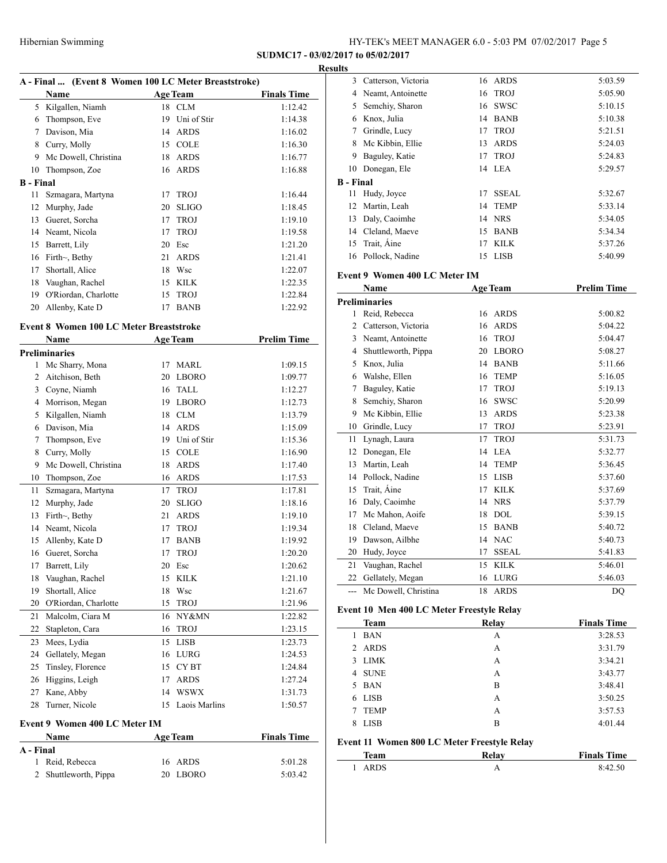#### **Results**

| A - Final  (Event 8 Women 100 LC Meter Breaststroke) |                      |    |                 |                    |  |  |
|------------------------------------------------------|----------------------|----|-----------------|--------------------|--|--|
|                                                      | Name                 |    | <b>Age Team</b> | <b>Finals Time</b> |  |  |
| 5                                                    | Kilgallen, Niamh     | 18 | <b>CLM</b>      | 1:12.42            |  |  |
| 6                                                    | Thompson, Eve        | 19 | Uni of Stir     | 1:14.38            |  |  |
| 7                                                    | Davison, Mia         | 14 | <b>ARDS</b>     | 1:16.02            |  |  |
| 8                                                    | Curry, Molly         | 15 | <b>COLE</b>     | 1:16.30            |  |  |
| 9                                                    | Mc Dowell, Christina | 18 | <b>ARDS</b>     | 1:16.77            |  |  |
| 10                                                   | Thompson, Zoe        | 16 | <b>ARDS</b>     | 1:16.88            |  |  |
| <b>B</b> - Final                                     |                      |    |                 |                    |  |  |
| 11                                                   | Szmagara, Martyna    | 17 | <b>TROJ</b>     | 1:16.44            |  |  |
| 12                                                   | Murphy, Jade         | 20 | <b>SLIGO</b>    | 1:18.45            |  |  |
| 13                                                   | Gueret, Sorcha       | 17 | <b>TROJ</b>     | 1:19.10            |  |  |
| 14                                                   | Neamt, Nicola        | 17 | <b>TROJ</b>     | 1:19.58            |  |  |
| 15                                                   | Barrett, Lily        | 20 | Esc             | 1:21.20            |  |  |
| 16                                                   | Firth $\sim$ , Bethy | 21 | <b>ARDS</b>     | 1:21.41            |  |  |
| 17                                                   | Shortall, Alice      | 18 | Wsc             | 1:22.07            |  |  |
| 18                                                   | Vaughan, Rachel      | 15 | <b>KILK</b>     | 1:22.35            |  |  |
| 19                                                   | O'Riordan, Charlotte | 15 | <b>TROJ</b>     | 1:22.84            |  |  |
| 20                                                   | Allenby, Kate D      | 17 | <b>BANB</b>     | 1:22.92            |  |  |
|                                                      |                      |    |                 |                    |  |  |

## **Event 8 Women 100 LC Meter Breaststroke**

|                | Name                 |    | <b>Age Team</b> | <b>Prelim Time</b> |
|----------------|----------------------|----|-----------------|--------------------|
|                | <b>Preliminaries</b> |    |                 |                    |
| 1              | Mc Sharry, Mona      | 17 | <b>MARL</b>     | 1:09.15            |
| $\overline{2}$ | Aitchison, Beth      | 20 | <b>LBORO</b>    | 1:09.77            |
| 3              | Coyne, Niamh         | 16 | <b>TALL</b>     | 1:12.27            |
| 4              | Morrison, Megan      | 19 | <b>LBORO</b>    | 1:12.73            |
| 5              | Kilgallen, Niamh     | 18 | <b>CLM</b>      | 1:13.79            |
| 6              | Davison, Mia         | 14 | <b>ARDS</b>     | 1:15.09            |
| 7              | Thompson, Eve        | 19 | Uni of Stir     | 1:15.36            |
| 8              | Curry, Molly         | 15 | <b>COLE</b>     | 1:16.90            |
| 9              | Mc Dowell, Christina | 18 | <b>ARDS</b>     | 1:17.40            |
| 10             | Thompson, Zoe        | 16 | <b>ARDS</b>     | 1:17.53            |
| 11             | Szmagara, Martyna    | 17 | <b>TROJ</b>     | 1:17.81            |
| 12             | Murphy, Jade         | 20 | <b>SLIGO</b>    | 1:18.16            |
| 13             | Firth $\sim$ , Bethy | 21 | <b>ARDS</b>     | 1:19.10            |
| 14             | Neamt, Nicola        | 17 | <b>TROJ</b>     | 1:19.34            |
| 15             | Allenby, Kate D      | 17 | <b>BANB</b>     | 1:19.92            |
| 16             | Gueret, Sorcha       | 17 | <b>TROJ</b>     | 1:20.20            |
| 17             | Barrett, Lily        | 20 | Esc             | 1:20.62            |
| 18             | Vaughan, Rachel      | 15 | <b>KILK</b>     | 1:21.10            |
| 19             | Shortall, Alice      | 18 | Wsc             | 1:21.67            |
| 20             | O'Riordan, Charlotte | 15 | <b>TROJ</b>     | 1:21.96            |
| 21             | Malcolm, Ciara M     | 16 | NY&MN           | 1:22.82            |
| 22             | Stapleton, Cara      | 16 | <b>TROJ</b>     | 1:23.15            |
| 23             | Mees, Lydia          | 15 | <b>LISB</b>     | 1:23.73            |
| 24             | Gellately, Megan     | 16 | <b>LURG</b>     | 1:24.53            |
| 25             | Tinsley, Florence    | 15 | <b>CYBT</b>     | 1:24.84            |
| 26             | Higgins, Leigh       | 17 | <b>ARDS</b>     | 1:27.24            |
| 27             | Kane, Abby           | 14 | <b>WSWX</b>     | 1:31.73            |
| 28             | Turner, Nicole       | 15 | Laois Marlins   | 1:50.57            |
|                |                      |    |                 |                    |

## **Event 9 Women 400 LC Meter IM**

| Name                  | <b>Age Team</b> | <b>Finals Time</b> |
|-----------------------|-----------------|--------------------|
| A - Final             |                 |                    |
| 1 Reid, Rebecca       | 16 ARDS         | 5:01.28            |
| 2 Shuttleworth, Pippa | 20 LBORO        | 5:03.42            |

| 3         | Catterson, Victoria | 16 | ARDS         | 5:03.59 |
|-----------|---------------------|----|--------------|---------|
| 4         | Neamt, Antoinette   |    | 16 TROJ      | 5:05.90 |
| 5         | Semchiy, Sharon     | 16 | <b>SWSC</b>  | 5:10.15 |
| 6         | Knox, Julia         | 14 | <b>BANB</b>  | 5:10.38 |
| 7         | Grindle, Lucy       | 17 | <b>TROJ</b>  | 5:21.51 |
| 8         | Mc Kibbin, Ellie    | 13 | <b>ARDS</b>  | 5:24.03 |
| 9         | Baguley, Katie      | 17 | <b>TROJ</b>  | 5:24.83 |
| 10        | Donegan, Ele        |    | 14 LEA       | 5:29.57 |
| B - Final |                     |    |              |         |
| 11        | Hudy, Joyce         | 17 | <b>SSEAL</b> | 5:32.67 |
|           | 12 Martin, Leah     | 14 | <b>TEMP</b>  | 5:33.14 |
| 13        | Daly, Caoimhe       | 14 | <b>NRS</b>   | 5:34.05 |
| 14        | Cleland, Maeve      | 15 | <b>BANB</b>  | 5:34.34 |
| 15        | Trait, Aine         | 17 | <b>KILK</b>  | 5:37.26 |
|           | 16 Pollock, Nadine  | 15 | LISB         | 5:40.99 |

## **Event 9 Women 400 LC Meter IM**

|                | Name                 | <b>Age Team</b>    | <b>Prelim Time</b> |
|----------------|----------------------|--------------------|--------------------|
|                | <b>Preliminaries</b> |                    |                    |
| 1              | Reid, Rebecca        | <b>ARDS</b><br>16  | 5:00.82            |
| $\overline{c}$ | Catterson, Victoria  | <b>ARDS</b><br>16  | 5:04.22            |
| 3              | Neamt, Antoinette    | <b>TROJ</b><br>16  | 5:04.47            |
| 4              | Shuttleworth, Pippa  | <b>LBORO</b><br>20 | 5:08.27            |
| 5              | Knox, Julia          | <b>BANB</b><br>14  | 5:11.66            |
| 6              | Walshe, Ellen        | <b>TEMP</b><br>16  | 5:16.05            |
| 7              | Baguley, Katie       | <b>TROJ</b><br>17  | 5:19.13            |
| 8              | Semchiy, Sharon      | <b>SWSC</b><br>16  | 5:20.99            |
| 9              | Mc Kibbin, Ellie     | <b>ARDS</b><br>13  | 5:23.38            |
| 10             | Grindle, Lucy        | <b>TROJ</b><br>17  | 5:23.91            |
| 11             | Lynagh, Laura        | <b>TROJ</b><br>17  | 5:31.73            |
| 12             | Donegan, Ele         | <b>LEA</b><br>14   | 5:32.77            |
| 13             | Martin, Leah         | <b>TEMP</b><br>14  | 5:36.45            |
| 14             | Pollock, Nadine      | <b>LISB</b><br>15  | 5:37.60            |
| 15             | Trait, Aine          | <b>KILK</b><br>17  | 5:37.69            |
| 16             | Daly, Caoimhe        | <b>NRS</b><br>14   | 5:37.79            |
| 17             | Mc Mahon, Aoife      | <b>DOL</b><br>18   | 5:39.15            |
| 18             | Cleland, Maeve       | <b>BANB</b><br>15  | 5:40.72            |
| 19             | Dawson, Ailbhe       | <b>NAC</b><br>14   | 5:40.73            |
| 20             | Hudy, Joyce          | <b>SSEAL</b><br>17 | 5:41.83            |
| 21             | Vaughan, Rachel      | <b>KILK</b><br>15  | 5:46.01            |
| 22             | Gellately, Megan     | <b>LURG</b><br>16  | 5:46.03            |
| $---$          | Mc Dowell, Christina | <b>ARDS</b><br>18  | D <sub>O</sub>     |

## **Event 10 Men 400 LC Meter Freestyle Relay**

| Team             | Relay | <b>Finals Time</b> |
|------------------|-------|--------------------|
| <b>BAN</b><br>1  | A     | 3:28.53            |
| 2 ARDS           | A     | 3:31.79            |
| <b>LIMK</b><br>3 | A     | 3:34.21            |
| <b>SUNE</b><br>4 | A     | 3:43.77            |
| BAN<br>5.        | B     | 3:48.41            |
| <b>LISB</b><br>6 | A     | 3:50.25            |
| <b>TEMP</b><br>7 | A     | 3:57.53            |
| <b>LISB</b><br>8 | B     | 4:01.44            |
|                  |       |                    |

## **Event 11 Women 800 LC Meter Freestyle Relay**

| Team | Relav | <b>Finals Time</b> |
|------|-------|--------------------|
| ARDS |       | 8:42.50            |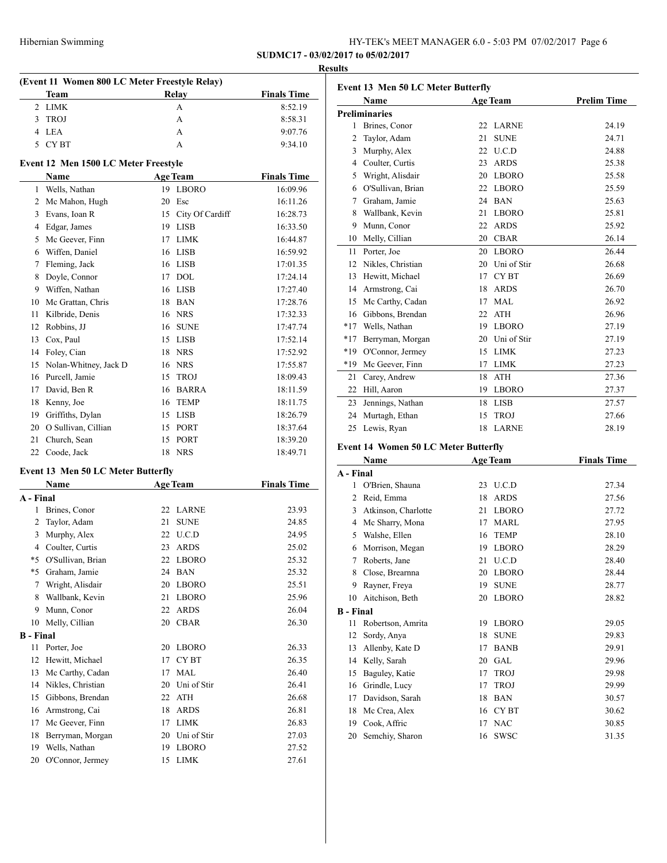|                 |                                               |    |                         |                               | <b>Results</b> |
|-----------------|-----------------------------------------------|----|-------------------------|-------------------------------|----------------|
|                 | (Event 11 Women 800 LC Meter Freestyle Relay) |    | Relay                   |                               | Eve            |
|                 | Team<br>2 LIMK                                |    | A                       | <b>Finals Time</b><br>8:52.19 |                |
|                 | 3 TROJ                                        |    | A                       | 8:58.31                       | Pre            |
|                 | 4 LEA                                         |    | A                       | 9:07.76                       |                |
|                 | 5 CYBT                                        |    | A                       | 9:34.10                       |                |
|                 |                                               |    |                         |                               |                |
|                 | <b>Event 12 Men 1500 LC Meter Freestyle</b>   |    |                         |                               |                |
|                 | <b>Name</b>                                   |    | <b>Age Team</b>         | <b>Finals Time</b>            |                |
| 1               | Wells, Nathan                                 |    | 19 LBORO                | 16:09.96                      |                |
|                 | 2 Mc Mahon, Hugh                              |    | 20 Esc                  | 16:11.26                      |                |
|                 | 3 Evans, Ioan R                               |    | 15 City Of Cardiff      | 16:28.73                      |                |
|                 | 4 Edgar, James                                |    | 19 LISB                 | 16:33.50                      |                |
|                 | 5 Mc Geever, Finn                             |    | 17 LIMK                 | 16:44.87                      |                |
|                 | 6 Wiffen, Daniel                              |    | 16 LISB                 | 16:59.92                      |                |
|                 | 7 Fleming, Jack                               |    | 16 LISB                 | 17:01.35                      |                |
| 8               | Doyle, Connor                                 |    | 17 DOL                  | 17:24.14                      |                |
|                 | 9 Wiffen, Nathan                              |    | 16 LISB                 | 17:27.40                      |                |
|                 | 10 Mc Grattan, Chris                          |    | 18 BAN                  | 17:28.76                      |                |
| 11              | Kilbride, Denis                               |    | 16 NRS                  | 17:32.33                      |                |
| 12              | Robbins, JJ                                   |    | 16 SUNE                 | 17:47.74                      |                |
| 13              | Cox, Paul                                     |    | 15 LISB                 | 17:52.14                      |                |
|                 | 14 Foley, Cian                                |    | 18 NRS                  | 17:52.92                      |                |
|                 | 15 Nolan-Whitney, Jack D                      |    | 16 NRS                  | 17:55.87                      |                |
|                 | 16 Purcell, Jamie                             |    | 15 TROJ                 | 18:09.43                      |                |
|                 | 17 David, Ben R                               |    | 16 BARRA                | 18:11.59                      |                |
|                 | 18 Kenny, Joe                                 |    | 16 TEMP                 | 18:11.75                      |                |
|                 | 19 Griffiths, Dylan                           |    | 15 LISB                 | 18:26.79                      |                |
|                 | 20 O Sullivan, Cillian                        |    | 15 PORT                 | 18:37.64                      |                |
| 21              | Church, Sean                                  |    | 15 PORT                 | 18:39.20                      |                |
|                 | 22 Coode, Jack                                |    | 18 NRS                  | 18:49.71                      | Ev             |
|                 |                                               |    |                         |                               |                |
|                 | <b>Event 13 Men 50 LC Meter Butterfly</b>     |    |                         |                               | $A -$          |
|                 | Name                                          |    | <b>Age Team</b>         | <b>Finals Time</b>            |                |
| A - Final<br>1  |                                               |    | 22 LARNE                | 23.93                         |                |
| $\overline{2}$  | Brines, Conor<br>Taylor, Adam                 | 21 | <b>SUNE</b>             | 24.85                         |                |
| 3               | Murphy, Alex                                  |    | 22 U.C.D                | 24.95                         |                |
| $\overline{4}$  | Coulter, Curtis                               | 23 |                         |                               |                |
|                 | *5 O'Sullivan, Brian                          |    | <b>ARDS</b><br>22 LBORO | 25.02<br>25.32                |                |
|                 | *5 Graham, Jamie                              |    | 24 BAN                  |                               |                |
| $7^{\circ}$     | Wright, Alisdair                              |    | 20 LBORO                | 25.32<br>25.51                |                |
| 8               | Wallbank, Kevin                               | 21 | <b>LBORO</b>            | 25.96                         |                |
| 9.              | Munn, Conor                                   | 22 | <b>ARDS</b>             |                               |                |
|                 | Melly, Cillian                                |    | 20 CBAR                 | 26.04<br>26.30                | в.             |
| 10              |                                               |    |                         |                               |                |
| B - Final<br>11 | Porter, Joe                                   |    | 20 LBORO                | 26.33                         |                |
| 12              | Hewitt, Michael                               | 17 | CY <sub>BT</sub>        | 26.35                         |                |
| 13              | Mc Carthy, Cadan                              | 17 | <b>MAL</b>              | 26.40                         |                |
|                 |                                               |    | 20 Uni of Stir          |                               |                |
|                 | 14 Nikles, Christian                          |    |                         | 26.41                         |                |
|                 | 15 Gibbons, Brendan                           |    | 22 ATH                  | 26.68                         |                |
|                 | 16 Armstrong, Cai                             |    | 18 ARDS                 | 26.81                         |                |
| 17              | Mc Geever, Finn                               |    | 17 LIMK                 | 26.83                         |                |
| 18              | Berryman, Morgan                              |    | 20 Uni of Stir          | 27.03                         |                |
| 19              | Wells, Nathan                                 |    | 19 LBORO                | 27.52                         |                |
| 20              | O'Connor, Jermey                              |    | 15 LIMK                 | 27.61                         |                |

|                | Name                 | <b>Age Team</b> |              | <b>Prelim Time</b> |
|----------------|----------------------|-----------------|--------------|--------------------|
|                | <b>Preliminaries</b> |                 |              |                    |
| 1              | Brines, Conor        | 22              | <b>LARNE</b> | 24.19              |
| $\overline{c}$ | Taylor, Adam         | 21              | <b>SUNE</b>  | 24.71              |
| 3              | Murphy, Alex         | 22              | U.C.D        | 24.88              |
| 4              | Coulter, Curtis      | 23              | <b>ARDS</b>  | 25.38              |
| 5              | Wright, Alisdair     | 20              | <b>LBORO</b> | 25.58              |
| 6              | O'Sullivan, Brian    | 22              | <b>LBORO</b> | 25.59              |
| 7              | Graham, Jamie        | 24              | <b>BAN</b>   | 25.63              |
| 8              | Wallbank, Kevin      | 21              | <b>LBORO</b> | 25.81              |
| 9              | Munn, Conor          | 22              | <b>ARDS</b>  | 25.92              |
| 10             | Melly, Cillian       | 20              | <b>CBAR</b>  | 26.14              |
| 11             | Porter, Joe          | 20              | <b>LBORO</b> | 26.44              |
| 12             | Nikles, Christian    | 20              | Uni of Stir  | 26.68              |
| 13             | Hewitt, Michael      | 17              | <b>CYBT</b>  | 26.69              |
| 14             | Armstrong, Cai       | 18              | <b>ARDS</b>  | 26.70              |
| 15             | Mc Carthy, Cadan     | 17              | <b>MAL</b>   | 26.92              |
| 16             | Gibbons, Brendan     | 22              | <b>ATH</b>   | 26.96              |
| $*17$          | Wells, Nathan        | 19              | <b>LBORO</b> | 27.19              |
| $*17$          | Berryman, Morgan     | 20              | Uni of Stir  | 27.19              |
| *19            | O'Connor, Jermey     | 15              | <b>LIMK</b>  | 27.23              |
| $*19$          | Mc Geever, Finn      | 17              | <b>LIMK</b>  | 27.23              |
| 21             | Carey, Andrew        | 18              | <b>ATH</b>   | 27.36              |
| 22             | Hill, Aaron          | 19              | <b>LBORO</b> | 27.37              |
| 23             | Jennings, Nathan     | 18              | <b>LISB</b>  | 27.57              |
| 24             | Murtagh, Ethan       | 15              | <b>TROJ</b>  | 27.66              |
| 25             | Lewis, Ryan          | 18              | <b>LARNE</b> | 28.19              |

# **Event 14 Women 50 LC Meter Butterfly**

| A - Final<br>U.C.D<br>1<br>O'Brien, Shauna<br>23<br><b>ARDS</b><br>2<br>Reid, Emma<br>18<br><b>LBORO</b><br>3<br>Atkinson, Charlotte<br>21 | 27.34<br>27.56<br>27.72<br>27.95<br>28.10<br>28.29 |
|--------------------------------------------------------------------------------------------------------------------------------------------|----------------------------------------------------|
|                                                                                                                                            |                                                    |
|                                                                                                                                            |                                                    |
|                                                                                                                                            |                                                    |
|                                                                                                                                            |                                                    |
| <b>MARL</b><br>Mc Sharry, Mona<br>17<br>4                                                                                                  |                                                    |
| <b>TEMP</b><br>5<br>Walshe, Ellen<br>16                                                                                                    |                                                    |
| <b>LBORO</b><br>Morrison, Megan<br>19<br>6                                                                                                 |                                                    |
| U.C.D<br>Roberts, Jane<br>7<br>21                                                                                                          | 28.40                                              |
| <b>LBORO</b><br>8<br>Close, Brearnna<br>20                                                                                                 | 28.44                                              |
| <b>SUNE</b><br>9<br>Rayner, Freya<br>19                                                                                                    | 28.77                                              |
| <b>LBORO</b><br>Aitchison, Beth<br>10<br>20                                                                                                | 28.82                                              |
| <b>B</b> - Final                                                                                                                           |                                                    |
| <b>LBORO</b><br>11<br>Robertson, Amrita<br>19                                                                                              | 29.05                                              |
| <b>SUNE</b><br>12<br>Sordy, Anya<br>18                                                                                                     | 29.83                                              |
| 13<br><b>BANB</b><br>Allenby, Kate D<br>17                                                                                                 | 29.91                                              |
| <b>GAL</b><br>Kelly, Sarah<br>14<br>20                                                                                                     | 29.96                                              |
| <b>TROJ</b><br>15<br>Baguley, Katie<br>17                                                                                                  | 29.98                                              |
| Grindle, Lucy<br><b>TROJ</b><br>16<br>17                                                                                                   | 29.99                                              |
| 17<br><b>BAN</b><br>Davidson, Sarah<br>18                                                                                                  | 30.57                                              |
| CY BT<br>18<br>Mc Crea, Alex<br>16                                                                                                         | 30.62                                              |
| <b>NAC</b><br>19<br>Cook, Affric<br>17                                                                                                     | 30.85                                              |
| 20<br>Semchiy, Sharon<br><b>SWSC</b><br>16                                                                                                 | 31.35                                              |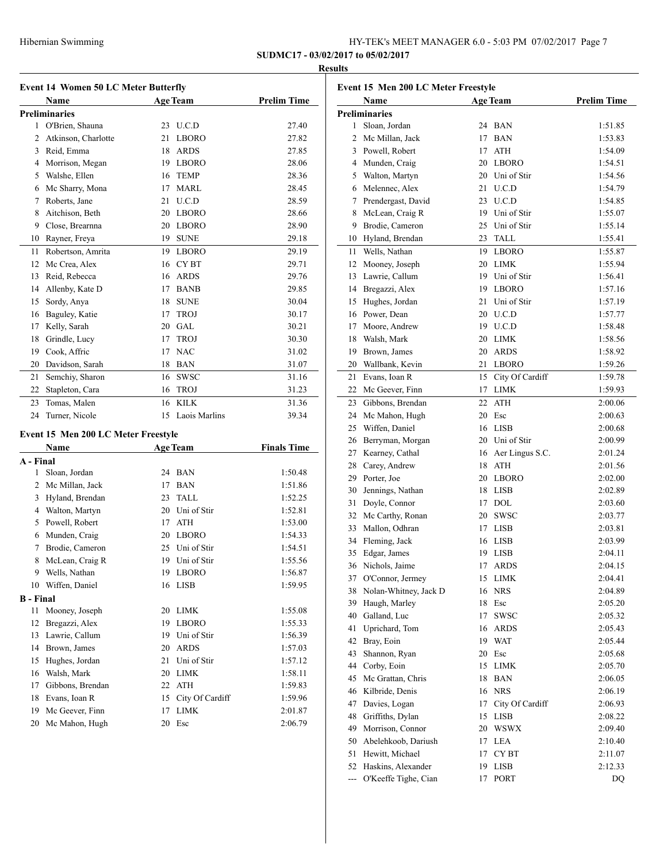| HY-TEK's MEET MANAGER 6.0 - 5:03 PM 07/02/2017 Page 7 |  |  |  |
|-------------------------------------------------------|--|--|--|
|-------------------------------------------------------|--|--|--|

## **Results**

| <b>Event 14 Women 50 LC Meter Butterfly</b> |                      |    |                 |                    |  |  |  |
|---------------------------------------------|----------------------|----|-----------------|--------------------|--|--|--|
|                                             | Name                 |    | <b>Age Team</b> | <b>Prelim Time</b> |  |  |  |
|                                             | <b>Preliminaries</b> |    |                 |                    |  |  |  |
| 1                                           | O'Brien, Shauna      | 23 | U.C.D           | 27.40              |  |  |  |
| $\overline{c}$                              | Atkinson, Charlotte  | 21 | <b>LBORO</b>    | 27.82              |  |  |  |
| 3                                           | Reid, Emma           | 18 | <b>ARDS</b>     | 27.85              |  |  |  |
| $\overline{4}$                              | Morrison, Megan      | 19 | <b>LBORO</b>    | 28.06              |  |  |  |
| 5                                           | Walshe, Ellen        | 16 | <b>TEMP</b>     | 28.36              |  |  |  |
| 6                                           | Mc Sharry, Mona      | 17 | MARL            | 28.45              |  |  |  |
| 7                                           | Roberts, Jane        | 21 | U.C.D           | 28.59              |  |  |  |
| 8                                           | Aitchison, Beth      | 20 | <b>LBORO</b>    | 28.66              |  |  |  |
| 9                                           | Close, Brearnna      | 20 | <b>LBORO</b>    | 28.90              |  |  |  |
| 10                                          | Rayner, Freya        | 19 | <b>SUNE</b>     | 29.18              |  |  |  |
| 11                                          | Robertson, Amrita    | 19 | <b>LBORO</b>    | 29.19              |  |  |  |
| 12                                          | Mc Crea, Alex        | 16 | <b>CYBT</b>     | 29.71              |  |  |  |
| 13                                          | Reid, Rebecca        | 16 | <b>ARDS</b>     | 29.76              |  |  |  |
| 14                                          | Allenby, Kate D      | 17 | <b>BANB</b>     | 29.85              |  |  |  |
| 15                                          | Sordy, Anya          | 18 | <b>SUNE</b>     | 30.04              |  |  |  |
| 16                                          | Baguley, Katie       | 17 | <b>TROJ</b>     | 30.17              |  |  |  |
| 17                                          | Kelly, Sarah         | 20 | GAL.            | 30.21              |  |  |  |
| 18                                          | Grindle, Lucy        | 17 | <b>TROJ</b>     | 30.30              |  |  |  |
| 19                                          | Cook, Affric         | 17 | <b>NAC</b>      | 31.02              |  |  |  |
| 20                                          | Davidson, Sarah      | 18 | <b>BAN</b>      | 31.07              |  |  |  |
| 21                                          | Semchiy, Sharon      | 16 | <b>SWSC</b>     | 31.16              |  |  |  |
| 22                                          | Stapleton, Cara      | 16 | <b>TROJ</b>     | 31.23              |  |  |  |
| 23                                          | Tomas, Malen         | 16 | <b>KILK</b>     | 31.36              |  |  |  |
| 24                                          | Turner, Nicole       | 15 | Laois Marlins   | 39.34              |  |  |  |
|                                             |                      |    |                 |                    |  |  |  |

## **Event 15 Men 200 LC Meter Freestyle**

|                  | Name             |    | <b>Age Team</b> | <b>Finals Time</b> |
|------------------|------------------|----|-----------------|--------------------|
| A - Final        |                  |    |                 |                    |
| 1                | Sloan, Jordan    | 24 | <b>BAN</b>      | 1:50.48            |
| 2                | Mc Millan, Jack  | 17 | <b>BAN</b>      | 1:51.86            |
| 3                | Hyland, Brendan  | 23 | <b>TALL</b>     | 1:52.25            |
| 4                | Walton, Martyn   | 20 | Uni of Stir     | 1:52.81            |
| 5                | Powell, Robert   | 17 | <b>ATH</b>      | 1:53.00            |
| 6                | Munden, Craig    | 20 | <b>LBORO</b>    | 1:54.33            |
| 7                | Brodie, Cameron  | 25 | Uni of Stir     | 1:54.51            |
| 8                | McLean, Craig R  | 19 | Uni of Stir     | 1:55.56            |
| 9                | Wells, Nathan    | 19 | <b>LBORO</b>    | 1:56.87            |
| 10               | Wiffen, Daniel   | 16 | <b>LISB</b>     | 1:59.95            |
| <b>B</b> - Final |                  |    |                 |                    |
| 11               | Mooney, Joseph   | 20 | <b>LIMK</b>     | 1:55.08            |
| 12               | Bregazzi, Alex   | 19 | <b>LBORO</b>    | 1:55.33            |
| 13               | Lawrie, Callum   | 19 | Uni of Stir     | 1:56.39            |
| 14               | Brown, James     | 20 | <b>ARDS</b>     | 1:57.03            |
| 15               | Hughes, Jordan   | 21 | Uni of Stir     | 1:57.12            |
| 16               | Walsh, Mark      | 20 | <b>LIMK</b>     | 1:58.11            |
| 17               | Gibbons, Brendan | 22 | <b>ATH</b>      | 1:59.83            |
| 18               | Evans, Ioan R    | 15 | City Of Cardiff | 1:59.96            |
| 19               | Mc Geever, Finn  | 17 | <b>LIMK</b>     | 2:01.87            |
| 20               | Mc Mahon, Hugh   | 20 | Esc             | 2:06.79            |
|                  |                  |    |                 |                    |

| Event 15 Men 200 LC Meter Freestyle |                       |    |                    |                    |  |
|-------------------------------------|-----------------------|----|--------------------|--------------------|--|
|                                     | Name                  |    | <b>Age Team</b>    | <b>Prelim Time</b> |  |
|                                     | <b>Preliminaries</b>  |    |                    |                    |  |
| 1                                   | Sloan, Jordan         | 24 | <b>BAN</b>         | 1:51.85            |  |
| 2                                   | Mc Millan, Jack       | 17 | <b>BAN</b>         | 1:53.83            |  |
| 3                                   | Powell, Robert        | 17 | <b>ATH</b>         | 1:54.09            |  |
|                                     | 4 Munden, Craig       | 20 | <b>LBORO</b>       | 1:54.51            |  |
| 5                                   | Walton, Martyn        |    | 20 Uni of Stir     | 1:54.56            |  |
| 6                                   | Melennec, Alex        | 21 | U.C.D              | 1:54.79            |  |
| 7                                   | Prendergast, David    |    | 23 U.C.D           | 1:54.85            |  |
| 8                                   | McLean, Craig R       |    | 19 Uni of Stir     | 1:55.07            |  |
| 9                                   | Brodie, Cameron       |    | 25 Uni of Stir     | 1:55.14            |  |
| 10                                  | Hyland, Brendan       |    | 23 TALL            | 1:55.41            |  |
| 11                                  | Wells, Nathan         |    | 19 LBORO           | 1:55.87            |  |
| 12                                  | Mooney, Joseph        |    | 20 LIMK            | 1:55.94            |  |
| 13                                  | Lawrie, Callum        |    | 19 Uni of Stir     | 1:56.41            |  |
|                                     | 14 Bregazzi, Alex     |    | 19 LBORO           | 1:57.16            |  |
|                                     | 15 Hughes, Jordan     | 21 | Uni of Stir        | 1:57.19            |  |
|                                     | 16 Power, Dean        |    | 20 U.C.D           | 1:57.77            |  |
| 17                                  | Moore, Andrew         |    | 19 U.C.D           | 1:58.48            |  |
| 18                                  | Walsh, Mark           |    | 20 LIMK            | 1:58.56            |  |
| 19                                  | Brown, James          |    | 20 ARDS            | 1:58.92            |  |
| 20                                  | Wallbank, Kevin       | 21 | LBORO              | 1:59.26            |  |
| 21                                  | Evans, Ioan R         |    | 15 City Of Cardiff | 1:59.78            |  |
| 22                                  | Mc Geever, Finn       |    | 17 LIMK            | 1:59.93            |  |
| 23                                  | Gibbons, Brendan      | 22 | <b>ATH</b>         | 2:00.06            |  |
| 24                                  | Mc Mahon, Hugh        |    | 20 Esc             | 2:00.63            |  |
| 25                                  | Wiffen, Daniel        |    | 16 LISB            | 2:00.68            |  |
| 26                                  | Berryman, Morgan      |    | 20 Uni of Stir     | 2:00.99            |  |
| 27                                  | Kearney, Cathal       |    | 16 Aer Lingus S.C. | 2:01.24            |  |
| 28                                  | Carey, Andrew         | 18 | ATH                | 2:01.56            |  |
| 29                                  | Porter, Joe           |    | 20 LBORO           | 2:02.00            |  |
| 30                                  | Jennings, Nathan      |    | 18 LISB            | 2:02.89            |  |
| 31                                  | Doyle, Connor         |    | 17 DOL             | 2:03.60            |  |
| 32                                  | Mc Carthy, Ronan      |    | 20 SWSC            | 2:03.77            |  |
| 33                                  | Mallon, Odhran        |    | 17 LISB            | 2:03.81            |  |
| 34                                  | Fleming, Jack         |    | 16 LISB            | 2:03.99            |  |
| 35                                  | Edgar, James          |    | 19 LISB            | 2:04.11            |  |
|                                     | 36 Nichols, Jaime     |    | 17 ARDS            | 2:04.15            |  |
| 37                                  | O'Connor, Jermey      | 15 | LIMK               | 2:04.41            |  |
| 38                                  | Nolan-Whitney, Jack D | 16 | <b>NRS</b>         | 2:04.89            |  |
| 39                                  | Haugh, Marley         | 18 | Esc                | 2:05.20            |  |
| 40                                  | Galland, Luc          | 17 | SWSC               | 2:05.32            |  |
| 41                                  | Uprichard, Tom        | 16 | ARDS               | 2:05.43            |  |
| 42                                  | Bray, Eoin            | 19 | WAT                | 2:05.44            |  |
| 43                                  | Shannon, Ryan         | 20 | Esc                | 2:05.68            |  |
| 44                                  | Corby, Eoin           | 15 | LIMK               | 2:05.70            |  |
| 45                                  | Mc Grattan, Chris     | 18 | BAN                | 2:06.05            |  |
| 46                                  | Kilbride, Denis       |    | <b>NRS</b>         |                    |  |
| 47                                  | Davies, Logan         | 16 | City Of Cardiff    | 2:06.19            |  |
| 48                                  |                       | 17 |                    | 2:06.93            |  |
|                                     | Griffiths, Dylan      | 15 | LISB               | 2:08.22            |  |
| 49                                  | Morrison, Connor      | 20 | <b>WSWX</b>        | 2:09.40            |  |
| 50                                  | Abelehkoob, Dariush   | 17 | LEA                | 2:10.40            |  |
| 51                                  | Hewitt, Michael       | 17 | CY BT              | 2:11.07            |  |
| 52                                  | Haskins, Alexander    | 19 | LISB               | 2:12.33            |  |
| $---$                               | O'Keeffe Tighe, Cian  | 17 | PORT               | DQ                 |  |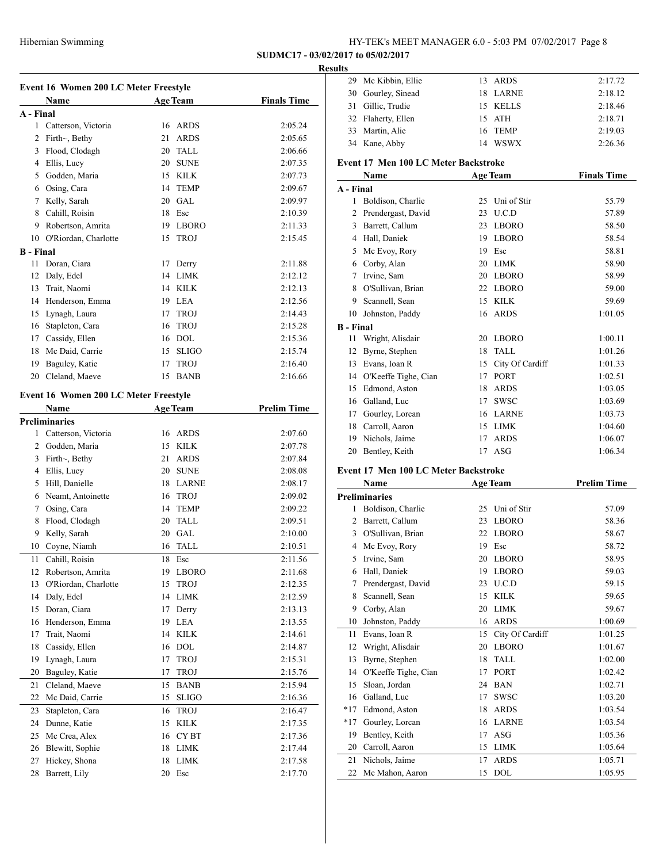Mc Kibbin, Ellie 13 ARDS 2:17.72

## **SUDMC17 - 03/02/2017 to 05/02/2017**

#### **Results**

| <b>Age Team</b><br>A - Final<br>$\mathbf{1}$<br>Catterson, Victoria<br>16<br><b>ARDS</b><br>2:05.24<br>2<br>21<br><b>ARDS</b><br>Firth $\sim$ , Bethy<br>2:05.65<br>3<br>Flood, Clodagh<br>20<br>TALL<br>2:06.66<br>4<br>Ellis, Lucy<br>20<br><b>SUNE</b><br>2:07.35<br>5<br>Godden, Maria<br>15<br>$\textmd{KILK}$<br>2:07.73<br>Osing, Cara<br>14<br>6<br><b>TEMP</b><br>2:09.67<br>7<br>Kelly, Sarah<br>20<br>GAL<br>2:09.97<br>8<br>Cahill, Roisin<br>18<br>Esc<br>2:10.39<br>9 Robertson, Amrita<br>19<br><b>LBORO</b><br>2:11.33<br>O'Riordan, Charlotte<br>10<br>15<br><b>TROJ</b><br>2:15.45<br><b>B</b> - Final<br>Doran, Ciara<br>11<br>Derry<br>2:11.88<br>17<br>Daly, Edel<br><b>LIMK</b><br>12<br>14<br>2:12.12<br>13<br>Trait, Naomi<br><b>KILK</b><br>14<br>2:12.13<br>Henderson, Emma<br>14<br>19<br>LEA<br>2:12.56<br>15<br>Lynagh, Laura<br>17<br><b>TROJ</b><br>2:14.43<br>16<br>Stapleton, Cara<br><b>TROJ</b><br>16<br>2:15.28<br>Cassidy, Ellen<br>16<br><b>DOL</b><br>17<br>2:15.36<br>Mc Daid, Carrie<br>18<br>15<br><b>SLIGO</b><br>2:15.74<br>Baguley, Katie<br>17<br><b>TROJ</b><br>19<br>2:16.40<br>Cleland, Maeve<br>20<br>15<br><b>BANB</b><br>2:16.66<br><b>Event 16 Women 200 LC Meter Freestyle</b><br><b>Age Team</b><br><b>Prelim Time</b><br>Name<br><b>Preliminaries</b><br>1<br>Catterson, Victoria<br>16<br><b>ARDS</b><br>2:07.60<br>2<br>15<br><b>KILK</b><br>Godden, Maria<br>2:07.78<br>21<br><b>ARDS</b><br>3<br>Firth $\sim$ , Bethy<br>2:07.84<br>4<br>Ellis, Lucy<br>20<br><b>SUNE</b><br>2:08.08<br>Hill, Danielle<br>5<br><b>LARNE</b><br>18<br>2:08.17<br>Neamt, Antoinette<br>6<br>16<br><b>TROJ</b><br>2:09.02<br>7<br>Osing, Cara<br>14<br><b>TEMP</b><br>2:09.22<br>8<br>Flood, Clodagh<br>20<br><b>TALL</b><br>2:09.51<br>Kelly, Sarah<br>9<br>20<br>GAL.<br>2:10.00<br>10<br>Coyne, Niamh<br>16<br>TALL<br>2:10.51<br>18<br>11<br>Cahill, Roisin<br>Esc<br>2:11.56<br>Robertson, Amrita<br>19 LBORO<br>2:11.68<br>12<br>13<br>O'Riordan, Charlotte<br>15<br><b>TROJ</b><br>2:12.35<br>Daly, Edel<br>14<br>14<br>LIMK<br>2:12.59<br>Doran, Ciara<br>17<br>Derry<br>15<br>2:13.13<br>LEA<br>16<br>Henderson, Emma<br>19<br>2:13.55<br>17<br>Trait, Naomi<br><b>KILK</b><br>14<br>2:14.61<br>Cassidy, Ellen<br>18<br>16<br>DOL<br>2:14.87<br>19<br>Lynagh, Laura<br>17<br><b>TROJ</b><br>2:15.31<br>Baguley, Katie<br>20<br>17<br><b>TROJ</b><br>2:15.76<br>Cleland, Maeve<br>15<br>21<br><b>BANB</b><br>2:15.94<br>22<br>Mc Daid, Carrie<br>15<br><b>SLIGO</b><br>2:16.36<br>Stapleton, Cara<br>23<br>16<br><b>TROJ</b><br>2:16.47<br>24<br>Dunne, Katie<br>15<br><b>KILK</b><br>2:17.35<br>25<br>Mc Crea, Alex<br>CY BT<br>16<br>2:17.36<br>Blewitt, Sophie<br>18<br><b>LIMK</b><br>2:17.44<br>26<br>Hickey, Shona<br>18<br><b>LIMK</b><br>27<br>2:17.58<br>Barrett, Lily<br>20<br>28<br>Esc<br>2:17.70 | Event 16 Women 200 LC Meter Freestyle |      |  |  |                    |
|----------------------------------------------------------------------------------------------------------------------------------------------------------------------------------------------------------------------------------------------------------------------------------------------------------------------------------------------------------------------------------------------------------------------------------------------------------------------------------------------------------------------------------------------------------------------------------------------------------------------------------------------------------------------------------------------------------------------------------------------------------------------------------------------------------------------------------------------------------------------------------------------------------------------------------------------------------------------------------------------------------------------------------------------------------------------------------------------------------------------------------------------------------------------------------------------------------------------------------------------------------------------------------------------------------------------------------------------------------------------------------------------------------------------------------------------------------------------------------------------------------------------------------------------------------------------------------------------------------------------------------------------------------------------------------------------------------------------------------------------------------------------------------------------------------------------------------------------------------------------------------------------------------------------------------------------------------------------------------------------------------------------------------------------------------------------------------------------------------------------------------------------------------------------------------------------------------------------------------------------------------------------------------------------------------------------------------------------------------------------------------------------------------------------------------------------------------------------------------------------------------------------------------------------------------------------------------------------------------------------------------------------------------------------------------------------------------------------------------------------------------------------------------------------------------------------------------------------------------------|---------------------------------------|------|--|--|--------------------|
|                                                                                                                                                                                                                                                                                                                                                                                                                                                                                                                                                                                                                                                                                                                                                                                                                                                                                                                                                                                                                                                                                                                                                                                                                                                                                                                                                                                                                                                                                                                                                                                                                                                                                                                                                                                                                                                                                                                                                                                                                                                                                                                                                                                                                                                                                                                                                                                                                                                                                                                                                                                                                                                                                                                                                                                                                                                                |                                       | Name |  |  | <b>Finals Time</b> |
|                                                                                                                                                                                                                                                                                                                                                                                                                                                                                                                                                                                                                                                                                                                                                                                                                                                                                                                                                                                                                                                                                                                                                                                                                                                                                                                                                                                                                                                                                                                                                                                                                                                                                                                                                                                                                                                                                                                                                                                                                                                                                                                                                                                                                                                                                                                                                                                                                                                                                                                                                                                                                                                                                                                                                                                                                                                                |                                       |      |  |  |                    |
|                                                                                                                                                                                                                                                                                                                                                                                                                                                                                                                                                                                                                                                                                                                                                                                                                                                                                                                                                                                                                                                                                                                                                                                                                                                                                                                                                                                                                                                                                                                                                                                                                                                                                                                                                                                                                                                                                                                                                                                                                                                                                                                                                                                                                                                                                                                                                                                                                                                                                                                                                                                                                                                                                                                                                                                                                                                                |                                       |      |  |  |                    |
|                                                                                                                                                                                                                                                                                                                                                                                                                                                                                                                                                                                                                                                                                                                                                                                                                                                                                                                                                                                                                                                                                                                                                                                                                                                                                                                                                                                                                                                                                                                                                                                                                                                                                                                                                                                                                                                                                                                                                                                                                                                                                                                                                                                                                                                                                                                                                                                                                                                                                                                                                                                                                                                                                                                                                                                                                                                                |                                       |      |  |  |                    |
|                                                                                                                                                                                                                                                                                                                                                                                                                                                                                                                                                                                                                                                                                                                                                                                                                                                                                                                                                                                                                                                                                                                                                                                                                                                                                                                                                                                                                                                                                                                                                                                                                                                                                                                                                                                                                                                                                                                                                                                                                                                                                                                                                                                                                                                                                                                                                                                                                                                                                                                                                                                                                                                                                                                                                                                                                                                                |                                       |      |  |  |                    |
|                                                                                                                                                                                                                                                                                                                                                                                                                                                                                                                                                                                                                                                                                                                                                                                                                                                                                                                                                                                                                                                                                                                                                                                                                                                                                                                                                                                                                                                                                                                                                                                                                                                                                                                                                                                                                                                                                                                                                                                                                                                                                                                                                                                                                                                                                                                                                                                                                                                                                                                                                                                                                                                                                                                                                                                                                                                                |                                       |      |  |  |                    |
|                                                                                                                                                                                                                                                                                                                                                                                                                                                                                                                                                                                                                                                                                                                                                                                                                                                                                                                                                                                                                                                                                                                                                                                                                                                                                                                                                                                                                                                                                                                                                                                                                                                                                                                                                                                                                                                                                                                                                                                                                                                                                                                                                                                                                                                                                                                                                                                                                                                                                                                                                                                                                                                                                                                                                                                                                                                                |                                       |      |  |  |                    |
|                                                                                                                                                                                                                                                                                                                                                                                                                                                                                                                                                                                                                                                                                                                                                                                                                                                                                                                                                                                                                                                                                                                                                                                                                                                                                                                                                                                                                                                                                                                                                                                                                                                                                                                                                                                                                                                                                                                                                                                                                                                                                                                                                                                                                                                                                                                                                                                                                                                                                                                                                                                                                                                                                                                                                                                                                                                                |                                       |      |  |  |                    |
|                                                                                                                                                                                                                                                                                                                                                                                                                                                                                                                                                                                                                                                                                                                                                                                                                                                                                                                                                                                                                                                                                                                                                                                                                                                                                                                                                                                                                                                                                                                                                                                                                                                                                                                                                                                                                                                                                                                                                                                                                                                                                                                                                                                                                                                                                                                                                                                                                                                                                                                                                                                                                                                                                                                                                                                                                                                                |                                       |      |  |  |                    |
|                                                                                                                                                                                                                                                                                                                                                                                                                                                                                                                                                                                                                                                                                                                                                                                                                                                                                                                                                                                                                                                                                                                                                                                                                                                                                                                                                                                                                                                                                                                                                                                                                                                                                                                                                                                                                                                                                                                                                                                                                                                                                                                                                                                                                                                                                                                                                                                                                                                                                                                                                                                                                                                                                                                                                                                                                                                                |                                       |      |  |  |                    |
|                                                                                                                                                                                                                                                                                                                                                                                                                                                                                                                                                                                                                                                                                                                                                                                                                                                                                                                                                                                                                                                                                                                                                                                                                                                                                                                                                                                                                                                                                                                                                                                                                                                                                                                                                                                                                                                                                                                                                                                                                                                                                                                                                                                                                                                                                                                                                                                                                                                                                                                                                                                                                                                                                                                                                                                                                                                                |                                       |      |  |  |                    |
|                                                                                                                                                                                                                                                                                                                                                                                                                                                                                                                                                                                                                                                                                                                                                                                                                                                                                                                                                                                                                                                                                                                                                                                                                                                                                                                                                                                                                                                                                                                                                                                                                                                                                                                                                                                                                                                                                                                                                                                                                                                                                                                                                                                                                                                                                                                                                                                                                                                                                                                                                                                                                                                                                                                                                                                                                                                                |                                       |      |  |  |                    |
|                                                                                                                                                                                                                                                                                                                                                                                                                                                                                                                                                                                                                                                                                                                                                                                                                                                                                                                                                                                                                                                                                                                                                                                                                                                                                                                                                                                                                                                                                                                                                                                                                                                                                                                                                                                                                                                                                                                                                                                                                                                                                                                                                                                                                                                                                                                                                                                                                                                                                                                                                                                                                                                                                                                                                                                                                                                                |                                       |      |  |  |                    |
|                                                                                                                                                                                                                                                                                                                                                                                                                                                                                                                                                                                                                                                                                                                                                                                                                                                                                                                                                                                                                                                                                                                                                                                                                                                                                                                                                                                                                                                                                                                                                                                                                                                                                                                                                                                                                                                                                                                                                                                                                                                                                                                                                                                                                                                                                                                                                                                                                                                                                                                                                                                                                                                                                                                                                                                                                                                                |                                       |      |  |  |                    |
|                                                                                                                                                                                                                                                                                                                                                                                                                                                                                                                                                                                                                                                                                                                                                                                                                                                                                                                                                                                                                                                                                                                                                                                                                                                                                                                                                                                                                                                                                                                                                                                                                                                                                                                                                                                                                                                                                                                                                                                                                                                                                                                                                                                                                                                                                                                                                                                                                                                                                                                                                                                                                                                                                                                                                                                                                                                                |                                       |      |  |  |                    |
|                                                                                                                                                                                                                                                                                                                                                                                                                                                                                                                                                                                                                                                                                                                                                                                                                                                                                                                                                                                                                                                                                                                                                                                                                                                                                                                                                                                                                                                                                                                                                                                                                                                                                                                                                                                                                                                                                                                                                                                                                                                                                                                                                                                                                                                                                                                                                                                                                                                                                                                                                                                                                                                                                                                                                                                                                                                                |                                       |      |  |  |                    |
|                                                                                                                                                                                                                                                                                                                                                                                                                                                                                                                                                                                                                                                                                                                                                                                                                                                                                                                                                                                                                                                                                                                                                                                                                                                                                                                                                                                                                                                                                                                                                                                                                                                                                                                                                                                                                                                                                                                                                                                                                                                                                                                                                                                                                                                                                                                                                                                                                                                                                                                                                                                                                                                                                                                                                                                                                                                                |                                       |      |  |  |                    |
|                                                                                                                                                                                                                                                                                                                                                                                                                                                                                                                                                                                                                                                                                                                                                                                                                                                                                                                                                                                                                                                                                                                                                                                                                                                                                                                                                                                                                                                                                                                                                                                                                                                                                                                                                                                                                                                                                                                                                                                                                                                                                                                                                                                                                                                                                                                                                                                                                                                                                                                                                                                                                                                                                                                                                                                                                                                                |                                       |      |  |  |                    |
|                                                                                                                                                                                                                                                                                                                                                                                                                                                                                                                                                                                                                                                                                                                                                                                                                                                                                                                                                                                                                                                                                                                                                                                                                                                                                                                                                                                                                                                                                                                                                                                                                                                                                                                                                                                                                                                                                                                                                                                                                                                                                                                                                                                                                                                                                                                                                                                                                                                                                                                                                                                                                                                                                                                                                                                                                                                                |                                       |      |  |  |                    |
|                                                                                                                                                                                                                                                                                                                                                                                                                                                                                                                                                                                                                                                                                                                                                                                                                                                                                                                                                                                                                                                                                                                                                                                                                                                                                                                                                                                                                                                                                                                                                                                                                                                                                                                                                                                                                                                                                                                                                                                                                                                                                                                                                                                                                                                                                                                                                                                                                                                                                                                                                                                                                                                                                                                                                                                                                                                                |                                       |      |  |  |                    |
|                                                                                                                                                                                                                                                                                                                                                                                                                                                                                                                                                                                                                                                                                                                                                                                                                                                                                                                                                                                                                                                                                                                                                                                                                                                                                                                                                                                                                                                                                                                                                                                                                                                                                                                                                                                                                                                                                                                                                                                                                                                                                                                                                                                                                                                                                                                                                                                                                                                                                                                                                                                                                                                                                                                                                                                                                                                                |                                       |      |  |  |                    |
|                                                                                                                                                                                                                                                                                                                                                                                                                                                                                                                                                                                                                                                                                                                                                                                                                                                                                                                                                                                                                                                                                                                                                                                                                                                                                                                                                                                                                                                                                                                                                                                                                                                                                                                                                                                                                                                                                                                                                                                                                                                                                                                                                                                                                                                                                                                                                                                                                                                                                                                                                                                                                                                                                                                                                                                                                                                                |                                       |      |  |  |                    |
|                                                                                                                                                                                                                                                                                                                                                                                                                                                                                                                                                                                                                                                                                                                                                                                                                                                                                                                                                                                                                                                                                                                                                                                                                                                                                                                                                                                                                                                                                                                                                                                                                                                                                                                                                                                                                                                                                                                                                                                                                                                                                                                                                                                                                                                                                                                                                                                                                                                                                                                                                                                                                                                                                                                                                                                                                                                                |                                       |      |  |  |                    |
|                                                                                                                                                                                                                                                                                                                                                                                                                                                                                                                                                                                                                                                                                                                                                                                                                                                                                                                                                                                                                                                                                                                                                                                                                                                                                                                                                                                                                                                                                                                                                                                                                                                                                                                                                                                                                                                                                                                                                                                                                                                                                                                                                                                                                                                                                                                                                                                                                                                                                                                                                                                                                                                                                                                                                                                                                                                                |                                       |      |  |  |                    |
|                                                                                                                                                                                                                                                                                                                                                                                                                                                                                                                                                                                                                                                                                                                                                                                                                                                                                                                                                                                                                                                                                                                                                                                                                                                                                                                                                                                                                                                                                                                                                                                                                                                                                                                                                                                                                                                                                                                                                                                                                                                                                                                                                                                                                                                                                                                                                                                                                                                                                                                                                                                                                                                                                                                                                                                                                                                                |                                       |      |  |  |                    |
|                                                                                                                                                                                                                                                                                                                                                                                                                                                                                                                                                                                                                                                                                                                                                                                                                                                                                                                                                                                                                                                                                                                                                                                                                                                                                                                                                                                                                                                                                                                                                                                                                                                                                                                                                                                                                                                                                                                                                                                                                                                                                                                                                                                                                                                                                                                                                                                                                                                                                                                                                                                                                                                                                                                                                                                                                                                                |                                       |      |  |  |                    |
|                                                                                                                                                                                                                                                                                                                                                                                                                                                                                                                                                                                                                                                                                                                                                                                                                                                                                                                                                                                                                                                                                                                                                                                                                                                                                                                                                                                                                                                                                                                                                                                                                                                                                                                                                                                                                                                                                                                                                                                                                                                                                                                                                                                                                                                                                                                                                                                                                                                                                                                                                                                                                                                                                                                                                                                                                                                                |                                       |      |  |  |                    |
|                                                                                                                                                                                                                                                                                                                                                                                                                                                                                                                                                                                                                                                                                                                                                                                                                                                                                                                                                                                                                                                                                                                                                                                                                                                                                                                                                                                                                                                                                                                                                                                                                                                                                                                                                                                                                                                                                                                                                                                                                                                                                                                                                                                                                                                                                                                                                                                                                                                                                                                                                                                                                                                                                                                                                                                                                                                                |                                       |      |  |  |                    |
|                                                                                                                                                                                                                                                                                                                                                                                                                                                                                                                                                                                                                                                                                                                                                                                                                                                                                                                                                                                                                                                                                                                                                                                                                                                                                                                                                                                                                                                                                                                                                                                                                                                                                                                                                                                                                                                                                                                                                                                                                                                                                                                                                                                                                                                                                                                                                                                                                                                                                                                                                                                                                                                                                                                                                                                                                                                                |                                       |      |  |  |                    |
|                                                                                                                                                                                                                                                                                                                                                                                                                                                                                                                                                                                                                                                                                                                                                                                                                                                                                                                                                                                                                                                                                                                                                                                                                                                                                                                                                                                                                                                                                                                                                                                                                                                                                                                                                                                                                                                                                                                                                                                                                                                                                                                                                                                                                                                                                                                                                                                                                                                                                                                                                                                                                                                                                                                                                                                                                                                                |                                       |      |  |  |                    |
|                                                                                                                                                                                                                                                                                                                                                                                                                                                                                                                                                                                                                                                                                                                                                                                                                                                                                                                                                                                                                                                                                                                                                                                                                                                                                                                                                                                                                                                                                                                                                                                                                                                                                                                                                                                                                                                                                                                                                                                                                                                                                                                                                                                                                                                                                                                                                                                                                                                                                                                                                                                                                                                                                                                                                                                                                                                                |                                       |      |  |  |                    |
|                                                                                                                                                                                                                                                                                                                                                                                                                                                                                                                                                                                                                                                                                                                                                                                                                                                                                                                                                                                                                                                                                                                                                                                                                                                                                                                                                                                                                                                                                                                                                                                                                                                                                                                                                                                                                                                                                                                                                                                                                                                                                                                                                                                                                                                                                                                                                                                                                                                                                                                                                                                                                                                                                                                                                                                                                                                                |                                       |      |  |  |                    |
|                                                                                                                                                                                                                                                                                                                                                                                                                                                                                                                                                                                                                                                                                                                                                                                                                                                                                                                                                                                                                                                                                                                                                                                                                                                                                                                                                                                                                                                                                                                                                                                                                                                                                                                                                                                                                                                                                                                                                                                                                                                                                                                                                                                                                                                                                                                                                                                                                                                                                                                                                                                                                                                                                                                                                                                                                                                                |                                       |      |  |  |                    |
|                                                                                                                                                                                                                                                                                                                                                                                                                                                                                                                                                                                                                                                                                                                                                                                                                                                                                                                                                                                                                                                                                                                                                                                                                                                                                                                                                                                                                                                                                                                                                                                                                                                                                                                                                                                                                                                                                                                                                                                                                                                                                                                                                                                                                                                                                                                                                                                                                                                                                                                                                                                                                                                                                                                                                                                                                                                                |                                       |      |  |  |                    |
|                                                                                                                                                                                                                                                                                                                                                                                                                                                                                                                                                                                                                                                                                                                                                                                                                                                                                                                                                                                                                                                                                                                                                                                                                                                                                                                                                                                                                                                                                                                                                                                                                                                                                                                                                                                                                                                                                                                                                                                                                                                                                                                                                                                                                                                                                                                                                                                                                                                                                                                                                                                                                                                                                                                                                                                                                                                                |                                       |      |  |  |                    |
|                                                                                                                                                                                                                                                                                                                                                                                                                                                                                                                                                                                                                                                                                                                                                                                                                                                                                                                                                                                                                                                                                                                                                                                                                                                                                                                                                                                                                                                                                                                                                                                                                                                                                                                                                                                                                                                                                                                                                                                                                                                                                                                                                                                                                                                                                                                                                                                                                                                                                                                                                                                                                                                                                                                                                                                                                                                                |                                       |      |  |  |                    |
|                                                                                                                                                                                                                                                                                                                                                                                                                                                                                                                                                                                                                                                                                                                                                                                                                                                                                                                                                                                                                                                                                                                                                                                                                                                                                                                                                                                                                                                                                                                                                                                                                                                                                                                                                                                                                                                                                                                                                                                                                                                                                                                                                                                                                                                                                                                                                                                                                                                                                                                                                                                                                                                                                                                                                                                                                                                                |                                       |      |  |  |                    |
|                                                                                                                                                                                                                                                                                                                                                                                                                                                                                                                                                                                                                                                                                                                                                                                                                                                                                                                                                                                                                                                                                                                                                                                                                                                                                                                                                                                                                                                                                                                                                                                                                                                                                                                                                                                                                                                                                                                                                                                                                                                                                                                                                                                                                                                                                                                                                                                                                                                                                                                                                                                                                                                                                                                                                                                                                                                                |                                       |      |  |  |                    |
|                                                                                                                                                                                                                                                                                                                                                                                                                                                                                                                                                                                                                                                                                                                                                                                                                                                                                                                                                                                                                                                                                                                                                                                                                                                                                                                                                                                                                                                                                                                                                                                                                                                                                                                                                                                                                                                                                                                                                                                                                                                                                                                                                                                                                                                                                                                                                                                                                                                                                                                                                                                                                                                                                                                                                                                                                                                                |                                       |      |  |  |                    |
|                                                                                                                                                                                                                                                                                                                                                                                                                                                                                                                                                                                                                                                                                                                                                                                                                                                                                                                                                                                                                                                                                                                                                                                                                                                                                                                                                                                                                                                                                                                                                                                                                                                                                                                                                                                                                                                                                                                                                                                                                                                                                                                                                                                                                                                                                                                                                                                                                                                                                                                                                                                                                                                                                                                                                                                                                                                                |                                       |      |  |  |                    |
|                                                                                                                                                                                                                                                                                                                                                                                                                                                                                                                                                                                                                                                                                                                                                                                                                                                                                                                                                                                                                                                                                                                                                                                                                                                                                                                                                                                                                                                                                                                                                                                                                                                                                                                                                                                                                                                                                                                                                                                                                                                                                                                                                                                                                                                                                                                                                                                                                                                                                                                                                                                                                                                                                                                                                                                                                                                                |                                       |      |  |  |                    |
|                                                                                                                                                                                                                                                                                                                                                                                                                                                                                                                                                                                                                                                                                                                                                                                                                                                                                                                                                                                                                                                                                                                                                                                                                                                                                                                                                                                                                                                                                                                                                                                                                                                                                                                                                                                                                                                                                                                                                                                                                                                                                                                                                                                                                                                                                                                                                                                                                                                                                                                                                                                                                                                                                                                                                                                                                                                                |                                       |      |  |  |                    |
|                                                                                                                                                                                                                                                                                                                                                                                                                                                                                                                                                                                                                                                                                                                                                                                                                                                                                                                                                                                                                                                                                                                                                                                                                                                                                                                                                                                                                                                                                                                                                                                                                                                                                                                                                                                                                                                                                                                                                                                                                                                                                                                                                                                                                                                                                                                                                                                                                                                                                                                                                                                                                                                                                                                                                                                                                                                                |                                       |      |  |  |                    |
|                                                                                                                                                                                                                                                                                                                                                                                                                                                                                                                                                                                                                                                                                                                                                                                                                                                                                                                                                                                                                                                                                                                                                                                                                                                                                                                                                                                                                                                                                                                                                                                                                                                                                                                                                                                                                                                                                                                                                                                                                                                                                                                                                                                                                                                                                                                                                                                                                                                                                                                                                                                                                                                                                                                                                                                                                                                                |                                       |      |  |  |                    |
|                                                                                                                                                                                                                                                                                                                                                                                                                                                                                                                                                                                                                                                                                                                                                                                                                                                                                                                                                                                                                                                                                                                                                                                                                                                                                                                                                                                                                                                                                                                                                                                                                                                                                                                                                                                                                                                                                                                                                                                                                                                                                                                                                                                                                                                                                                                                                                                                                                                                                                                                                                                                                                                                                                                                                                                                                                                                |                                       |      |  |  |                    |
|                                                                                                                                                                                                                                                                                                                                                                                                                                                                                                                                                                                                                                                                                                                                                                                                                                                                                                                                                                                                                                                                                                                                                                                                                                                                                                                                                                                                                                                                                                                                                                                                                                                                                                                                                                                                                                                                                                                                                                                                                                                                                                                                                                                                                                                                                                                                                                                                                                                                                                                                                                                                                                                                                                                                                                                                                                                                |                                       |      |  |  |                    |
|                                                                                                                                                                                                                                                                                                                                                                                                                                                                                                                                                                                                                                                                                                                                                                                                                                                                                                                                                                                                                                                                                                                                                                                                                                                                                                                                                                                                                                                                                                                                                                                                                                                                                                                                                                                                                                                                                                                                                                                                                                                                                                                                                                                                                                                                                                                                                                                                                                                                                                                                                                                                                                                                                                                                                                                                                                                                |                                       |      |  |  |                    |
|                                                                                                                                                                                                                                                                                                                                                                                                                                                                                                                                                                                                                                                                                                                                                                                                                                                                                                                                                                                                                                                                                                                                                                                                                                                                                                                                                                                                                                                                                                                                                                                                                                                                                                                                                                                                                                                                                                                                                                                                                                                                                                                                                                                                                                                                                                                                                                                                                                                                                                                                                                                                                                                                                                                                                                                                                                                                |                                       |      |  |  |                    |
|                                                                                                                                                                                                                                                                                                                                                                                                                                                                                                                                                                                                                                                                                                                                                                                                                                                                                                                                                                                                                                                                                                                                                                                                                                                                                                                                                                                                                                                                                                                                                                                                                                                                                                                                                                                                                                                                                                                                                                                                                                                                                                                                                                                                                                                                                                                                                                                                                                                                                                                                                                                                                                                                                                                                                                                                                                                                |                                       |      |  |  |                    |
|                                                                                                                                                                                                                                                                                                                                                                                                                                                                                                                                                                                                                                                                                                                                                                                                                                                                                                                                                                                                                                                                                                                                                                                                                                                                                                                                                                                                                                                                                                                                                                                                                                                                                                                                                                                                                                                                                                                                                                                                                                                                                                                                                                                                                                                                                                                                                                                                                                                                                                                                                                                                                                                                                                                                                                                                                                                                |                                       |      |  |  |                    |
|                                                                                                                                                                                                                                                                                                                                                                                                                                                                                                                                                                                                                                                                                                                                                                                                                                                                                                                                                                                                                                                                                                                                                                                                                                                                                                                                                                                                                                                                                                                                                                                                                                                                                                                                                                                                                                                                                                                                                                                                                                                                                                                                                                                                                                                                                                                                                                                                                                                                                                                                                                                                                                                                                                                                                                                                                                                                |                                       |      |  |  |                    |
|                                                                                                                                                                                                                                                                                                                                                                                                                                                                                                                                                                                                                                                                                                                                                                                                                                                                                                                                                                                                                                                                                                                                                                                                                                                                                                                                                                                                                                                                                                                                                                                                                                                                                                                                                                                                                                                                                                                                                                                                                                                                                                                                                                                                                                                                                                                                                                                                                                                                                                                                                                                                                                                                                                                                                                                                                                                                |                                       |      |  |  |                    |
|                                                                                                                                                                                                                                                                                                                                                                                                                                                                                                                                                                                                                                                                                                                                                                                                                                                                                                                                                                                                                                                                                                                                                                                                                                                                                                                                                                                                                                                                                                                                                                                                                                                                                                                                                                                                                                                                                                                                                                                                                                                                                                                                                                                                                                                                                                                                                                                                                                                                                                                                                                                                                                                                                                                                                                                                                                                                |                                       |      |  |  |                    |
|                                                                                                                                                                                                                                                                                                                                                                                                                                                                                                                                                                                                                                                                                                                                                                                                                                                                                                                                                                                                                                                                                                                                                                                                                                                                                                                                                                                                                                                                                                                                                                                                                                                                                                                                                                                                                                                                                                                                                                                                                                                                                                                                                                                                                                                                                                                                                                                                                                                                                                                                                                                                                                                                                                                                                                                                                                                                |                                       |      |  |  |                    |

|                  | 30 Gourley, Sinead                           | 18 | LARNE              | 2:18.12            |
|------------------|----------------------------------------------|----|--------------------|--------------------|
|                  | 31 Gillic, Trudie                            |    | 15 KELLS           | 2:18.46            |
|                  | 32 Flaherty, Ellen                           | 15 | ATH                | 2:18.71            |
| 33               | Martin, Alie                                 | 16 | <b>TEMP</b>        | 2:19.03            |
|                  | 34 Kane, Abby                                |    | 14 WSWX            | 2:26.36            |
|                  |                                              |    |                    |                    |
|                  | Event 17 Men 100 LC Meter Backstroke<br>Name |    |                    | <b>Finals Time</b> |
| A - Final        |                                              |    | <b>Age Team</b>    |                    |
| 1                |                                              |    |                    | 55.79              |
|                  | Boldison, Charlie                            |    | 25 Uni of Stir     |                    |
| 2                | Prendergast, David                           |    | 23 U.C.D           | 57.89              |
| 3                | Barrett, Callum                              |    | 23 LBORO           | 58.50              |
|                  | 4 Hall, Daniek                               |    | 19 LBORO           | 58.54              |
|                  | 5 Mc Evoy, Rory                              |    | 19 Esc             | 58.81              |
|                  | 6 Corby, Alan                                |    | 20 LIMK            | 58.90              |
|                  | 7 Irvine, Sam                                |    | 20 LBORO           | 58.99              |
|                  | 8 O'Sullivan, Brian                          |    | 22 LBORO           | 59.00              |
|                  | 9 Scannell, Sean                             |    | 15 KILK            | 59.69              |
|                  | 10 Johnston, Paddy                           | 16 | <b>ARDS</b>        | 1:01.05            |
| <b>B</b> - Final |                                              |    |                    |                    |
| 11               | Wright, Alisdair                             |    | 20 LBORO           | 1:00.11            |
|                  | 12 Byrne, Stephen                            | 18 | <b>TALL</b>        | 1:01.26            |
|                  | 13 Evans, Ioan R                             |    | 15 City Of Cardiff | 1:01.33            |
|                  | 14 O'Keeffe Tighe, Cian                      |    | 17 PORT            | 1:02.51            |
|                  | 15 Edmond, Aston                             | 18 | ARDS               | 1:03.05            |
|                  | 16 Galland, Luc                              | 17 | <b>SWSC</b>        | 1:03.69            |
|                  | 17 Gourley, Lorcan                           |    | 16 LARNE           | 1:03.73            |
|                  | 18 Carroll, Aaron                            |    | 15 LIMK            | 1:04.60            |
|                  | 19 Nichols, Jaime                            | 17 | <b>ARDS</b>        | 1:06.07            |
| 20               | Bentley, Keith                               | 17 | ASG                | 1:06.34            |
|                  | Event 17 Men 100 LC Meter Backstroke         |    |                    |                    |
|                  | Name                                         |    | <b>Age Team</b>    | <b>Prelim Time</b> |
|                  | <b>Preliminaries</b>                         |    |                    |                    |
| 1                | Boldison, Charlie                            |    | 25 Uni of Stir     | 57.09              |
|                  | 2 Barrett, Callum                            |    | 23 LBORO           | 58.36              |
|                  | 3 O'Sullivan, Brian                          |    | 22 LBORO           | 58.67              |
|                  | 4 Mc Evoy, Rory                              |    | 19 Esc             | 58.72              |
| 5                | Irvine, Sam                                  |    | 20 LBORO           | 58.95              |
| 6                | Hall, Daniek                                 |    | 19 LBORO           | 59.03              |
| 7                | Prendergast, David                           | 23 | U.C.D              | 59.15              |
| 8                | Scannell, Sean                               | 15 | <b>KILK</b>        | 59.65              |
| 9                | Corby, Alan                                  | 20 | LIMK               | 59.67              |
| 10               | Johnston, Paddy                              | 16 | <b>ARDS</b>        |                    |
|                  | Evans, Ioan R                                |    |                    | 1:00.69            |
| 11               |                                              | 15 | City Of Cardiff    | 1:01.25            |
| 12               | Wright, Alisdair                             | 20 | <b>LBORO</b>       | 1:01.67            |
| 13               | Byrne, Stephen                               | 18 | <b>TALL</b>        | 1:02.00            |
| 14               | O'Keeffe Tighe, Cian                         | 17 | <b>PORT</b>        | 1:02.42            |
| 15               | Sloan, Jordan                                | 24 | <b>BAN</b>         | 1:02.71            |
| 16               | Galland, Luc                                 | 17 | SWSC               | 1:03.20            |
| $*17$            | Edmond, Aston                                | 18 | ARDS               | 1:03.54            |
| $*17$            | Gourley, Lorcan                              | 16 | LARNE              | 1:03.54            |
| 19               | Bentley, Keith                               | 17 | ASG                | 1:05.36            |
| 20               | Carroll, Aaron                               | 15 | LIMK               | 1:05.64            |
| 21               | Nichols, Jaime                               | 17 | ARDS               | 1:05.71            |

Mc Mahon, Aaron 15 DOL 1:05.95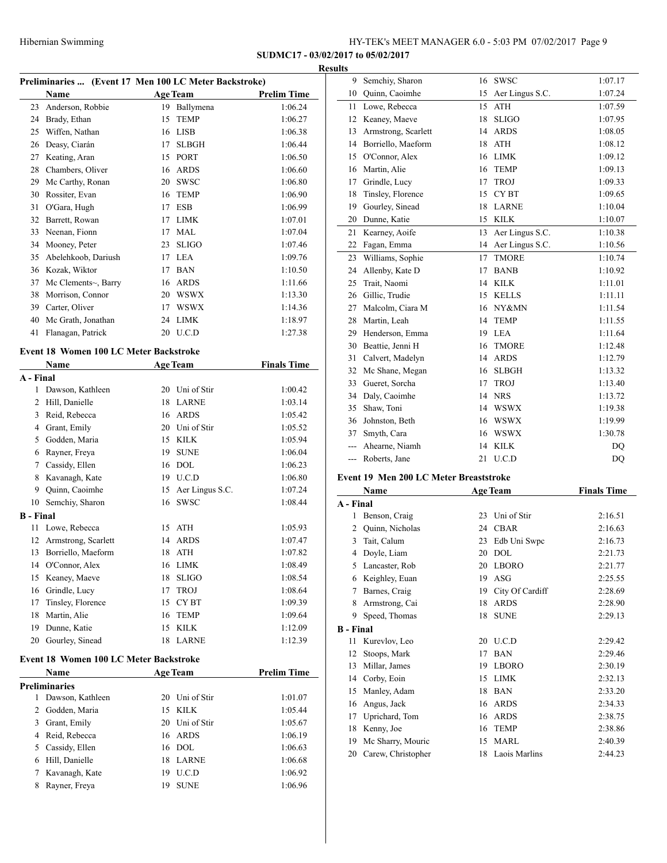Semchiy, Sharon 16 SWSC 1:07.17

**SUDMC17 - 03/02/2017 to 05/02/2017**

## **Results**

|                                        | Preliminaries  (Event 17 Men 100 LC Meter Backstroke) |    |                    |                    |  |
|----------------------------------------|-------------------------------------------------------|----|--------------------|--------------------|--|
|                                        | Name                                                  |    | <b>Age Team</b>    | <b>Prelim Time</b> |  |
|                                        | 23 Anderson, Robbie                                   |    | 19 Ballymena       | 1:06.24            |  |
|                                        | 24 Brady, Ethan                                       | 15 | <b>TEMP</b>        | 1:06.27            |  |
|                                        | 25 Wiffen, Nathan                                     |    | 16 LISB            | 1:06.38            |  |
|                                        | 26 Deasy, Ciarán                                      | 17 | <b>SLBGH</b>       | 1:06.44            |  |
|                                        | 27 Keating, Aran                                      | 15 | PORT               | 1:06.50            |  |
|                                        | 28 Chambers, Oliver                                   |    | 16 ARDS            | 1:06.60            |  |
|                                        | 29 Mc Carthy, Ronan                                   |    | 20 SWSC            | 1:06.80            |  |
|                                        | 30 Rossiter, Evan                                     | 16 | <b>TEMP</b>        | 1:06.90            |  |
| 31                                     | O'Gara, Hugh                                          |    | 17 ESB             | 1:06.99            |  |
| 32                                     | Barrett, Rowan                                        |    | 17 LIMK            | 1:07.01            |  |
|                                        | 33 Neenan, Fionn                                      |    | 17 MAL             | 1:07.04            |  |
|                                        | 34 Mooney, Peter                                      |    | 23 SLIGO           | 1:07.46            |  |
|                                        | 35 Abelehkoob, Dariush                                |    | 17 LEA             | 1:09.76            |  |
|                                        | 36 Kozak, Wiktor                                      |    | 17 BAN             | 1:10.50            |  |
| 37                                     | Mc Clements~, Barry                                   |    | 16 ARDS            | 1:11.66            |  |
|                                        | 38 Morrison, Connor                                   |    | 20 WSWX            | 1:13.30            |  |
|                                        | 39 Carter, Oliver                                     |    | 17 WSWX            | 1:14.36            |  |
|                                        |                                                       |    |                    |                    |  |
|                                        | 40 Mc Grath, Jonathan                                 |    | 24 LIMK            | 1:18.97            |  |
| 41                                     | Flanagan, Patrick                                     | 20 | U.C.D              | 1:27.38            |  |
|                                        | Event 18 Women 100 LC Meter Backstroke                |    |                    |                    |  |
|                                        | <b>Name</b>                                           |    | <b>Age Team</b>    | <b>Finals Time</b> |  |
| A - Final                              |                                                       |    |                    |                    |  |
| 1                                      | Dawson, Kathleen                                      |    | 20 Uni of Stir     | 1:00.42            |  |
|                                        | 2 Hill, Danielle                                      |    | 18 LARNE           | 1:03.14            |  |
|                                        | 3 Reid, Rebecca                                       |    | 16 ARDS            | 1:05.42            |  |
|                                        | 4 Grant, Emily                                        |    | 20 Uni of Stir     | 1:05.52            |  |
| 5                                      | Godden, Maria                                         |    | 15 KILK            | 1:05.94            |  |
|                                        | 6 Rayner, Freya                                       | 19 | <b>SUNE</b>        | 1:06.04            |  |
|                                        | 7 Cassidy, Ellen                                      |    | 16 DOL             | 1:06.23            |  |
| 8                                      | Kavanagh, Kate                                        |    | 19 U.C.D           | 1:06.80            |  |
| 9                                      | Quinn, Caoimhe                                        |    | 15 Aer Lingus S.C. | 1:07.24            |  |
| 10                                     | Semchiy, Sharon                                       | 16 | <b>SWSC</b>        | 1:08.44            |  |
| <b>B</b> - Final                       |                                                       |    |                    |                    |  |
| 11                                     | Lowe, Rebecca                                         |    | 15 ATH             | 1:05.93            |  |
| 12                                     | Armstrong, Scarlett                                   |    | 14 ARDS            | 1:07.47            |  |
| 13                                     | Borriello, Maeform                                    |    | 18 ATH             | 1:07.82            |  |
| 14                                     | O'Connor, Alex                                        |    | 16 LIMK            | 1:08.49            |  |
| 15                                     | Keaney, Maeve                                         | 18 | <b>SLIGO</b>       | 1:08.54            |  |
| 16                                     | Grindle, Lucy                                         | 17 | <b>TROJ</b>        | 1:08.64            |  |
| 17                                     | Tinsley, Florence                                     | 15 | CY BT              | 1:09.39            |  |
| 18                                     | Martin, Alie                                          | 16 | <b>TEMP</b>        | 1:09.64            |  |
| 19                                     | Dunne, Katie                                          | 15 | <b>KILK</b>        | 1:12.09            |  |
| 20                                     | Gourley, Sinead                                       | 18 | <b>LARNE</b>       | 1:12.39            |  |
|                                        |                                                       |    |                    |                    |  |
| Event 18 Women 100 LC Meter Backstroke |                                                       |    |                    |                    |  |
|                                        | Name                                                  |    | <b>Age Team</b>    | <b>Prelim Time</b> |  |
|                                        | <b>Preliminaries</b>                                  |    |                    |                    |  |

 Dawson, Kathleen 20 Uni of Stir 1:01.07 Godden, Maria 15 KILK 1:05.44 Grant, Emily 20 Uni of Stir 1:05.67 Reid, Rebecca 16 ARDS 1:06.19 Cassidy, Ellen 16 DOL 1:06.63 Hill, Danielle 18 LARNE 1:06.68 Kavanagh, Kate 19 U.C.D 1:06.92 8 Rayner, Freya 19 SUNE 1:06.96

| 10               | Quinn, Caoimhe                                | 15       | Aer Lingus S.C.              | 1:07.24            |
|------------------|-----------------------------------------------|----------|------------------------------|--------------------|
| 11               | Lowe, Rebecca                                 | 15       | <b>ATH</b>                   | 1:07.59            |
| 12               | Keaney, Maeve                                 | 18       | <b>SLIGO</b>                 | 1:07.95            |
| 13               | Armstrong, Scarlett                           |          | 14 ARDS                      | 1:08.05            |
| 14               | Borriello, Maeform                            | 18       | <b>ATH</b>                   | 1:08.12            |
| 15               | O'Connor, Alex                                | 16       | <b>LIMK</b>                  | 1:09.12            |
| 16               | Martin, Alie                                  | 16       | <b>TEMP</b>                  | 1:09.13            |
| 17               | Grindle, Lucy                                 | 17       | <b>TROJ</b>                  | 1:09.33            |
| 18               | Tinsley, Florence                             | 15       | CY <sub>BT</sub>             | 1:09.65            |
| 19               | Gourley, Sinead                               | 18       | <b>LARNE</b>                 | 1:10.04            |
| 20               | Dunne, Katie                                  | 15       | <b>KILK</b>                  | 1:10.07            |
| 21               | Kearney, Aoife                                | 13       | Aer Lingus S.C.              | 1:10.38            |
| 22               | Fagan, Emma                                   | 14       | Aer Lingus S.C.              | 1:10.56            |
| 23               | Williams, Sophie                              | 17       | <b>TMORE</b>                 | 1:10.74            |
| 24               | Allenby, Kate D                               | 17       | <b>BANB</b>                  | 1:10.92            |
| 25               | Trait, Naomi                                  |          | 14 KILK                      | 1:11.01            |
| 26               | Gillic, Trudie                                |          | 15 KELLS                     | 1:11.11            |
| 27               | Malcolm, Ciara M                              |          | 16 NY&MN                     | 1:11.54            |
| 28               | Martin, Leah                                  | 14       | <b>TEMP</b>                  | 1:11.55            |
| 29               | Henderson, Emma                               |          | 19 LEA                       | 1:11.64            |
| 30               | Beattie, Jenni H                              | 16       | <b>TMORE</b>                 | 1:12.48            |
| 31               | Calvert, Madelyn                              | 14       | <b>ARDS</b>                  | 1:12.79            |
| 32               | Mc Shane, Megan                               | 16       | <b>SLBGH</b>                 | 1:13.32            |
| 33               | Gueret, Sorcha                                | 17       | <b>TROJ</b>                  | 1:13.40            |
| 34               | Daly, Caoimhe                                 |          | 14 NRS                       | 1:13.72            |
| 35               | Shaw, Toni                                    |          | 14 WSWX                      | 1:19.38            |
| 36               | Johnston, Beth                                |          | 16 WSWX                      | 1:19.99            |
|                  |                                               |          |                              |                    |
| 37               |                                               |          | 16 WSWX                      | 1:30.78            |
| ---              | Smyth, Cara<br>Ahearne, Niamh                 | 14       | <b>KILK</b>                  | DQ                 |
| ---              | Roberts, Jane                                 | 21       | U.C.D                        | DQ                 |
|                  |                                               |          |                              |                    |
|                  | <b>Event 19 Men 200 LC Meter Breaststroke</b> |          |                              |                    |
|                  | Name                                          |          | <b>Age Team</b>              | <b>Finals Time</b> |
| A - Final        |                                               |          |                              |                    |
| 1                | Benson, Craig                                 | 23       | Uni of Stir                  | 2:16.51            |
| 2                | Quinn, Nicholas                               | 24       | <b>CBAR</b>                  | 2:16.63            |
| 3                | Tait, Calum                                   | 23       | Edb Uni Swpc                 | 2:16.73            |
| 4                | Doyle, Liam                                   | 20       | <b>DOL</b>                   | 2:21.73            |
|                  | 5 Lancaster, Rob                              |          | 20 LBORO                     | 2:21.77            |
| 6                | Keighley, Euan                                |          | 19 ASG                       | 2:25.55            |
| 7                | Barnes, Craig                                 |          | 19 City Of Cardiff           | 2:28.69            |
| 8                | Armstrong, Cai                                | 18       | <b>ARDS</b>                  | 2:28.90            |
| 9.               | Speed, Thomas                                 | 18       | <b>SUNE</b>                  | 2:29.13            |
| <b>B</b> - Final |                                               |          |                              |                    |
| 11               | Kurevlov, Leo                                 | 20       | U.C.D                        | 2:29.42            |
| 12               | Stoops, Mark                                  | 17       | <b>BAN</b>                   | 2:29.46            |
| 13               | Millar, James                                 | 19       | <b>LBORO</b>                 | 2:30.19            |
| 14               | Corby, Eoin                                   | 15       | <b>LIMK</b>                  | 2:32.13            |
| 15               | Manley, Adam                                  | 18       | <b>BAN</b>                   | 2:33.20            |
| 16               | Angus, Jack                                   | 16       | <b>ARDS</b>                  | 2:34.33            |
| 17               | Uprichard, Tom                                | 16       | <b>ARDS</b>                  | 2:38.75            |
| 18               | Kenny, Joe                                    | 16       | <b>TEMP</b>                  | 2:38.86            |
| 19<br>20         | Mc Sharry, Mouric<br>Carew, Christopher       | 15<br>18 | <b>MARL</b><br>Laois Marlins | 2:40.39<br>2:44.23 |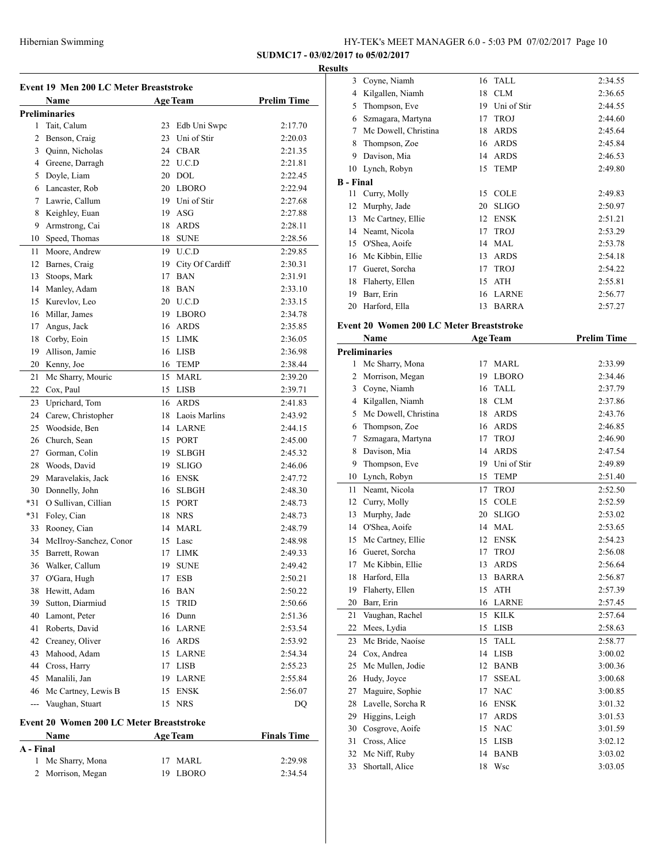## **SUDMC17 - 03/02/2017 to 05/02/2017**

#### **Results**

| Event 19 Men 200 LC Meter Breaststroke |                                                 |     |                    |                    |  |
|----------------------------------------|-------------------------------------------------|-----|--------------------|--------------------|--|
|                                        | Name                                            |     | <b>Age Team</b>    | <b>Prelim Time</b> |  |
|                                        | <b>Preliminaries</b>                            |     |                    |                    |  |
| 1                                      | Tait, Calum                                     |     | 23 Edb Uni Swpc    | 2:17.70            |  |
| 2                                      | Benson, Craig                                   |     | 23 Uni of Stir     | 2:20.03            |  |
|                                        | 3 Quinn, Nicholas                               |     | 24 CBAR            | 2:21.35            |  |
|                                        | 4 Greene, Darragh                               |     | 22 U.C.D           | 2:21.81            |  |
| 5                                      | Doyle, Liam                                     |     | 20 DOL             | 2:22.45            |  |
|                                        | 6 Lancaster, Rob                                | 20  | LBORO              | 2:22.94            |  |
| $7^{\circ}$                            | Lawrie, Callum                                  | 19  | Uni of Stir        | 2:27.68            |  |
| 8                                      | Keighley, Euan                                  | 19  | ASG                | 2:27.88            |  |
| 9                                      | Armstrong, Cai                                  | 18  | <b>ARDS</b>        | 2:28.11            |  |
| 10                                     | Speed, Thomas                                   | 18  | <b>SUNE</b>        | 2:28.56            |  |
| 11                                     | Moore, Andrew                                   |     | 19 U.C.D           | 2:29.85            |  |
| 12                                     | Barnes, Craig                                   |     | 19 City Of Cardiff | 2:30.31            |  |
| 13                                     | Stoops, Mark                                    |     | 17 BAN             | 2:31.91            |  |
|                                        |                                                 |     | 18 BAN             | 2:33.10            |  |
| 15                                     | 14 Manley, Adam<br>Kurevlov, Leo                |     | 20 U.C.D           |                    |  |
|                                        |                                                 |     |                    | 2:33.15            |  |
|                                        | 16 Millar, James                                |     | 19 LBORO           | 2:34.78            |  |
| 17                                     | Angus, Jack                                     |     | 16 ARDS            | 2:35.85            |  |
| 18                                     | Corby, Eoin                                     | 15  | LIMK               | 2:36.05            |  |
| 19                                     | Allison, Jamie                                  | 16  | <b>LISB</b>        | 2:36.98            |  |
|                                        | 20 Kenny, Joe                                   | 16  | <b>TEMP</b>        | 2:38.44            |  |
| 21                                     | Mc Sharry, Mouric                               |     | 15 MARL            | 2:39.20            |  |
| 22                                     | Cox, Paul                                       |     | 15 LISB            | 2:39.71            |  |
| 23                                     | Uprichard, Tom                                  | 16  | <b>ARDS</b>        | 2:41.83            |  |
| 24                                     | Carew, Christopher                              |     | 18 Laois Marlins   | 2:43.92            |  |
| 25                                     | Woodside, Ben                                   |     | 14 LARNE           | 2:44.15            |  |
|                                        | 26 Church, Sean                                 |     | 15 PORT            | 2:45.00            |  |
|                                        | 27 Gorman, Colin                                | 19  | <b>SLBGH</b>       | 2:45.32            |  |
|                                        | 28 Woods, David                                 |     | 19 SLIGO           | 2:46.06            |  |
| 29                                     | Maravelakis, Jack                               |     | 16 ENSK            | 2:47.72            |  |
| 30                                     | Donnelly, John                                  |     | 16 SLBGH           | 2:48.30            |  |
| $*31$                                  | O Sullivan, Cillian                             |     | 15 PORT            | 2:48.73            |  |
| $*31$                                  | Foley, Cian                                     | 18  | <b>NRS</b>         | 2:48.73            |  |
| 33                                     | Rooney, Cian                                    | 14  | <b>MARL</b>        | 2:48.79            |  |
| 34                                     | McIlroy-Sanchez, Conor                          | 15  | Lasc               | 2:48.98            |  |
| 35                                     | Barrett, Rowan                                  | 17  | <b>LIMK</b>        | 2:49.33            |  |
| 36                                     | Walker, Callum                                  | 19. | <b>SUNE</b>        | 2:49.42            |  |
| 37                                     | O'Gara, Hugh                                    | 17  | ESB                | 2:50.21            |  |
| 38                                     | Hewitt, Adam                                    | 16  | BAN                | 2:50.22            |  |
| 39                                     | Sutton, Diarmiud                                | 15  | <b>TRID</b>        | 2:50.66            |  |
|                                        | 40 Lamont, Peter                                |     | 16 Dunn            | 2:51.36            |  |
| 41                                     | Roberts, David                                  |     | 16 LARNE           | 2:53.54            |  |
|                                        | 42 Creaney, Oliver                              |     | 16 ARDS            | 2:53.92            |  |
| 43                                     | Mahood, Adam                                    |     | 15 LARNE           | 2:54.34            |  |
|                                        | 44 Cross, Harry                                 |     | 17 LISB            | 2:55.23            |  |
|                                        | 45 Manalili, Jan                                | 19  | <b>LARNE</b>       | 2:55.84            |  |
|                                        | 46 Mc Cartney, Lewis B                          | 15  | <b>ENSK</b>        | 2:56.07            |  |
| $\overline{a}$                         | Vaughan, Stuart                                 | 15  | NRS                | DQ                 |  |
|                                        |                                                 |     |                    |                    |  |
|                                        | <b>Event 20 Women 200 LC Meter Breaststroke</b> |     |                    |                    |  |
|                                        | Name                                            |     | <b>Age Team</b>    | <b>Finals Time</b> |  |
| A - Final                              |                                                 |     |                    |                    |  |

 Mc Sharry, Mona 17 MARL 2:29.98 Morrison, Megan 19 LBORO 2:34.54

| 3                | Coyne, Niamh                             | 16 | <b>TALL</b>     | 2:34.55            |
|------------------|------------------------------------------|----|-----------------|--------------------|
| 4                | Kilgallen, Niamh                         | 18 | <b>CLM</b>      | 2:36.65            |
| 5                | Thompson, Eve                            | 19 | Uni of Stir     | 2:44.55            |
| 6                | Szmagara, Martyna                        | 17 | <b>TROJ</b>     | 2:44.60            |
| 7                | Mc Dowell, Christina                     | 18 | <b>ARDS</b>     | 2:45.64            |
| 8                | Thompson, Zoe                            | 16 | <b>ARDS</b>     | 2:45.84            |
| 9                | Davison, Mia                             | 14 | <b>ARDS</b>     | 2:46.53            |
| 10               | Lynch, Robyn                             | 15 | <b>TEMP</b>     | 2:49.80            |
| <b>B</b> - Final |                                          |    |                 |                    |
| 11               | Curry, Molly                             | 15 | <b>COLE</b>     | 2:49.83            |
| 12               | Murphy, Jade                             | 20 | $\rm SLIGO$     | 2:50.97            |
| 13               | Mc Cartney, Ellie                        | 12 | <b>ENSK</b>     | 2:51.21            |
| 14               | Neamt, Nicola                            | 17 | <b>TROJ</b>     | 2:53.29            |
| 15               | O'Shea, Aoife                            | 14 | MAL             | 2:53.78            |
| 16               | Mc Kibbin, Ellie                         | 13 | <b>ARDS</b>     | 2:54.18            |
| 17               | Gueret, Sorcha                           | 17 | <b>TROJ</b>     | 2:54.22            |
| 18               | Flaherty, Ellen                          | 15 | <b>ATH</b>      | 2:55.81            |
| 19               | Barr, Erin                               | 16 | <b>LARNE</b>    | 2:56.77            |
| 20               | Harford, Ella                            | 13 | <b>BARRA</b>    | 2:57.27            |
|                  |                                          |    |                 |                    |
|                  | Event 20 Women 200 LC Meter Breaststroke |    |                 |                    |
|                  | Name                                     |    | <b>Age Team</b> | <b>Prelim Time</b> |
|                  | Preliminaries                            |    |                 |                    |
| 1                | Mc Sharry, Mona                          | 17 | MARL            | 2:33.99            |
| 2                | Morrison, Megan                          | 19 | <b>LBORO</b>    | 2:34.46            |
| 3                | Coyne, Niamh                             | 16 | <b>TALL</b>     | 2:37.79            |
| 4                | Kilgallen, Niamh                         | 18 | <b>CLM</b>      | 2:37.86            |
| 5                | Mc Dowell, Christina                     | 18 | <b>ARDS</b>     | 2:43.76            |
| 6                | Thompson, Zoe                            | 16 | ARDS            | 2:46.85            |
| 7                | Szmagara, Martyna                        | 17 | <b>TROJ</b>     | 2:46.90            |
| 8                | Davison, Mia                             | 14 | <b>ARDS</b>     | 2:47.54            |
| 9                | Thompson, Eve                            | 19 | Uni of Stir     | 2:49.89            |
| 10               | Lynch, Robyn                             | 15 | <b>TEMP</b>     | 2:51.40            |
| 11               | Neamt, Nicola                            | 17 | <b>TROJ</b>     | 2:52.50            |
| 12               | Curry, Molly                             | 15 | <b>COLE</b>     | 2:52.59            |
| 13               | Murphy, Jade                             | 20 | <b>SLIGO</b>    | 2:53.02            |
| 14               | O'Shea, Aoife                            | 14 | <b>MAL</b>      | 2:53.65            |
| 15               | Mc Cartney, Ellie                        | 12 | <b>ENSK</b>     | 2:54.23            |
| 16               | Gueret, Sorcha                           | 17 | <b>TROJ</b>     | 2:56.08            |
|                  | 17 Mc Kibbin, Ellie                      |    | 13 ARDS         | 2:56.64            |
| 18               | Harford, Ella                            | 13 | <b>BARRA</b>    | 2:56.87            |
| 19               | Flaherty, Ellen                          | 15 | <b>ATH</b>      | 2:57.39            |
| 20               | Barr, Erin                               | 16 | LARNE           | 2:57.45            |
| 21               | Vaughan, Rachel                          | 15 | <b>KILK</b>     | 2:57.64            |
| 22               | Mees, Lydia                              | 15 | <b>LISB</b>     | 2:58.63            |
| 23               | Mc Bride, Naoíse                         | 15 | TALL            | 2:58.77            |
| 24               | Cox, Andrea                              | 14 | <b>LISB</b>     | 3:00.02            |
| 25               | Mc Mullen, Jodie                         | 12 | <b>BANB</b>     | 3:00.36            |
| 26               | Hudy, Joyce                              | 17 | <b>SSEAL</b>    | 3:00.68            |
| 27               | Maguire, Sophie                          | 17 | $\rm NAC$       | 3:00.85            |
| 28               | Lavelle, Sorcha R                        | 16 | <b>ENSK</b>     | 3:01.32            |
| 29               | Higgins, Leigh                           | 17 | <b>ARDS</b>     | 3:01.53            |
| 30               |                                          |    |                 | 3:01.59            |
|                  | Cosgrove, Aoife                          | 15 | NAC             |                    |
| 31               | Cross, Alice                             | 15 | <b>LISB</b>     | 3:02.12            |
| 32               | Mc Niff, Ruby                            | 14 | <b>BANB</b>     | 3:03.02            |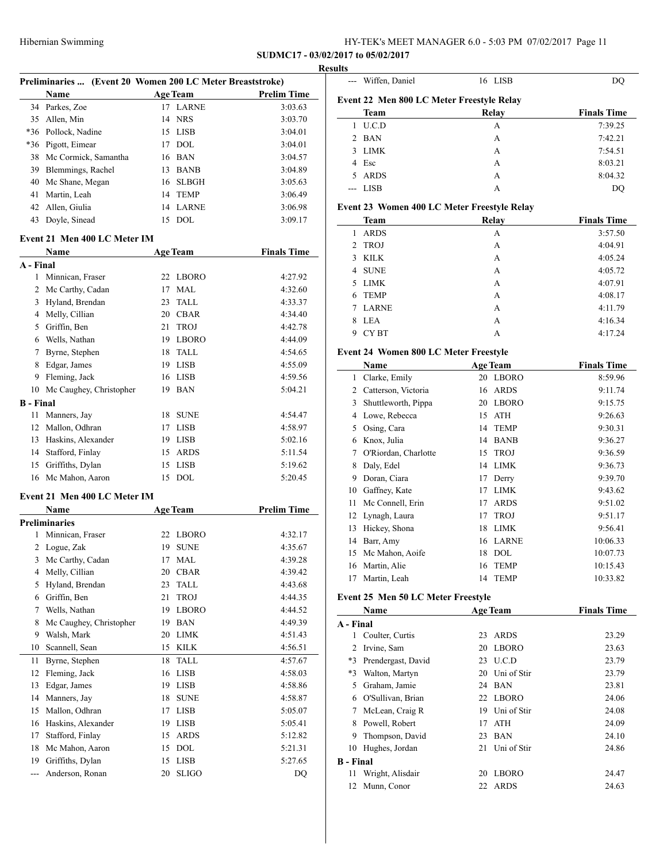**SUDMC17 - 03/02/2017 to 05/02/2017**

## **Results**

|    |                         | Preliminaries  (Event 20 Women 200 LC Meter Breaststroke) |                 |                    |  |
|----|-------------------------|-----------------------------------------------------------|-----------------|--------------------|--|
|    | <b>Name</b>             |                                                           | <b>Age Team</b> | <b>Prelim Time</b> |  |
|    | 34 Parkes, Zoe          | 17                                                        | <b>LARNE</b>    | 3:03.63            |  |
|    | 35 Allen, Min           |                                                           | 14 NRS          | 3:03.70            |  |
|    | *36 Pollock, Nadine     |                                                           | 15 LISB         | 3:04.01            |  |
|    | *36 Pigott, Eimear      | 17                                                        | DOL.            | 3:04.01            |  |
|    | 38 Mc Cormick, Samantha |                                                           | 16 BAN          | 3:04.57            |  |
| 39 | Blemmings, Rachel       | 13                                                        | <b>BANB</b>     | 3:04.89            |  |
| 40 | Mc Shane, Megan         |                                                           | 16 SLBGH        | 3:05.63            |  |
| 41 | Martin, Leah            | 14                                                        | <b>TEMP</b>     | 3:06.49            |  |
| 42 | Allen, Giulia           |                                                           | 14 LARNE        | 3:06.98            |  |
| 43 | Doyle, Sinead           | 15                                                        | DOL.            | 3:09.17            |  |
|    |                         |                                                           |                 |                    |  |

#### **Event 21 Men 400 LC Meter IM**

|                  | <b>Name</b>             |    | <b>Age Team</b> | <b>Finals Time</b> |
|------------------|-------------------------|----|-----------------|--------------------|
| A - Final        |                         |    |                 |                    |
| 1                | Minnican, Fraser        | 22 | <b>LBORO</b>    | 4:27.92            |
| 2                | Mc Carthy, Cadan        | 17 | MAL.            | 4:32.60            |
| 3                | Hyland, Brendan         | 23 | TALL            | 4:33.37            |
| 4                | Melly, Cillian          | 20 | <b>CBAR</b>     | 4:34.40            |
| 5                | Griffin, Ben            | 21 | <b>TROJ</b>     | 4:42.78            |
| 6                | Wells, Nathan           | 19 | <b>LBORO</b>    | 4:44.09            |
| 7                | Byrne, Stephen          | 18 | <b>TALL</b>     | 4:54.65            |
| 8                | Edgar, James            | 19 | <b>LISB</b>     | 4:55.09            |
| 9                | Fleming, Jack           | 16 | <b>LISB</b>     | 4:59.56            |
| 10               | Mc Caughey, Christopher | 19 | <b>BAN</b>      | 5:04.21            |
| <b>B</b> - Final |                         |    |                 |                    |
| 11               | Manners, Jay            | 18 | <b>SUNE</b>     | 4:54.47            |
| 12               | Mallon, Odhran          | 17 | <b>LISB</b>     | 4:58.97            |
| 13               | Haskins, Alexander      | 19 | <b>LISB</b>     | 5:02.16            |
| 14               | Stafford, Finlay        | 15 | <b>ARDS</b>     | 5:11.54            |
| 15               | Griffiths, Dylan        | 15 | <b>LISB</b>     | 5:19.62            |
| 16               | Mc Mahon, Aaron         | 15 | <b>DOL</b>      | 5:20.45            |
|                  |                         |    |                 |                    |

## **Event 21 Men 400 LC Meter IM**

|     | Name                    |    | <b>Age Team</b> | <b>Prelim Time</b> |
|-----|-------------------------|----|-----------------|--------------------|
|     | Preliminaries           |    |                 |                    |
| 1   | Minnican, Fraser        | 22 | <b>LBORO</b>    | 4:32.17            |
| 2   | Logue, Zak              | 19 | <b>SUNE</b>     | 4:35.67            |
| 3   | Mc Carthy, Cadan        | 17 | <b>MAL</b>      | 4:39.28            |
| 4   | Melly, Cillian          | 20 | <b>CBAR</b>     | 4:39.42            |
| 5   | Hyland, Brendan         | 23 | <b>TALL</b>     | 4:43.68            |
| 6   | Griffin, Ben            | 21 | <b>TROJ</b>     | 4:44.35            |
| 7   | Wells, Nathan           | 19 | <b>LBORO</b>    | 4:44.52            |
| 8   | Mc Caughey, Christopher | 19 | <b>BAN</b>      | 4:49.39            |
| 9   | Walsh, Mark             | 20 | <b>LIMK</b>     | 4:51.43            |
| 10  | Scannell, Sean          | 15 | <b>KILK</b>     | 4:56.51            |
| 11  | Byrne, Stephen          | 18 | <b>TALL</b>     | 4:57.67            |
| 12  | Fleming, Jack           | 16 | <b>LISB</b>     | 4:58.03            |
| 13  | Edgar, James            | 19 | <b>LISB</b>     | 4:58.86            |
| 14  | Manners, Jay            | 18 | <b>SUNE</b>     | 4:58.87            |
| 15  | Mallon, Odhran          | 17 | <b>LISB</b>     | 5:05.07            |
| 16  | Haskins, Alexander      | 19 | <b>LISB</b>     | 5:05.41            |
| 17  | Stafford, Finlay        | 15 | <b>ARDS</b>     | 5:12.82            |
| 18  | Mc Mahon, Aaron         | 15 | <b>DOL</b>      | 5:21.31            |
| 19  | Griffiths, Dylan        | 15 | <b>LISB</b>     | 5:27.65            |
| --- | Anderson, Ronan         | 20 | <b>SLIGO</b>    | DQ                 |

|             | --- Wiffen, Daniel | 16 LISB                                   |                    |
|-------------|--------------------|-------------------------------------------|--------------------|
|             |                    | Event 22 Men 800 LC Meter Freestyle Relay |                    |
|             | Team               | Relay                                     | <b>Finals Time</b> |
|             | U.C.D              | А                                         | 7:39.25            |
| $2^{\circ}$ | <b>BAN</b>         | А                                         | 7:42.21            |
| 3           | <b>LIMK</b>        | A                                         | 7:54.51            |
|             | 4 Esc              | A                                         | 8:03.21            |
| 5.          | <b>ARDS</b>        | A                                         | 8:04.32            |
|             | LISB               | А                                         | DO                 |

## **Event 23 Women 400 LC Meter Freestyle Relay**

| <b>Team</b>       | Relay | <b>Finals Time</b> |
|-------------------|-------|--------------------|
| <b>ARDS</b><br>1  | A     | 3:57.50            |
| 2 TROJ            | A     | 4:04.91            |
| <b>KILK</b><br>3  | A     | 4:05.24            |
| <b>SUNE</b><br>4  | A     | 4:05.72            |
| <b>LIMK</b><br>5. | A     | 4:07.91            |
| <b>TEMP</b><br>6. | A     | 4:08.17            |
| <b>LARNE</b><br>7 | A     | 4:11.79            |
| <b>LEA</b><br>8   | A     | 4:16.34            |
| <b>CYBT</b><br>9  | А     | 4:17.24            |

## **Event 24 Women 800 LC Meter Freestyle**

|    | Name                 |    | <b>Age Team</b> | <b>Finals Time</b> |
|----|----------------------|----|-----------------|--------------------|
| 1  | Clarke, Emily        | 20 | <b>LBORO</b>    | 8:59.96            |
| 2  | Catterson, Victoria  | 16 | <b>ARDS</b>     | 9:11.74            |
| 3  | Shuttleworth, Pippa  | 20 | <b>LBORO</b>    | 9:15.75            |
| 4  | Lowe, Rebecca        | 15 | <b>ATH</b>      | 9:26.63            |
| 5  | Osing, Cara          | 14 | <b>TEMP</b>     | 9:30.31            |
| 6  | Knox, Julia          | 14 | <b>BANB</b>     | 9:36.27            |
| 7  | O'Riordan, Charlotte | 15 | <b>TROJ</b>     | 9:36.59            |
| 8  | Daly, Edel           | 14 | <b>LIMK</b>     | 9:36.73            |
| 9  | Doran, Ciara         | 17 | Derry           | 9:39.70            |
| 10 | Gaffney, Kate        | 17 | <b>LIMK</b>     | 9:43.62            |
| 11 | Mc Connell, Erin     | 17 | <b>ARDS</b>     | 9:51.02            |
| 12 | Lynagh, Laura        | 17 | <b>TROJ</b>     | 9:51.17            |
| 13 | Hickey, Shona        | 18 | <b>LIMK</b>     | 9:56.41            |
| 14 | Barr, Amy            | 16 | <b>LARNE</b>    | 10:06.33           |
| 15 | Mc Mahon, Aoife      | 18 | <b>DOL</b>      | 10:07.73           |
| 16 | Martin, Alie         | 16 | <b>TEMP</b>     | 10:15.43           |
| 17 | Martin, Leah         | 14 | <b>TEMP</b>     | 10:33.82           |

## **Event 25 Men 50 LC Meter Freestyle**

|                  | Name               |    | <b>Age Team</b> | <b>Finals Time</b> |
|------------------|--------------------|----|-----------------|--------------------|
| A - Final        |                    |    |                 |                    |
|                  | Coulter, Curtis    | 23 | <b>ARDS</b>     | 23.29              |
| 2                | Irvine, Sam        | 20 | <b>LBORO</b>    | 23.63              |
| $*3$             | Prendergast, David | 23 | <b>U.C.D</b>    | 23.79              |
| *3               | Walton, Martyn     | 20 | Uni of Stir     | 23.79              |
| 5.               | Graham, Jamie      | 24 | <b>BAN</b>      | 23.81              |
| 6                | O'Sullivan, Brian  |    | 22 LBORO        | 24.06              |
|                  | McLean, Craig R    | 19 | Uni of Stir     | 24.08              |
| 8                | Powell, Robert     | 17 | <b>ATH</b>      | 24.09              |
| 9                | Thompson, David    | 23 | BAN             | 24.10              |
| 10               | Hughes, Jordan     | 21 | Uni of Stir     | 24.86              |
| <b>B</b> - Final |                    |    |                 |                    |
| 11               | Wright, Alisdair   | 20 | <b>LBORO</b>    | 24.47              |
| 12               | Munn, Conor        | 22 | <b>ARDS</b>     | 24.63              |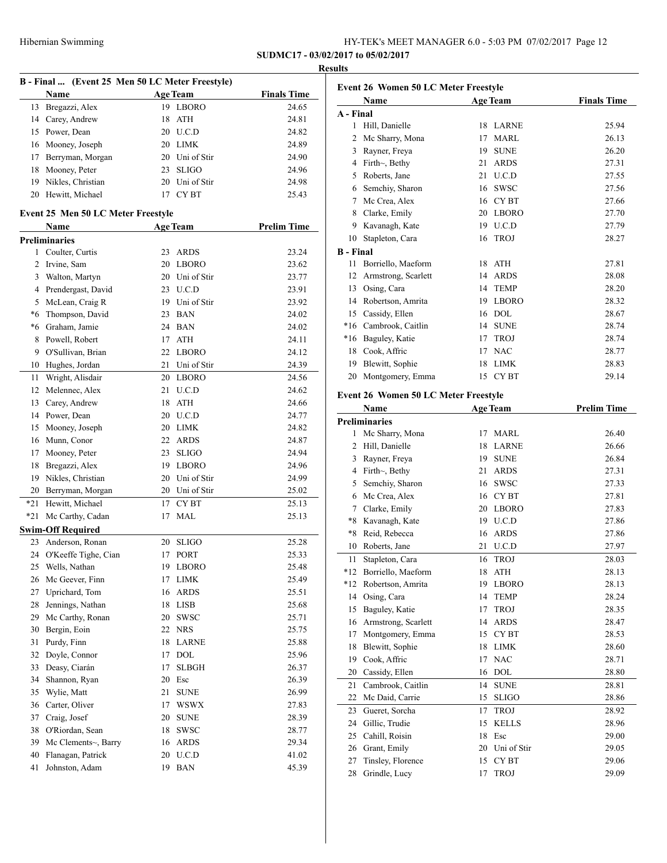|       |                                    |                                                 | <b>Results</b>     |
|-------|------------------------------------|-------------------------------------------------|--------------------|
|       |                                    | B - Final  (Event 25 Men 50 LC Meter Freestyle) |                    |
|       | Name                               | <b>Age Team</b>                                 | <b>Finals Time</b> |
|       | 13 Bregazzi, Alex                  | 19 LBORO                                        | 24.65              |
|       | 14 Carey, Andrew                   | 18 ATH                                          | 24.81              |
|       | 15 Power, Dean                     | 20 U.C.D                                        | 24.82              |
|       | 16 Mooney, Joseph                  | 20 LIMK                                         | 24.89              |
| 17    | Berryman, Morgan                   | 20 Uni of Stir                                  | 24.90              |
| 18    | Mooney, Peter                      | <b>SLIGO</b><br>23                              | 24.96              |
|       | 19 Nikles, Christian               | 20 Uni of Stir                                  | 24.98              |
|       | 20 Hewitt, Michael                 | 17 CYBT                                         | 25.43              |
|       | Event 25 Men 50 LC Meter Freestyle |                                                 |                    |
|       | Name<br><b>Preliminaries</b>       | <b>Age Team</b>                                 | <b>Prelim Time</b> |
|       | 1 Coulter, Curtis                  | 23<br>ARDS                                      | 23.24              |
| 2     | Irvine, Sam                        | 20 LBORO                                        | 23.62              |
| 3     |                                    | 20 Uni of Stir                                  | 23.77              |
|       | Walton, Martyn                     |                                                 |                    |
| 4     | Prendergast, David                 | 23 U.C.D                                        | 23.91              |
| 5     | McLean, Craig R                    | 19 Uni of Stir                                  | 23.92              |
| *6    | Thompson, David                    | 23 BAN                                          | 24.02              |
| *6    | Graham, Jamie                      | 24 BAN                                          | 24.02              |
| 8     | Powell, Robert                     | 17<br><b>ATH</b>                                | 24.11              |
| 9     | O'Sullivan, Brian                  | 22 LBORO                                        | 24.12              |
| 10    | Hughes, Jordan                     | Uni of Stir<br>21                               | 24.39              |
| 11    | Wright, Alisdair                   | 20 LBORO                                        | 24.56              |
| 12    | Melennec, Alex                     | 21 U.C.D                                        | 24.62              |
|       | 13 Carey, Andrew                   | 18 ATH                                          | 24.66              |
|       | 14 Power, Dean                     | 20 U.C.D                                        | 24.77              |
| 15    | Mooney, Joseph                     | 20 LIMK                                         | 24.82              |
|       | 16 Munn, Conor                     | 22 ARDS                                         | 24.87              |
| 17    | Mooney, Peter                      | <b>SLIGO</b><br>23                              | 24.94              |
| 18    | Bregazzi, Alex                     | 19 LBORO                                        | 24.96              |
| 19    | Nikles, Christian                  | 20 Uni of Stir                                  | 24.99              |
|       | 20 Berryman, Morgan                | 20 Uni of Stir                                  | 25.02              |
|       |                                    |                                                 |                    |
| $*21$ | Hewitt, Michael                    | <b>CYBT</b><br>17                               | 25.13              |
| $*21$ | Mc Carthy, Cadan                   | <b>MAL</b><br>17                                | 25.13              |
|       | <b>Swim-Off Required</b>           |                                                 |                    |
|       | 23 Anderson, Ronan                 | 20 SLIGO                                        | 25.28              |
|       | 24 O'Keeffe Tighe, Cian            | <b>PORT</b><br>17                               | 25.33              |
|       | 25 Wells, Nathan                   | 19 LBORO                                        | 25.48              |
| 26    | Mc Geever, Finn                    | <b>LIMK</b><br>17                               | 25.49              |
| 27    | Uprichard, Tom                     | 16 ARDS                                         | 25.51              |
| 28    | Jennings, Nathan                   | 18 LISB                                         | 25.68              |
| 29    | Mc Carthy, Ronan                   | <b>SWSC</b><br>20                               | 25.71              |
| 30    | Bergin, Eoin                       | 22 NRS                                          | 25.75              |
| 31    | Purdy, Finn                        | 18 LARNE                                        | 25.88              |
| 32    | Doyle, Connor                      | <b>DOL</b><br>17                                | 25.96              |
| 33    | Deasy, Ciarán                      | <b>SLBGH</b><br>17                              | 26.37              |
| 34    | Shannon, Ryan                      | 20<br>Esc                                       | 26.39              |
|       |                                    |                                                 |                    |
| 35    | Wylie, Matt                        | <b>SUNE</b><br>21                               | 26.99              |
| 36    | Carter, Oliver                     | 17<br><b>WSWX</b>                               | 27.83              |
| 37    | Craig, Josef                       | 20<br><b>SUNE</b>                               | 28.39              |
| 38    | O'Riordan, Sean                    | <b>SWSC</b><br>18                               | 28.77              |
| 39    | Mc Clements~, Barry                | 16 ARDS                                         | 29.34              |
| 40    | Flanagan, Patrick                  | 20 U.C.D                                        | 41.02              |
|       |                                    |                                                 |                    |

|                  | <b>Event 26 Women 50 LC Meter Freestyle</b> |          |                             |                    |  |
|------------------|---------------------------------------------|----------|-----------------------------|--------------------|--|
|                  | Name                                        |          | <b>Age Team</b>             | <b>Finals Time</b> |  |
| A - Final        |                                             |          |                             |                    |  |
| 1                | Hill, Danielle                              | 18       | LARNE                       | 25.94              |  |
| 2                | Mc Sharry, Mona                             | 17       | MARL                        | 26.13              |  |
| 3                | Rayner, Freya                               | 19       | <b>SUNE</b>                 | 26.20              |  |
|                  | 4 Firth~, Bethy                             | 21       | <b>ARDS</b>                 | 27.31              |  |
| 5                | Roberts, Jane                               | 21       | U.C.D                       | 27.55              |  |
|                  | 6 Semchiy, Sharon                           | 16       | <b>SWSC</b>                 | 27.56              |  |
| 7                | Mc Crea, Alex                               |          | 16 CYBT                     | 27.66              |  |
|                  | 8 Clarke, Emily                             |          | 20 LBORO                    | 27.70              |  |
| 9.               | Kavanagh, Kate                              |          | 19 U.C.D                    | 27.79              |  |
| 10               | Stapleton, Cara                             | 16       | <b>TROJ</b>                 | 28.27              |  |
| <b>B</b> - Final |                                             |          |                             |                    |  |
| 11               | Borriello, Maeform                          | 18       | ATH                         | 27.81              |  |
| 12               | Armstrong, Scarlett                         | 14       | <b>ARDS</b>                 | 28.08              |  |
| 13               | Osing, Cara                                 | 14       | <b>TEMP</b>                 | 28.20              |  |
| 14               | Robertson, Amrita                           | 19       | LBORO                       | 28.32              |  |
| 15               | Cassidy, Ellen                              | 16       | DOL                         | 28.67              |  |
| $*16$            | Cambrook, Caitlin                           | 14       | <b>SUNE</b>                 | 28.74              |  |
| $*16$            | Baguley, Katie                              | 17       | <b>TROJ</b>                 | 28.74              |  |
| 18               | Cook, Affric                                | 17       | <b>NAC</b>                  | 28.77              |  |
| 19               | Blewitt, Sophie                             | 18       | <b>LIMK</b>                 | 28.83              |  |
| 20               | Montgomery, Emma                            | 15       | CY BT                       | 29.14              |  |
|                  |                                             |          |                             |                    |  |
|                  | Event 26 Women 50 LC Meter Freestyle        |          |                             |                    |  |
|                  | Name                                        |          | <b>Age Team</b>             | <b>Prelim Time</b> |  |
|                  | <b>Preliminaries</b>                        |          |                             |                    |  |
| 1                | Mc Sharry, Mona                             | 17       | MARL                        | 26.40              |  |
| 2                | Hill, Danielle                              | 18<br>19 | <b>LARNE</b><br><b>SUNE</b> | 26.66              |  |
| 3                | Rayner, Freya                               |          |                             | 26.84              |  |
| 4                | Firth~, Bethy                               | 21       | <b>ARDS</b>                 | 27.31              |  |
| 5                | Semchiy, Sharon                             | 16       | <b>SWSC</b>                 | 27.33              |  |
| 6                | Mc Crea, Alex                               | 16       | CY BT                       | 27.81              |  |
| 7                | Clarke, Emily                               | 20       | <b>LBORO</b>                | 27.83              |  |
| *8               | Kavanagh, Kate                              | 19       | U.C.D                       | 27.86              |  |
| *8               | Reid, Rebecca                               | 16       | <b>ARDS</b>                 | 27.86              |  |
| 10               | Roberts, Jane                               | 21       | U.C.D                       | 27.97              |  |
| 11               | Stapleton, Cara                             | 16       | <b>TROJ</b>                 | 28.03              |  |
|                  | *12 Borriello, Maeform                      |          | 18 ATH                      | 28.13              |  |
| *12              | Robertson, Amrita                           | 19       | <b>LBORO</b>                | 28.13              |  |
| 14               | Osing, Cara                                 | 14       | <b>TEMP</b>                 | 28.24              |  |
| 15               | Baguley, Katie                              | 17       | <b>TROJ</b>                 | 28.35              |  |
| 16               | Armstrong, Scarlett                         | 14       | <b>ARDS</b>                 | 28.47              |  |
| 17               | Montgomery, Emma                            | 15       | CY BT                       | 28.53              |  |
| 18               | Blewitt, Sophie                             | 18       | <b>LIMK</b>                 | 28.60              |  |
| 19               | Cook, Affric                                | 17       | $\rm NAC$                   | 28.71              |  |
| 20               | Cassidy, Ellen                              | 16       | $\rm DOL$                   | 28.80              |  |
| 21               | Cambrook, Caitlin                           | 14       | <b>SUNE</b>                 | 28.81              |  |
| 22               | Mc Daid, Carrie                             | 15       | <b>SLIGO</b>                | 28.86              |  |
| 23               | Gueret, Sorcha                              | 17       | TROJ                        | 28.92              |  |
| 24               | Gillic, Trudie                              | 15       | <b>KELLS</b>                | 28.96              |  |
| 25               | Cahill, Roisin                              | 18       | Esc                         | 29.00              |  |
| 26               | Grant, Emily                                | 20       | Uni of Stir                 | 29.05              |  |
| 27               | Tinsley, Florence                           | 15       | CY BT                       | 29.06              |  |
| 28               | Grindle, Lucy                               | 17       | <b>TROJ</b>                 | 29.09              |  |
|                  |                                             |          |                             |                    |  |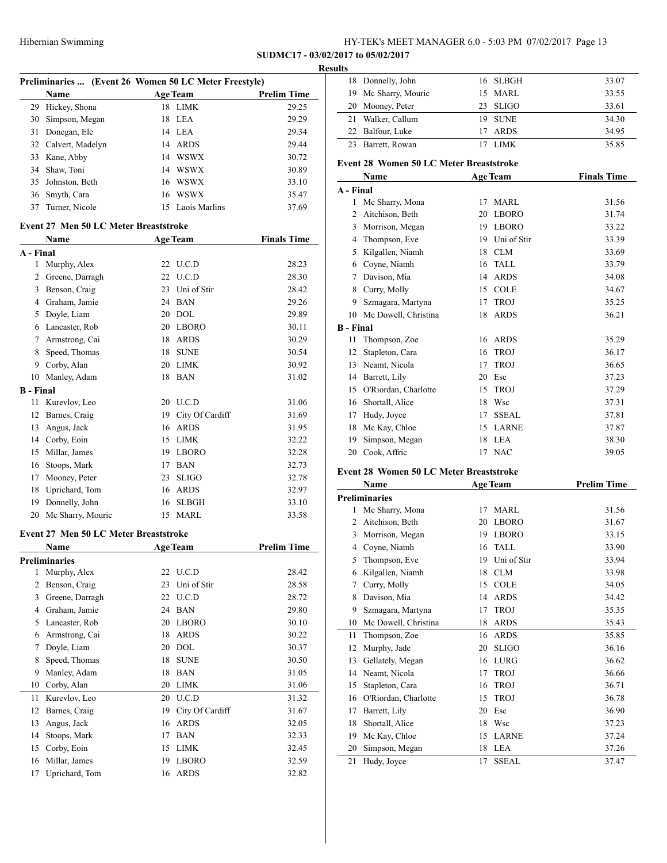**SUDMC17 - 03/02/2017 to 05/02/2017**

#### **Results**

|    | Preliminaries  (Event 26 Women 50 LC Meter Freestyle) |    |                 |                    |  |  |
|----|-------------------------------------------------------|----|-----------------|--------------------|--|--|
|    | Name                                                  |    | <b>Age Team</b> | <b>Prelim Time</b> |  |  |
|    | 29 Hickey, Shona                                      | 18 | <b>LIMK</b>     | 29.25              |  |  |
| 30 | Simpson, Megan                                        |    | 18 LEA          | 29.29              |  |  |
| 31 | Donegan, Ele                                          |    | 14 LEA          | 29.34              |  |  |
|    | 32 Calvert, Madelyn                                   | 14 | ARDS            | 29.44              |  |  |
|    | 33 Kane, Abby                                         | 14 | <b>WSWX</b>     | 30.72              |  |  |
|    | 34 Shaw, Toni                                         | 14 | <b>WSWX</b>     | 30.89              |  |  |
|    | 35 Johnston, Beth                                     | 16 | <b>WSWX</b>     | 33.10              |  |  |
|    | 36 Smyth, Cara                                        | 16 | <b>WSWX</b>     | 35.47              |  |  |
| 37 | Turner, Nicole                                        | 15 | Laois Marlins   | 37.69              |  |  |

#### **Event 27 Men 50 LC Meter Breaststroke**

|                  | Name              |    | <b>Age Team</b> | <b>Finals Time</b> |
|------------------|-------------------|----|-----------------|--------------------|
| A - Final        |                   |    |                 |                    |
| 1                | Murphy, Alex      | 22 | U.C.D           | 28.23              |
| 2                | Greene, Darragh   | 22 | U.C.D           | 28.30              |
| 3                | Benson, Craig     | 23 | Uni of Stir     | 28.42              |
| 4                | Graham, Jamie     | 24 | <b>BAN</b>      | 29.26              |
| 5                | Doyle, Liam       | 20 | <b>DOL</b>      | 29.89              |
| 6                | Lancaster, Rob    | 20 | <b>LBORO</b>    | 30.11              |
| 7                | Armstrong, Cai    | 18 | <b>ARDS</b>     | 30.29              |
| 8                | Speed, Thomas     | 18 | <b>SUNE</b>     | 30.54              |
| 9                | Corby, Alan       | 20 | <b>LIMK</b>     | 30.92              |
| 10               | Manley, Adam      | 18 | <b>BAN</b>      | 31.02              |
| <b>B</b> - Final |                   |    |                 |                    |
| 11               | Kurevlov, Leo     | 20 | U.C.D           | 31.06              |
| 12               | Barnes, Craig     | 19 | City Of Cardiff | 31.69              |
| 13               | Angus, Jack       | 16 | <b>ARDS</b>     | 31.95              |
| 14               | Corby, Eoin       | 15 | <b>LIMK</b>     | 32.22              |
| 15               | Millar, James     | 19 | <b>LBORO</b>    | 32.28              |
| 16               | Stoops, Mark      | 17 | <b>BAN</b>      | 32.73              |
| 17               | Mooney, Peter     | 23 | <b>SLIGO</b>    | 32.78              |
| 18               | Uprichard, Tom    | 16 | <b>ARDS</b>     | 32.97              |
| 19               | Donnelly, John    | 16 | <b>SLBGH</b>    | 33.10              |
| 20               | Mc Sharry, Mouric | 15 | <b>MARL</b>     | 33.58              |

# **Event 27 Men 50 LC Meter Breaststroke**

|    | Name                 |    | <b>Age Team</b> | <b>Prelim Time</b> |
|----|----------------------|----|-----------------|--------------------|
|    | <b>Preliminaries</b> |    |                 |                    |
| 1  | Murphy, Alex         | 22 | U.C.D           | 28.42              |
| 2  | Benson, Craig        | 23 | Uni of Stir     | 28.58              |
| 3  | Greene, Darragh      | 22 | U.C.D           | 28.72              |
| 4  | Graham, Jamie        | 24 | <b>BAN</b>      | 29.80              |
| 5  | Lancaster, Rob       | 20 | <b>LBORO</b>    | 30.10              |
| 6  | Armstrong, Cai       | 18 | <b>ARDS</b>     | 30.22              |
| 7  | Doyle, Liam          | 20 | DOL             | 30.37              |
| 8  | Speed, Thomas        | 18 | <b>SUNE</b>     | 30.50              |
| 9  | Manley, Adam         | 18 | <b>BAN</b>      | 31.05              |
| 10 | Corby, Alan          | 20 | <b>LIMK</b>     | 31.06              |
| 11 | Kurevlov, Leo        | 20 | U.C.D           | 31.32              |
| 12 | Barnes, Craig        | 19 | City Of Cardiff | 31.67              |
| 13 | Angus, Jack          | 16 | <b>ARDS</b>     | 32.05              |
| 14 | Stoops, Mark         | 17 | <b>BAN</b>      | 32.33              |
| 15 | Corby, Eoin          | 15 | <b>LIMK</b>     | 32.45              |
| 16 | Millar, James        | 19 | <b>LBORO</b>    | 32.59              |
| 17 | Uprichard, Tom       | 16 | <b>ARDS</b>     | 32.82              |

| 18 Donnelly, John    | 16 SLBGH | 33.07 |
|----------------------|----------|-------|
| 19 Mc Sharry, Mouric | 15 MARL  | 33.55 |
| 20 Mooney, Peter     | 23 SLIGO | 33.61 |
| 21 Walker, Callum    | 19 SUNE  | 34.30 |
| 22 Balfour, Luke     | 17 ARDS  | 34.95 |
| 23 Barrett, Rowan    | LIMK.    | 35.85 |

## **Event 28 Women 50 LC Meter Breaststroke**

|           | Name                 |    | <b>Age Team</b> | <b>Finals Time</b> |
|-----------|----------------------|----|-----------------|--------------------|
| A - Final |                      |    |                 |                    |
| 1         | Mc Sharry, Mona      | 17 | <b>MARL</b>     | 31.56              |
| 2         | Aitchison, Beth      | 20 | <b>LBORO</b>    | 31.74              |
| 3         | Morrison, Megan      | 19 | <b>LBORO</b>    | 33.22              |
| 4         | Thompson, Eve        | 19 | Uni of Stir     | 33.39              |
| 5         | Kilgallen, Niamh     | 18 | <b>CLM</b>      | 33.69              |
| 6         | Coyne, Niamh         | 16 | <b>TALL</b>     | 33.79              |
| 7         | Davison, Mia         | 14 | <b>ARDS</b>     | 34.08              |
| 8         | Curry, Molly         | 15 | <b>COLE</b>     | 34.67              |
| 9         | Szmagara, Martyna    | 17 | <b>TROJ</b>     | 35.25              |
| 10        | Mc Dowell, Christina | 18 | <b>ARDS</b>     | 36.21              |
| B - Final |                      |    |                 |                    |
| 11        | Thompson, Zoe        | 16 | <b>ARDS</b>     | 35.29              |
| 12        | Stapleton, Cara      | 16 | <b>TROJ</b>     | 36.17              |
| 13        | Neamt, Nicola        | 17 | <b>TROJ</b>     | 36.65              |
| 14        | Barrett, Lily        | 20 | Esc             | 37.23              |
| 15        | O'Riordan, Charlotte | 15 | <b>TROJ</b>     | 37.29              |
| 16        | Shortall, Alice      | 18 | Wsc             | 37.31              |
| 17        | Hudy, Joyce          | 17 | <b>SSEAL</b>    | 37.81              |
| 18        | Mc Kay, Chloe        | 15 | <b>LARNE</b>    | 37.87              |
| 19        | Simpson, Megan       | 18 | <b>LEA</b>      | 38.30              |
| 20        | Cook, Affric         | 17 | <b>NAC</b>      | 39.05              |

## **Event 28 Women 50 LC Meter Breaststroke**

|    | Name                 | <b>Age Team</b>    | <b>Prelim Time</b> |
|----|----------------------|--------------------|--------------------|
|    | <b>Preliminaries</b> |                    |                    |
| 1  | Mc Sharry, Mona      | <b>MARL</b><br>17  | 31.56              |
| 2  | Aitchison, Beth      | <b>LBORO</b><br>20 | 31.67              |
| 3  | Morrison, Megan      | <b>LBORO</b><br>19 | 33.15              |
| 4  | Coyne, Niamh         | TALL<br>16         | 33.90              |
| 5  | Thompson, Eve        | Uni of Stir<br>19  | 33.94              |
| 6  | Kilgallen, Niamh     | <b>CLM</b><br>18   | 33.98              |
| 7  | Curry, Molly         | <b>COLE</b><br>15  | 34.05              |
| 8  | Davison, Mia         | <b>ARDS</b><br>14  | 34.42              |
| 9  | Szmagara, Martyna    | <b>TROJ</b><br>17  | 35.35              |
| 10 | Mc Dowell, Christina | <b>ARDS</b><br>18  | 35.43              |
| 11 | Thompson, Zoe        | <b>ARDS</b><br>16  | 35.85              |
| 12 | Murphy, Jade         | <b>SLIGO</b><br>20 | 36.16              |
| 13 | Gellately, Megan     | LURG<br>16         | 36.62              |
| 14 | Neamt, Nicola        | <b>TROJ</b><br>17  | 36.66              |
| 15 | Stapleton, Cara      | <b>TROJ</b><br>16  | 36.71              |
| 16 | O'Riordan, Charlotte | <b>TROJ</b><br>15  | 36.78              |
| 17 | Barrett, Lily        | Esc<br>20          | 36.90              |
| 18 | Shortall, Alice      | Wsc<br>18          | 37.23              |
| 19 | Mc Kay, Chloe        | <b>LARNE</b><br>15 | 37.24              |
| 20 | Simpson, Megan       | <b>LEA</b><br>18   | 37.26              |
| 21 | Hudy, Joyce          | 17<br><b>SSEAL</b> | 37.47              |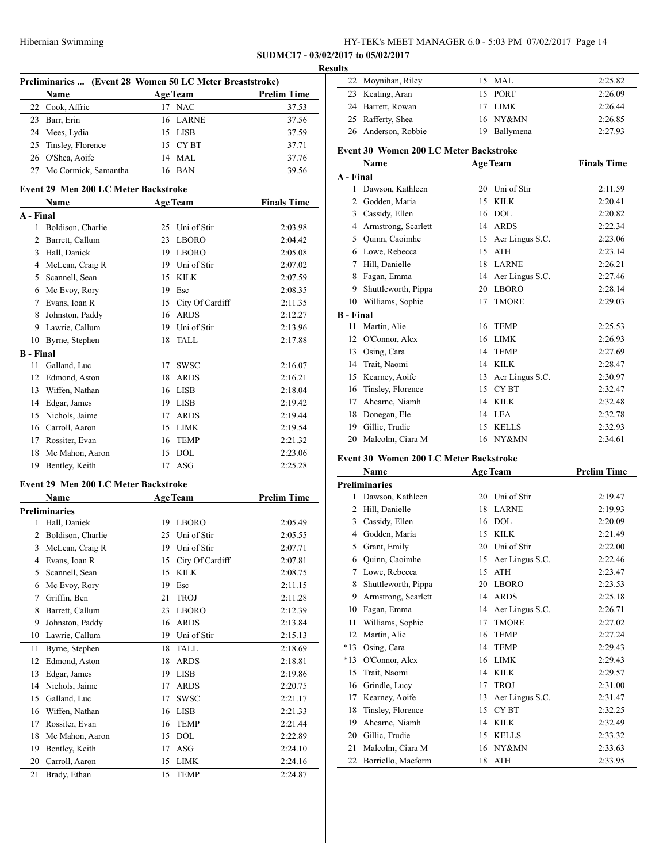| HY-TEK's MEET MANAGER 6.0 - 5:03 PM 07/02/2017 Page 14 |  |  |  |
|--------------------------------------------------------|--|--|--|
|--------------------------------------------------------|--|--|--|

|                        | Preliminaries  (Event 28 Women 50 LC Meter Breaststroke) |          |                           |                    |
|------------------------|----------------------------------------------------------|----------|---------------------------|--------------------|
|                        | Name                                                     |          | <b>Age Team</b>           | <b>Prelim Time</b> |
| 22                     | Cook, Affric                                             | 17       | <b>NAC</b>                | 37.53              |
|                        | 23 Barr, Erin                                            | 16       | LARNE                     | 37.56              |
|                        | 24 Mees, Lydia                                           |          | 15 LISB                   | 37.59              |
|                        | 25 Tinsley, Florence                                     |          | 15 CYBT                   | 37.71              |
|                        | 26 O'Shea, Aoife                                         | 14       | <b>MAL</b>                | 37.76              |
| 27                     | Mc Cormick, Samantha                                     |          | 16 BAN                    | 39.56              |
|                        | Event 29 Men 200 LC Meter Backstroke                     |          |                           | <b>Finals Time</b> |
| A - Final              | Name                                                     |          | <b>Age Team</b>           |                    |
|                        | 1 Boldison, Charlie                                      |          | 25 Uni of Stir            | 2:03.98            |
| 2                      | Barrett, Callum                                          | 23       | LBORO                     | 2:04.42            |
|                        | 3 Hall, Daniek                                           |          | 19 LBORO                  | 2:05.08            |
|                        | 4 McLean, Craig R                                        |          | 19 Uni of Stir            | 2:07.02            |
| 5                      |                                                          |          | 15 KILK                   | 2:07.59            |
|                        | Scannell, Sean                                           |          | 19 Esc                    |                    |
|                        | 6 Mc Evoy, Rory                                          |          |                           | 2:08.35            |
|                        | 7 Evans, Ioan R                                          |          | 15 City Of Cardiff        | 2:11.35            |
| 8                      | Johnston, Paddy                                          |          | 16 ARDS<br>19 Uni of Stir | 2:12.27            |
|                        | 9 Lawrie, Callum                                         |          |                           | 2:13.96            |
| 10<br><b>B</b> - Final | Byrne, Stephen                                           | 18       | <b>TALL</b>               | 2:17.88            |
| 11                     | Galland, Luc                                             | 17       | SWSC                      | 2:16.07            |
| 12                     | Edmond, Aston                                            |          | 18 ARDS                   | 2:16.21            |
|                        | 13 Wiffen, Nathan                                        |          | 16 LISB                   | 2:18.04            |
|                        | 14 Edgar, James                                          |          | 19 LISB                   | 2:19.42            |
|                        | 15 Nichols, Jaime                                        | 17       | ARDS                      | 2:19.44            |
|                        | 16 Carroll, Aaron                                        | 15       | LIMK                      | 2:19.54            |
|                        | 17 Rossiter, Evan                                        | 16       | <b>TEMP</b>               | 2:21.32            |
|                        | 18 Mc Mahon, Aaron                                       | 15       | DOL                       | 2:23.06            |
| 19                     | Bentley, Keith                                           | 17       | ASG                       | 2:25.28            |
|                        | Event 29 Men 200 LC Meter Backstroke                     |          |                           |                    |
|                        | Name                                                     |          | <b>Age Team</b>           | <b>Prelim Time</b> |
|                        | <b>Preliminaries</b>                                     |          |                           |                    |
| 1                      | Hall, Daniek                                             |          | 19 LBORO                  | 2:05.49            |
| 2                      | Boldison, Charlie                                        |          | 25 Uni of Stir            | 2:05.55            |
|                        | 3 McLean, Craig R                                        |          | 19 Uni of Stir            | 2:07.71            |
| 4                      | Evans, Ioan R                                            |          | 15 City Of Cardiff        | 2:07.81            |
| 5                      | Scannell, Sean                                           | 15       | <b>KILK</b>               | 2:08.75            |
| 6                      | Mc Evoy, Rory                                            | 19       | Esc                       | 2:11.15            |
| 7                      | Griffin, Ben                                             | 21       | <b>TROJ</b>               | 2:11.28            |
| 8                      | Barrett, Callum                                          | 23       | LBORO                     | 2:12.39            |
|                        | Johnston, Paddy                                          | 16       | ARDS                      | 2:13.84            |
|                        |                                                          |          | Uni of Stir               |                    |
| 9                      |                                                          |          |                           |                    |
| 10                     | Lawrie, Callum                                           | 19       |                           | 2:15.13            |
| 11                     | Byrne, Stephen                                           | 18       | TALL                      | 2:18.69            |
| 12                     | Edmond, Aston                                            | 18       | <b>ARDS</b>               | 2:18.81            |
| 13                     | Edgar, James                                             | 19       | <b>LISB</b>               | 2:19.86            |
| 14                     | Nichols, Jaime                                           | 17       | <b>ARDS</b>               | 2:20.75            |
| 15                     | Galland, Luc                                             | 17       | SWSC                      | 2:21.17            |
| 16                     | Wiffen, Nathan                                           | 16       | LISB                      | 2:21.33            |
| 17                     | Rossiter, Evan                                           | 16       | <b>TEMP</b>               | 2:21.44            |
| 18                     | Mc Mahon, Aaron                                          | 15       | $\rm DOL$                 | 2:22.89            |
| 19<br>20               | Bentley, Keith<br>Carroll, Aaron                         | 17<br>15 | ASG<br>LIMK               | 2:24.10<br>2:24.16 |

| esults           |                                        |    |                 |                    |
|------------------|----------------------------------------|----|-----------------|--------------------|
| 22               | Moynihan, Riley                        |    | 15 MAL          | 2:25.82            |
|                  | 23 Keating, Aran                       | 15 | PORT            | 2:26.09            |
|                  | 24 Barrett, Rowan                      | 17 | <b>LIMK</b>     | 2:26.44            |
| 25               | Rafferty, Shea                         | 16 | NY&MN           | 2:26.85            |
| 26               | Anderson, Robbie                       | 19 | Ballymena       | 2:27.93            |
|                  | Event 30 Women 200 LC Meter Backstroke |    |                 |                    |
|                  | Name                                   |    | <b>Age Team</b> | <b>Finals Time</b> |
| A - Final        |                                        |    |                 |                    |
| 1                | Dawson, Kathleen                       | 20 | Uni of Stir     | 2:11.59            |
| 2                | Godden, Maria                          | 15 | KILK            | 2:20.41            |
|                  | 3 Cassidy, Ellen                       | 16 | DOL             | 2:20.82            |
|                  | 4 Armstrong, Scarlett                  |    | 14 ARDS         | 2:22.34            |
|                  | 5 Ouinn, Caoimhe                       | 15 | Aer Lingus S.C. | 2:23.06            |
|                  | 6 Lowe, Rebecca                        | 15 | <b>ATH</b>      | 2:23.14            |
|                  | 7 Hill, Danielle                       | 18 | <b>LARNE</b>    | 2:26.21            |
|                  | 8 Fagan, Emma                          | 14 | Aer Lingus S.C. | 2:27.46            |
|                  | 9 Shuttleworth, Pippa                  | 20 | <b>LBORO</b>    | 2:28.14            |
|                  | 10 Williams, Sophie                    | 17 | <b>TMORE</b>    | 2:29.03            |
| <b>B</b> - Final |                                        |    |                 |                    |
| 11               | Martin, Alie                           | 16 | <b>TEMP</b>     | 2:25.53            |
|                  | 12 O'Connor, Alex                      | 16 | <b>LIMK</b>     | 2:26.93            |
| 13               | Osing, Cara                            | 14 | <b>TEMP</b>     | 2:27.69            |
|                  | 14 Trait, Naomi                        | 14 | KILK            | 2:28.47            |
| 15               | Kearney, Aoife                         | 13 | Aer Lingus S.C. | 2:30.97            |
| 16               | Tinsley, Florence                      | 15 | <b>CYBT</b>     | 2:32.47            |
| 17               | Ahearne, Niamh                         | 14 | <b>KILK</b>     | 2:32.48            |
| 18               | Donegan, Ele                           | 14 | <b>LEA</b>      | 2:32.78            |
|                  | 19 Gillic, Trudie                      | 15 | <b>KELLS</b>    | 2:32.93            |
| 20               | Malcolm, Ciara M                       | 16 | NY&MN           | 2:34.61            |
|                  | Event 30 Women 200 LC Meter Backstroke |    |                 |                    |
|                  |                                        |    |                 |                    |

| EVENI SV - VVOINEN ZUV LU MEIEF BACKSIFOKE |  |  |
|--------------------------------------------|--|--|
|                                            |  |  |

|                | Name                 |    | <b>Age Team</b> | <b>Prelim Time</b> |  |
|----------------|----------------------|----|-----------------|--------------------|--|
|                | <b>Preliminaries</b> |    |                 |                    |  |
| 1              | Dawson, Kathleen     | 20 | Uni of Stir     | 2:19.47            |  |
| $\overline{c}$ | Hill, Danielle       | 18 | <b>LARNE</b>    | 2:19.93            |  |
| 3              | Cassidy, Ellen       | 16 | <b>DOL</b>      | 2:20.09            |  |
| 4              | Godden, Maria        | 15 | <b>KILK</b>     | 2:21.49            |  |
| 5              | Grant, Emily         | 20 | Uni of Stir     | 2:22.00            |  |
| 6              | Quinn, Caoimhe       | 15 | Aer Lingus S.C. | 2:22.46            |  |
| 7              | Lowe, Rebecca        | 15 | <b>ATH</b>      | 2:23.47            |  |
| 8              | Shuttleworth, Pippa  | 20 | <b>LBORO</b>    | 2:23.53            |  |
| 9              | Armstrong, Scarlett  | 14 | <b>ARDS</b>     | 2:25.18            |  |
| 10             | Fagan, Emma          | 14 | Aer Lingus S.C. | 2:26.71            |  |
| 11             | Williams, Sophie     | 17 | <b>TMORE</b>    | 2:27.02            |  |
| 12             | Martin, Alie         | 16 | <b>TEMP</b>     | 2:27.24            |  |
| $*13$          | Osing, Cara          | 14 | <b>TEMP</b>     | 2:29.43            |  |
| $*13$          | O'Connor, Alex       | 16 | <b>LIMK</b>     | 2:29.43            |  |
| 15             | Trait, Naomi         | 14 | <b>KILK</b>     | 2:29.57            |  |
| 16             | Grindle, Lucy        | 17 | <b>TROJ</b>     | 2:31.00            |  |
| 17             | Kearney, Aoife       | 13 | Aer Lingus S.C. | 2:31.47            |  |
| 18             | Tinsley, Florence    | 15 | <b>CYBT</b>     | 2:32.25            |  |
| 19             | Ahearne, Niamh       | 14 | <b>KILK</b>     | 2:32.49            |  |
| 20             | Gillic, Trudie       | 15 | <b>KELLS</b>    | 2:33.32            |  |
| 21             | Malcolm, Ciara M     | 16 | NY&MN           | 2:33.63            |  |
| 22             | Borriello, Maeform   | 18 | <b>ATH</b>      | 2:33.95            |  |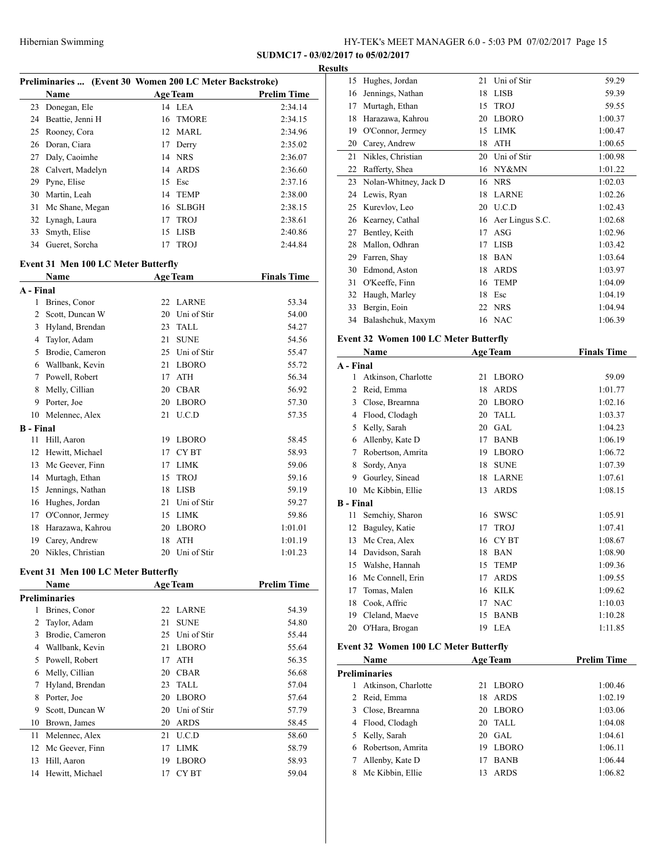## Hibernian Swimming HY-TEK's MEET MANAGER 6.0 - 5:03 PM 07/02/2017 Page 15

## **SUDMC17 - 03/02/2017 to 05/02/2017**

## **Results**

| Preliminaries  (Event 30 Women 200 LC Meter Backstroke) |                  |    |                 |                    |  |
|---------------------------------------------------------|------------------|----|-----------------|--------------------|--|
|                                                         | <b>Name</b>      |    | <b>Age Team</b> | <b>Prelim Time</b> |  |
| 23                                                      | Donegan, Ele     |    | 14 LEA          | 2:34.14            |  |
| 24                                                      | Beattie, Jenni H |    | 16 TMORE        | 2:34.15            |  |
| 25                                                      | Rooney, Cora     |    | 12 MARL         | 2:34.96            |  |
| 26                                                      | Doran, Ciara     | 17 | Derry           | 2:35.02            |  |
| 27                                                      | Daly, Caoimhe    | 14 | <b>NRS</b>      | 2:36.07            |  |
| 28                                                      | Calvert, Madelyn |    | 14 ARDS         | 2:36.60            |  |
| 29                                                      | Pyne, Elise      | 15 | Esc             | 2:37.16            |  |
| 30                                                      | Martin, Leah     |    | 14 TEMP         | 2:38.00            |  |
| 31                                                      | Mc Shane, Megan  |    | 16 SLBGH        | 2:38.15            |  |
|                                                         | 32 Lynagh, Laura | 17 | <b>TROJ</b>     | 2:38.61            |  |
| 33                                                      | Smyth, Elise     | 15 | <b>LISB</b>     | 2:40.86            |  |
| 34                                                      | Gueret, Sorcha   | 17 | <b>TROJ</b>     | 2:44.84            |  |

# **Event 31 Men 100 LC Meter Butterfly<br>Name 400 Te**

|                  | Name<br><b>Age Team</b> |    |                  | <b>Finals Time</b> |
|------------------|-------------------------|----|------------------|--------------------|
| A - Final        |                         |    |                  |                    |
| 1                | Brines, Conor           | 22 | <b>LARNE</b>     | 53.34              |
| 2                | Scott, Duncan W         | 20 | Uni of Stir      | 54.00              |
| 3                | Hyland, Brendan         | 23 | <b>TALL</b>      | 54.27              |
| 4                | Taylor, Adam            | 21 | <b>SUNE</b>      | 54.56              |
| 5                | Brodie, Cameron         | 25 | Uni of Stir      | 55.47              |
| 6                | Wallbank, Kevin         | 21 | <b>LBORO</b>     | 55.72              |
| 7                | Powell, Robert          | 17 | <b>ATH</b>       | 56.34              |
| 8                | Melly, Cillian          | 20 | <b>CBAR</b>      | 56.92              |
| 9                | Porter, Joe             | 20 | <b>LBORO</b>     | 57.30              |
| 10               | Melennec, Alex          | 21 | U.C.D            | 57.35              |
| <b>B</b> - Final |                         |    |                  |                    |
| 11               | Hill, Aaron             | 19 | <b>LBORO</b>     | 58.45              |
| 12               | Hewitt, Michael         | 17 | CY <sub>BT</sub> | 58.93              |
| 13               | Mc Geever, Finn         | 17 | <b>LIMK</b>      | 59.06              |
| 14               | Murtagh, Ethan          | 15 | <b>TROJ</b>      | 59.16              |
| 15               | Jennings, Nathan        | 18 | <b>LISB</b>      | 59.19              |
| 16               | Hughes, Jordan          | 21 | Uni of Stir      | 59.27              |
| 17               | O'Connor, Jermey        | 15 | <b>LIMK</b>      | 59.86              |
| 18               | Harazawa, Kahrou        | 20 | <b>LBORO</b>     | 1:01.01            |
| 19               | Carey, Andrew           | 18 | <b>ATH</b>       | 1:01.19            |
| 20               | Nikles, Christian       | 20 | Uni of Stir      | 1:01.23            |

# **Event 31 Men 100 LC Meter Butterfly**

|    | Name            |    | <b>Age Team</b> | <b>Prelim Time</b> |  |
|----|-----------------|----|-----------------|--------------------|--|
|    | Preliminaries   |    |                 |                    |  |
| 1  | Brines, Conor   |    | 22 LARNE        | 54.39              |  |
| 2  | Taylor, Adam    | 21 | <b>SUNE</b>     | 54.80              |  |
| 3  | Brodie, Cameron | 25 | Uni of Stir     | 55.44              |  |
| 4  | Wallbank, Kevin | 21 | <b>LBORO</b>    | 55.64              |  |
| 5  | Powell, Robert  | 17 | <b>ATH</b>      | 56.35              |  |
| 6  | Melly, Cillian  | 20 | <b>CBAR</b>     | 56.68              |  |
| 7  | Hyland, Brendan | 23 | TALL            | 57.04              |  |
| 8  | Porter, Joe     | 20 | <b>LBORO</b>    | 57.64              |  |
| 9  | Scott, Duncan W | 20 | Uni of Stir     | 57.79              |  |
| 10 | Brown, James    | 20 | <b>ARDS</b>     | 58.45              |  |
| 11 | Melennec, Alex  | 21 | U.C.D           | 58.60              |  |
| 12 | Mc Geever, Finn | 17 | <b>LIMK</b>     | 58.79              |  |
| 13 | Hill, Aaron     | 19 | <b>LBORO</b>    | 58.93              |  |
| 14 | Hewitt, Michael | 17 | CY BT           | 59.04              |  |
|    |                 |    |                 |                    |  |

| .                |                                              |    |                    |                    |
|------------------|----------------------------------------------|----|--------------------|--------------------|
|                  | 15 Hughes, Jordan                            | 21 | Uni of Stir        | 59.29              |
|                  | 16 Jennings, Nathan                          |    | 18 LISB            | 59.39              |
|                  | 17 Murtagh, Ethan                            | 15 | <b>TROJ</b>        | 59.55              |
|                  | 18 Harazawa, Kahrou                          |    | 20 LBORO           | 1:00.37            |
|                  | 19 O'Connor, Jermey                          |    | 15 LIMK            | 1:00.47            |
|                  | 20 Carey, Andrew                             | 18 | ATH                | 1:00.65            |
| 21               | Nikles, Christian                            | 20 | Uni of Stir        | 1:00.98            |
|                  | 22 Rafferty, Shea                            |    | 16 NY&MN           | 1:01.22            |
|                  | 23 Nolan-Whitney, Jack D                     |    | 16 NRS             | 1:02.03            |
|                  | 24 Lewis, Ryan                               |    | 18 LARNE           | 1:02.26            |
|                  | 25 Kurevlov, Leo                             |    | 20 U.C.D           | 1:02.43            |
|                  | 26 Kearney, Cathal                           |    | 16 Aer Lingus S.C. | 1:02.68            |
|                  | 27 Bentley, Keith                            |    | 17 ASG             | 1:02.96            |
|                  | 28 Mallon, Odhran                            |    | 17 LISB            | 1:03.42            |
|                  | 29 Farren, Shay                              |    | 18 BAN             | 1:03.64            |
|                  | 30 Edmond, Aston                             | 18 | <b>ARDS</b>        | 1:03.97            |
|                  | 31 O'Keeffe, Finn                            | 16 | <b>TEMP</b>        | 1:04.09            |
|                  | 32 Haugh, Marley                             |    | 18 Esc             | 1:04.19            |
|                  | 33 Bergin, Eoin                              |    | 22 NRS             | 1:04.94            |
|                  |                                              |    | 16 NAC             |                    |
|                  | 34 Balashchuk, Maxym                         |    |                    | 1:06.39            |
|                  | <b>Event 32 Women 100 LC Meter Butterfly</b> |    |                    |                    |
|                  | Name                                         |    | <b>Age Team</b>    | <b>Finals Time</b> |
| A - Final        |                                              |    |                    |                    |
|                  | 1 Atkinson, Charlotte                        |    | 21 LBORO           | 59.09              |
|                  | 2 Reid, Emma                                 |    | 18 ARDS            | 1:01.77            |
|                  | 3 Close, Brearnna                            |    | 20 LBORO           | 1:02.16            |
|                  | 4 Flood, Clodagh                             |    | 20 TALL            | 1:03.37            |
|                  | 5 Kelly, Sarah                               | 20 | GAL                | 1:04.23            |
|                  | 6 Allenby, Kate D                            | 17 | <b>BANB</b>        | 1:06.19            |
|                  | 7 Robertson, Amrita                          |    | 19 LBORO           | 1:06.72            |
| 8                | Sordy, Anya                                  | 18 | <b>SUNE</b>        | 1:07.39            |
|                  | 9 Gourley, Sinead                            |    | 18 LARNE           | 1:07.61            |
|                  | 10 Mc Kibbin, Ellie                          | 13 | ARDS               | 1:08.15            |
| <b>B</b> - Final |                                              |    |                    |                    |
| 11               | Semchiy, Sharon                              |    | 16 SWSC            | 1:05.91            |
|                  | 12 Baguley, Katie                            | 17 | <b>TROJ</b>        | 1:07.41            |
|                  | 13 Mc Crea, Alex                             | 16 | CY <sub>BT</sub>   | 1:08.67            |
|                  | 14 Davidson, Sarah                           | 18 | <b>BAN</b>         | 1:08.90            |
|                  | 15 Walshe, Hannah                            | 15 | <b>TEMP</b>        | 1:09.36            |
| 16               | Mc Connell, Erin                             | 17 | ARDS               | 1:09.55            |
| 17               | Tomas, Malen                                 | 16 | <b>KILK</b>        | 1:09.62            |
|                  | 18 Cook, Affric                              | 17 | <b>NAC</b>         | 1:10.03            |
|                  | 19 Cleland, Maeve                            | 15 | <b>BANB</b>        | 1:10.28            |
| 20               | O'Hara, Brogan                               | 19 | <b>LEA</b>         | 1:11.85            |
|                  |                                              |    |                    |                    |
|                  | <b>Event 32 Women 100 LC Meter Butterfly</b> |    |                    |                    |
|                  | Name                                         |    | <b>Age Team</b>    | <b>Prelim Time</b> |
|                  | <b>Preliminaries</b>                         |    |                    |                    |
| 1                | Atkinson, Charlotte                          | 21 | <b>LBORO</b>       | 1:00.46            |
|                  | 2 Reid, Emma                                 | 18 | ARDS               | 1:02.19            |
|                  | 3 Close, Brearnna                            | 20 | <b>LBORO</b>       | 1:03.06            |
|                  | 4 Flood, Clodagh                             | 20 | <b>TALL</b>        | 1:04.08            |
| 5                | Kelly, Sarah                                 | 20 | GAL                | 1:04.61            |
|                  | 6 Robertson, Amrita                          | 19 | <b>LBORO</b>       | 1:06.11            |
| 7                | Allenby, Kate D                              | 17 | <b>BANB</b>        | 1:06.44            |
| 8                | Mc Kibbin, Ellie                             | 13 | <b>ARDS</b>        | 1:06.82            |
|                  |                                              |    |                    |                    |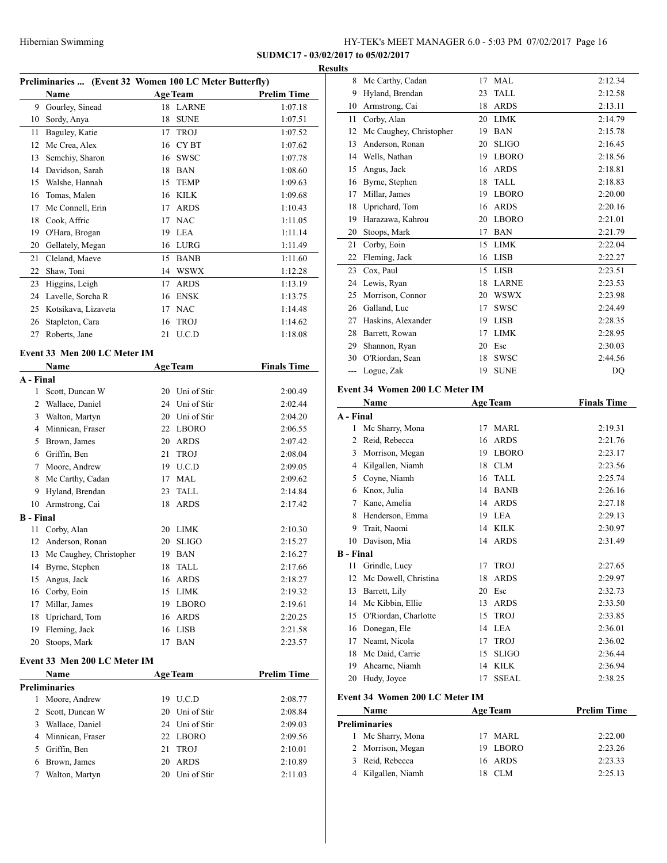**SUDMC17 - 03/02/20** 

 $\frac{1}{2}$ 

#### **Result**

| Preliminaries  (Event 32 Women 100 LC Meter Butterfly) |                                                 |    |                 |                    |  |  |  |
|--------------------------------------------------------|-------------------------------------------------|----|-----------------|--------------------|--|--|--|
|                                                        | Name                                            |    | <b>Age Team</b> | <b>Prelim Time</b> |  |  |  |
| 9                                                      | Gourley, Sinead                                 | 18 | <b>LARNE</b>    | 1:07.18            |  |  |  |
| 10                                                     | Sordy, Anya                                     | 18 | <b>SUNE</b>     | 1:07.51            |  |  |  |
| 11                                                     | Baguley, Katie                                  | 17 | <b>TROJ</b>     | 1:07.52            |  |  |  |
| 12                                                     | Mc Crea, Alex                                   |    | 16 CYBT         | 1:07.62            |  |  |  |
| 13                                                     | Semchiy, Sharon                                 | 16 | <b>SWSC</b>     | 1:07.78            |  |  |  |
| 14                                                     | Davidson, Sarah                                 |    | 18 BAN          | 1:08.60            |  |  |  |
| 15                                                     | Walshe, Hannah                                  |    | 15 TEMP         | 1:09.63            |  |  |  |
| 16                                                     | Tomas, Malen                                    | 16 | KILK            | 1:09.68            |  |  |  |
| 17                                                     | Mc Connell, Erin                                | 17 | <b>ARDS</b>     | 1:10.43            |  |  |  |
| 18                                                     | Cook, Affric                                    | 17 | <b>NAC</b>      | 1:11.05            |  |  |  |
| 19                                                     | O'Hara, Brogan                                  | 19 | <b>LEA</b>      | 1:11.14            |  |  |  |
| 20                                                     | Gellately, Megan                                |    | 16 LURG         | 1:11.49            |  |  |  |
| 21                                                     | Cleland, Maeve                                  | 15 | <b>BANB</b>     | 1:11.60            |  |  |  |
| 22                                                     | Shaw, Toni                                      |    | 14 WSWX         | 1:12.28            |  |  |  |
| 23                                                     | Higgins, Leigh                                  | 17 | <b>ARDS</b>     | 1:13.19            |  |  |  |
| 24                                                     | Lavelle, Sorcha R                               | 16 | ENSK            | 1:13.75            |  |  |  |
| 25                                                     | Kotsikava, Lizaveta                             | 17 | <b>NAC</b>      | 1:14.48            |  |  |  |
| 26                                                     | Stapleton, Cara                                 | 16 | <b>TROJ</b>     | 1:14.62            |  |  |  |
| 27                                                     | Roberts, Jane                                   | 21 | U.C.D           | 1:18.08            |  |  |  |
|                                                        |                                                 |    |                 |                    |  |  |  |
|                                                        | Event 33 Men 200 LC Meter IM<br><b>Age Team</b> |    |                 |                    |  |  |  |
| A - Final                                              | Name                                            |    |                 | <b>Finals Time</b> |  |  |  |
| $\mathbf{1}$                                           | Scott, Duncan W                                 | 20 | Uni of Stir     | 2:00.49            |  |  |  |
| 2                                                      | Wallace, Daniel                                 |    | 24 Uni of Stir  | 2:02.44            |  |  |  |
| 3                                                      | Walton, Martyn                                  |    | 20 Uni of Stir  | 2:04.20            |  |  |  |
| 4                                                      | Minnican, Fraser                                | 22 | LBORO           | 2:06.55            |  |  |  |
| 5                                                      | Brown, James                                    |    | 20 ARDS         | 2:07.42            |  |  |  |
| 6                                                      | Griffin, Ben                                    | 21 | <b>TROJ</b>     | 2:08.04            |  |  |  |
| 7                                                      | Moore, Andrew                                   |    | 19 U.C.D        | 2:09.05            |  |  |  |
| 8                                                      | Mc Carthy, Cadan                                | 17 | MAL             | 2:09.62            |  |  |  |
| 9                                                      | Hyland, Brendan                                 | 23 | <b>TALL</b>     | 2:14.84            |  |  |  |
| 10                                                     | Armstrong, Cai                                  | 18 | <b>ARDS</b>     | 2:17.42            |  |  |  |
| <b>B</b> - Final                                       |                                                 |    |                 |                    |  |  |  |
| 11                                                     | Corby, Alan                                     |    | 20 LIMK         | 2:10.30            |  |  |  |
| 12                                                     | Anderson, Ronan                                 | 20 | <b>SLIGO</b>    | 2:15.27            |  |  |  |
| 13                                                     | Mc Caughey, Christopher                         | 19 | <b>BAN</b>      | 2:16.27            |  |  |  |
| 14                                                     | Byrne, Stephen                                  | 18 | <b>TALL</b>     | 2:17.66            |  |  |  |
| 15                                                     | Angus, Jack                                     | 16 | <b>ARDS</b>     | 2:18.27            |  |  |  |
| 16                                                     | Corby, Eoin                                     | 15 | <b>LIMK</b>     | 2:19.32            |  |  |  |
| 17                                                     | Millar, James                                   | 19 | <b>LBORO</b>    | 2:19.61            |  |  |  |
| 18                                                     | Uprichard, Tom                                  | 16 | <b>ARDS</b>     | 2:20.25            |  |  |  |
| 19                                                     | Fleming, Jack                                   | 16 | <b>LISB</b>     | 2:21.58            |  |  |  |
| 20                                                     | Stoops, Mark                                    | 17 | <b>BAN</b>      | 2:23.57            |  |  |  |
|                                                        |                                                 |    |                 |                    |  |  |  |
|                                                        | Event 33 Men 200 LC Meter IM                    |    |                 |                    |  |  |  |
|                                                        | Name                                            |    | <b>Age Team</b> | <b>Prelim Time</b> |  |  |  |
|                                                        | <b>Preliminaries</b>                            |    |                 |                    |  |  |  |
| 1                                                      | Moore, Andrew                                   | 19 | U.C.D           | 2:08.77            |  |  |  |
| 2                                                      | Scott, Duncan W                                 | 20 | Uni of Stir     | 2:08.84            |  |  |  |
| 3                                                      | Wallace, Daniel                                 | 24 | Uni of Stir     | 2:09.03            |  |  |  |

 Minnican, Fraser 22 LBORO 2:09.56 Griffin, Ben 21 TROJ 2:10.01 Brown, James 20 ARDS 2:10.89 Walton, Martyn 20 Uni of Stir 2:11.03

|           | 2017 to 05/02/2017             |    |                 |                    |
|-----------|--------------------------------|----|-----------------|--------------------|
| ults      |                                |    |                 |                    |
| 8         | Mc Carthy, Cadan               | 17 | MAL             | 2:12.34            |
| 9         | Hyland, Brendan                | 23 | <b>TALL</b>     | 2:12.58            |
| 10        | Armstrong, Cai                 | 18 | <b>ARDS</b>     | 2:13.11            |
| 11        | Corby, Alan                    | 20 | <b>LIMK</b>     | 2:14.79            |
| 12        | Mc Caughey, Christopher        | 19 | <b>BAN</b>      | 2:15.78            |
| 13        | Anderson, Ronan                | 20 | <b>SLIGO</b>    | 2:16.45            |
| 14        | Wells, Nathan                  | 19 | <b>LBORO</b>    | 2:18.56            |
| 15        | Angus, Jack                    | 16 | <b>ARDS</b>     | 2:18.81            |
| 16        | Byrne, Stephen                 | 18 | <b>TALL</b>     | 2:18.83            |
| 17        | Millar, James                  | 19 | <b>LBORO</b>    | 2:20.00            |
| 18        | Uprichard, Tom                 | 16 | <b>ARDS</b>     | 2:20.16            |
| 19        | Harazawa, Kahrou               | 20 | <b>LBORO</b>    | 2:21.01            |
| 20        | Stoops, Mark                   | 17 | <b>BAN</b>      | 2:21.79            |
| 21        | Corby, Eoin                    | 15 | <b>LIMK</b>     | 2:22.04            |
| 22        | Fleming, Jack                  | 16 | <b>LISB</b>     | 2:22.27            |
| 23        | Cox, Paul                      | 15 | <b>LISB</b>     | 2:23.51            |
| 24        | Lewis, Ryan                    | 18 | <b>LARNE</b>    | 2:23.53            |
| 25        | Morrison, Connor               | 20 | <b>WSWX</b>     | 2:23.98            |
| 26        | Galland, Luc                   | 17 | <b>SWSC</b>     | 2:24.49            |
| 27        | Haskins, Alexander             | 19 | <b>LISB</b>     | 2:28.35            |
| 28        | Barrett, Rowan                 | 17 | <b>LIMK</b>     | 2:28.95            |
| 29        | Shannon, Ryan                  | 20 | Esc             | 2:30.03            |
| 30        | O'Riordan, Sean                | 18 | <b>SWSC</b>     | 2:44.56            |
|           | Logue, Zak                     | 19 | <b>SUNE</b>     | DQ                 |
|           | Event 34 Women 200 LC Meter IM |    |                 |                    |
|           | Name                           |    | <b>Age Team</b> | <b>Finals Time</b> |
| A - Final |                                |    |                 |                    |
|           | 1.36.01                        |    | <b>354 BY</b>   | 10.21              |

| A - Final        |                                |    |                 |                    |
|------------------|--------------------------------|----|-----------------|--------------------|
| $\mathbf{1}$     | Mc Sharry, Mona                | 17 | <b>MARL</b>     | 2:19.31            |
| $\overline{c}$   | Reid, Rebecca                  | 16 | <b>ARDS</b>     | 2:21.76            |
| 3                | Morrison, Megan                | 19 | <b>LBORO</b>    | 2:23.17            |
| 4                | Kilgallen, Niamh               | 18 | <b>CLM</b>      | 2:23.56            |
| 5                | Coyne, Niamh                   | 16 | <b>TALL</b>     | 2:25.74            |
| 6                | Knox, Julia                    | 14 | <b>BANB</b>     | 2:26.16            |
| 7                | Kane, Amelia                   | 14 | <b>ARDS</b>     | 2:27.18            |
| 8                | Henderson, Emma                | 19 | <b>LEA</b>      | 2:29.13            |
| 9                | Trait, Naomi                   | 14 | <b>KILK</b>     | 2:30.97            |
| 10               | Davison, Mia                   | 14 | <b>ARDS</b>     | 2:31.49            |
| <b>B</b> - Final |                                |    |                 |                    |
| 11               | Grindle, Lucy                  | 17 | <b>TROJ</b>     | 2:27.65            |
| 12               | Mc Dowell, Christina           | 18 | <b>ARDS</b>     | 2:29.97            |
| 13               | Barrett, Lily                  | 20 | Esc             | 2:32.73            |
| 14               | Mc Kibbin, Ellie               | 13 | <b>ARDS</b>     | 2:33.50            |
| 15               | O'Riordan, Charlotte           | 15 | <b>TROJ</b>     | 2:33.85            |
| 16               | Donegan, Ele                   | 14 | <b>LEA</b>      | 2:36.01            |
| 17               | Neamt, Nicola                  | 17 | <b>TROJ</b>     | 2:36.02            |
| 18               | Mc Daid, Carrie                | 15 | <b>SLIGO</b>    | 2:36.44            |
| 19               | Ahearne, Niamh                 | 14 | <b>KILK</b>     | 2:36.94            |
| 20               | Hudy, Joyce                    | 17 | <b>SSEAL</b>    | 2:38.25            |
|                  | Event 34 Women 200 LC Meter IM |    |                 |                    |
|                  | Name                           |    | <b>Age Team</b> | <b>Prelim Time</b> |
|                  | <b>Preliminaries</b>           |    |                 |                    |
| $\mathbf{1}$     | Mc Sharry, Mona                | 17 | <b>MARL</b>     | 2:22.00            |
| $\overline{c}$   | Morrison, Megan                | 19 | <b>LBORO</b>    | 2:23.26            |
| 3                | Reid, Rebecca                  | 16 | <b>ARDS</b>     | 2:23.33            |

Kilgallen, Niamh 18 CLM 2:25.13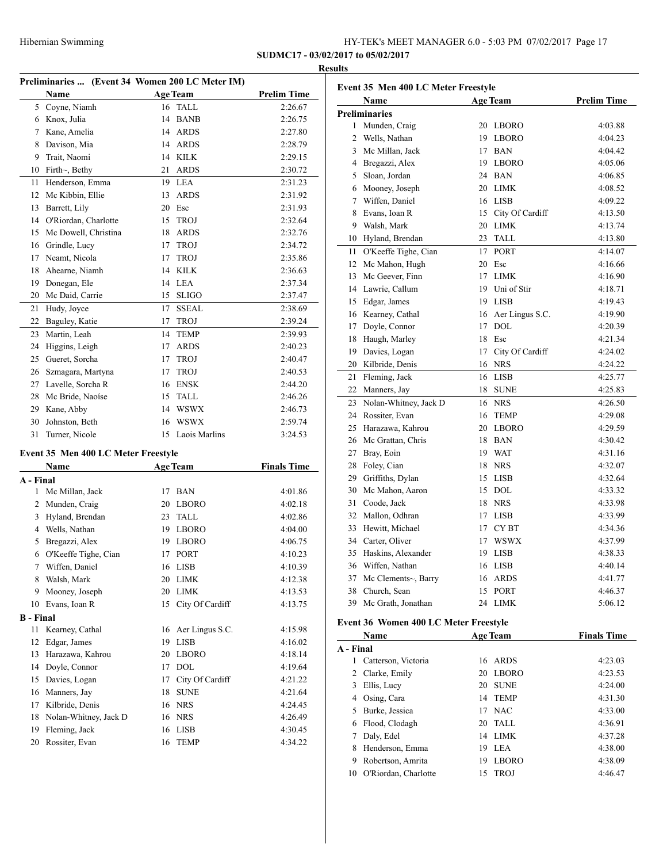|    |                                                 |    |                 |                    | <b>Results</b> |
|----|-------------------------------------------------|----|-----------------|--------------------|----------------|
|    | Preliminaries  (Event 34 Women 200 LC Meter IM) |    |                 |                    | Ev             |
|    | <b>Name</b>                                     |    | <b>Age Team</b> | <b>Prelim Time</b> |                |
| 5  | Coyne, Niamh                                    | 16 | <b>TALL</b>     | 2:26.67            |                |
| 6  | Knox, Julia                                     | 14 | <b>BANB</b>     | 2:26.75            | Pre            |
| 7  | Kane, Amelia                                    | 14 | <b>ARDS</b>     | 2:27.80            |                |
| 8  | Davison, Mia                                    | 14 | <b>ARDS</b>     | 2:28.79            |                |
| 9  | Trait, Naomi                                    | 14 | <b>KILK</b>     | 2:29.15            |                |
| 10 | Firth~, Bethy                                   | 21 | <b>ARDS</b>     | 2:30.72            |                |
| 11 | Henderson, Emma                                 | 19 | LEA             | 2:31.23            |                |
| 12 | Mc Kibbin, Ellie                                | 13 | <b>ARDS</b>     | 2:31.92            |                |
| 13 | Barrett, Lily                                   | 20 | Esc             | 2:31.93            |                |
| 14 | O'Riordan, Charlotte                            | 15 | <b>TROJ</b>     | 2:32.64            |                |
| 15 | Mc Dowell, Christina                            | 18 | <b>ARDS</b>     | 2:32.76            |                |
| 16 | Grindle, Lucy                                   | 17 | <b>TROJ</b>     | 2:34.72            |                |
| 17 | Neamt, Nicola                                   | 17 | <b>TROJ</b>     | 2:35.86            |                |
| 18 | Ahearne, Niamh                                  | 14 | <b>KILK</b>     | 2:36.63            |                |
| 19 | Donegan, Ele                                    | 14 | <b>LEA</b>      | 2:37.34            |                |
| 20 | Mc Daid, Carrie                                 | 15 | <b>SLIGO</b>    | 2:37.47            |                |
| 21 | Hudy, Joyce                                     | 17 | <b>SSEAL</b>    | 2:38.69            |                |
| 22 | Baguley, Katie                                  | 17 | <b>TROJ</b>     | 2:39.24            |                |
| 23 | Martin, Leah                                    | 14 | <b>TEMP</b>     | 2:39.93            |                |
| 24 | Higgins, Leigh                                  | 17 | <b>ARDS</b>     | 2:40.23            |                |
| 25 | Gueret, Sorcha                                  | 17 | <b>TROJ</b>     | 2:40.47            |                |
| 26 | Szmagara, Martyna                               | 17 | <b>TROJ</b>     | 2:40.53            | $\tilde{z}$    |
| 27 | Lavelle, Sorcha R                               | 16 | <b>ENSK</b>     | 2:44.20            |                |
| 28 | Mc Bride, Naoíse                                | 15 | <b>TALL</b>     | 2:46.26            |                |
| 29 | Kane, Abby                                      | 14 | <b>WSWX</b>     | 2:46.73            |                |
| 30 | Johnston, Beth                                  | 16 | <b>WSWX</b>     | 2:59.74            |                |
| 31 | Turner, Nicole                                  | 15 | Laois Marlins   | 3:24.53            |                |

## **Event 35 Men 400 LC Meter Freestyle**

| Name             |                       | <b>Age Team</b> |                 | <b>Finals Time</b> |  |
|------------------|-----------------------|-----------------|-----------------|--------------------|--|
| A - Final        |                       |                 |                 |                    |  |
| 1                | Mc Millan, Jack       | 17              | <b>BAN</b>      | 4:01.86            |  |
| 2                | Munden, Craig         | 20              | <b>LBORO</b>    | 4:02.18            |  |
| 3                | Hyland, Brendan       | 23              | <b>TALL</b>     | 4:02.86            |  |
| 4                | Wells, Nathan         | 19              | <b>LBORO</b>    | 4:04.00            |  |
| 5                | Bregazzi, Alex        | 19              | <b>LBORO</b>    | 4:06.75            |  |
| 6                | O'Keeffe Tighe, Cian  | 17              | <b>PORT</b>     | 4:10.23            |  |
| 7                | Wiffen, Daniel        | 16              | <b>LISB</b>     | 4:10.39            |  |
| 8                | Walsh, Mark           | 20              | <b>LIMK</b>     | 4:12.38            |  |
| 9                | Mooney, Joseph        | 20              | <b>LIMK</b>     | 4:13.53            |  |
| 10               | Evans, Ioan R         | 15              | City Of Cardiff | 4:13.75            |  |
| <b>B</b> - Final |                       |                 |                 |                    |  |
| 11               | Kearney, Cathal       | 16              | Aer Lingus S.C. | 4:15.98            |  |
| 12               | Edgar, James          | 19              | <b>LISB</b>     | 4:16.02            |  |
| 13               | Harazawa, Kahrou      | 20              | <b>LBORO</b>    | 4:18.14            |  |
| 14               | Doyle, Connor         | 17              | <b>DOL</b>      | 4:19.64            |  |
| 15               | Davies, Logan         | 17              | City Of Cardiff | 4:21.22            |  |
| 16               | Manners, Jay          | 18              | <b>SUNE</b>     | 4:21.64            |  |
| 17               | Kilbride, Denis       | 16              | <b>NRS</b>      | 4:24.45            |  |
| 18               | Nolan-Whitney, Jack D | 16              | <b>NRS</b>      | 4:26.49            |  |
| 19               | Fleming, Jack         | 16              | <b>LISB</b>     | 4:30.45            |  |
| 20               | Rossiter, Evan        | 16              | <b>TEMP</b>     | 4:34.22            |  |
|                  |                       |                 |                 |                    |  |

| Event 35 Men 400 LC Meter Freestyle |                       |                 |                    |                    |  |
|-------------------------------------|-----------------------|-----------------|--------------------|--------------------|--|
|                                     | Name                  | <b>Age Team</b> |                    | <b>Prelim Time</b> |  |
|                                     | <b>Preliminaries</b>  |                 |                    |                    |  |
| 1                                   | Munden, Craig         | 20              | LBORO              | 4:03.88            |  |
| $\overline{2}$                      | Wells, Nathan         |                 | 19 LBORO           | 4:04.23            |  |
| 3                                   | Mc Millan, Jack       |                 | 17 BAN             | 4:04.42            |  |
| $\overline{4}$                      | Bregazzi, Alex        |                 | 19 LBORO           | 4:05.06            |  |
| 5                                   | Sloan, Jordan         |                 | 24 BAN             | 4:06.85            |  |
| 6                                   | Mooney, Joseph        |                 | 20 LIMK            | 4:08.52            |  |
| $\tau$                              | Wiffen, Daniel        |                 | 16 LISB            | 4:09.22            |  |
| 8                                   | Evans, Ioan R         |                 | 15 City Of Cardiff | 4:13.50            |  |
|                                     | 9 Walsh, Mark         |                 | 20 LIMK            | 4:13.74            |  |
| 10                                  | Hyland, Brendan       | 23              | <b>TALL</b>        | 4:13.80            |  |
| 11                                  | O'Keeffe Tighe, Cian  |                 | 17 PORT            | 4:14.07            |  |
| 12                                  | Mc Mahon, Hugh        | 20              | Esc                | 4:16.66            |  |
| 13                                  | Mc Geever, Finn       |                 | 17 LIMK            | 4:16.90            |  |
| 14                                  | Lawrie, Callum        |                 | 19 Uni of Stir     | 4:18.71            |  |
| 15                                  | Edgar, James          |                 | 19 LISB            | 4:19.43            |  |
| 16                                  | Kearney, Cathal       |                 | 16 Aer Lingus S.C. | 4:19.90            |  |
| 17                                  | Doyle, Connor         |                 | 17 DOL             | 4:20.39            |  |
| 18                                  | Haugh, Marley         |                 | 18 Esc             | 4:21.34            |  |
| 19                                  | Davies, Logan         |                 | 17 City Of Cardiff | 4:24.02            |  |
| 20                                  | Kilbride, Denis       |                 | 16 NRS             | 4:24.22            |  |
| 21                                  | Fleming, Jack         |                 | 16 LISB            | 4:25.77            |  |
| 22                                  | Manners, Jay          |                 | 18 SUNE            | 4:25.83            |  |
| 23                                  | Nolan-Whitney, Jack D |                 | 16 NRS             | 4:26.50            |  |
| 24                                  | Rossiter, Evan        |                 | 16 TEMP            | 4:29.08            |  |
| 25                                  | Harazawa, Kahrou      |                 | 20 LBORO           | 4:29.59            |  |
| 26                                  | Mc Grattan, Chris     |                 | 18 BAN             | 4:30.42            |  |
| 27                                  | Bray, Eoin            |                 | 19 WAT             | 4:31.16            |  |
| 28                                  | Foley, Cian           | 18              | <b>NRS</b>         | 4:32.07            |  |
| 29                                  | Griffiths, Dylan      | 15              | LISB               | 4:32.64            |  |
| 30                                  | Mc Mahon, Aaron       |                 | 15 DOL             | 4:33.32            |  |
| 31                                  | Coode, Jack           |                 | 18 NRS             | 4:33.98            |  |
| 32                                  | Mallon, Odhran        |                 | 17 LISB            | 4:33.99            |  |
| 33                                  | Hewitt, Michael       |                 | 17 CYBT            | 4:34.36            |  |
|                                     | 34 Carter, Oliver     |                 | 17 WSWX            | 4:37.99            |  |
| 35                                  | Haskins, Alexander    |                 | 19 LISB            | 4:38.33            |  |
| 36                                  | Wiffen, Nathan        |                 | 16 LISB            | 4:40.14            |  |
| 37                                  | Mc Clements~, Barry   |                 | 16 ARDS            | 4:41.77            |  |
| 38                                  | Church, Sean          | 15              | <b>PORT</b>        | 4:46.37            |  |
| 39                                  | Mc Grath, Jonathan    | 24              | LIMK               | 5:06.12            |  |
|                                     |                       |                 |                    |                    |  |

# **Event 36 Women 400 LC Meter Freestyle**

| Name      |                      | <b>Age Team</b> |              | <b>Finals Time</b> |
|-----------|----------------------|-----------------|--------------|--------------------|
| A - Final |                      |                 |              |                    |
| 1         | Catterson, Victoria  | 16              | ARDS         | 4:23.03            |
| 2         | Clarke, Emily        | 20              | <b>LBORO</b> | 4:23.53            |
| 3         | Ellis, Lucy          | 20              | SUNE         | 4:24.00            |
| 4         | Osing, Cara          |                 | 14 TEMP      | 4:31.30            |
|           | Burke, Jessica       | 17              | NAC.         | 4:33.00            |
| 6         | Flood, Clodagh       | 20              | TALL         | 4:36.91            |
|           | Daly, Edel           |                 | 14 LIMK      | 4:37.28            |
| 8         | Henderson, Emma      | 19              | <b>LEA</b>   | 4:38.00            |
| 9         | Robertson, Amrita    | 19              | <b>LBORO</b> | 4:38.09            |
| 10        | O'Riordan, Charlotte | 15              | TROJ         | 4:46.47            |